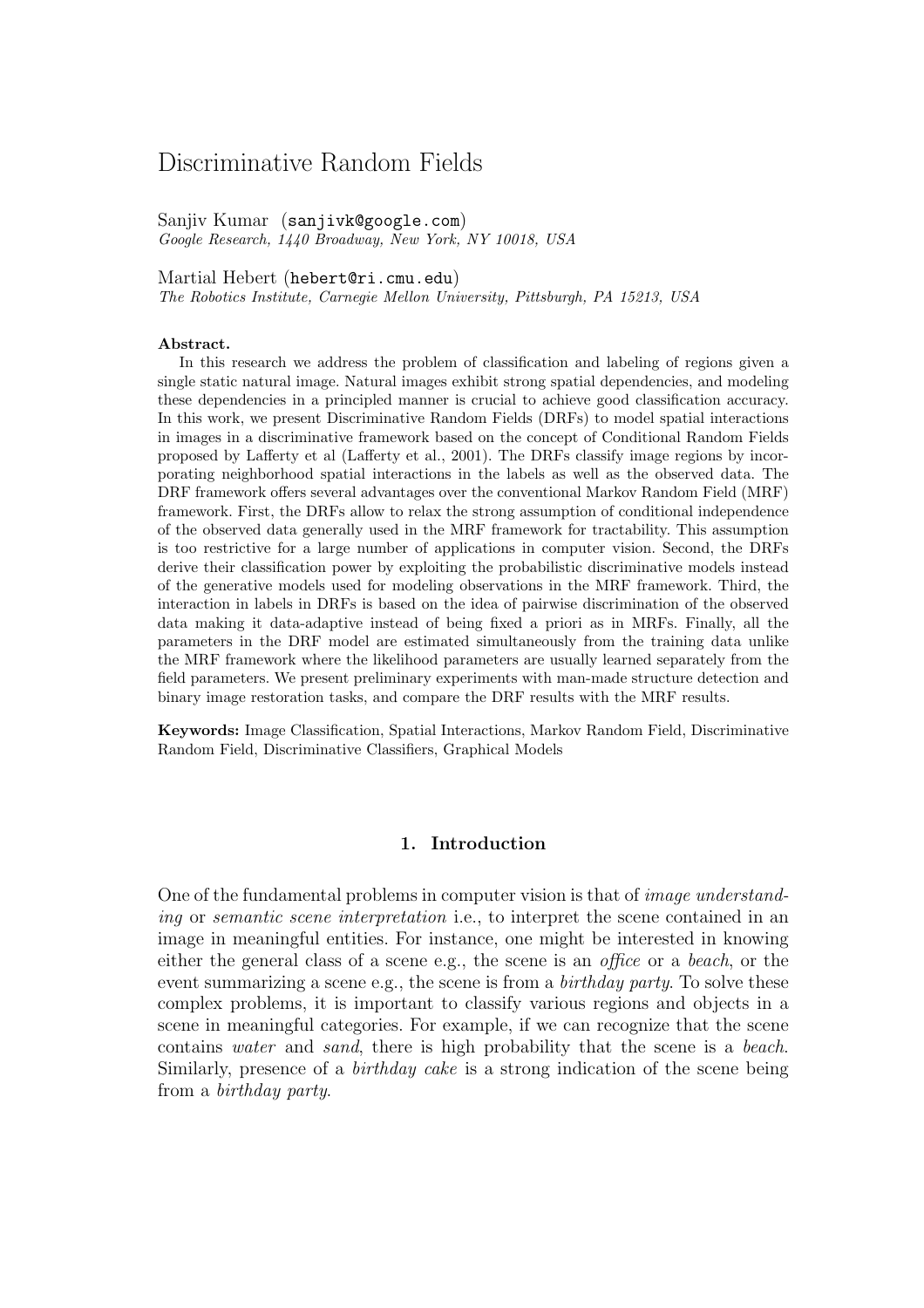# Discriminative Random Fields

Sanjiv Kumar (sanjivk@google.com) Google Research, 1440 Broadway, New York, NY 10018, USA

Martial Hebert (hebert@ri.cmu.edu)

The Robotics Institute, Carnegie Mellon University, Pittsburgh, PA 15213, USA

#### Abstract.

In this research we address the problem of classification and labeling of regions given a single static natural image. Natural images exhibit strong spatial dependencies, and modeling these dependencies in a principled manner is crucial to achieve good classification accuracy. In this work, we present Discriminative Random Fields (DRFs) to model spatial interactions in images in a discriminative framework based on the concept of Conditional Random Fields proposed by Lafferty et al (Lafferty et al., 2001). The DRFs classify image regions by incorporating neighborhood spatial interactions in the labels as well as the observed data. The DRF framework offers several advantages over the conventional Markov Random Field (MRF) framework. First, the DRFs allow to relax the strong assumption of conditional independence of the observed data generally used in the MRF framework for tractability. This assumption is too restrictive for a large number of applications in computer vision. Second, the DRFs derive their classification power by exploiting the probabilistic discriminative models instead of the generative models used for modeling observations in the MRF framework. Third, the interaction in labels in DRFs is based on the idea of pairwise discrimination of the observed data making it data-adaptive instead of being fixed a priori as in MRFs. Finally, all the parameters in the DRF model are estimated simultaneously from the training data unlike the MRF framework where the likelihood parameters are usually learned separately from the field parameters. We present preliminary experiments with man-made structure detection and binary image restoration tasks, and compare the DRF results with the MRF results.

Keywords: Image Classification, Spatial Interactions, Markov Random Field, Discriminative Random Field, Discriminative Classifiers, Graphical Models

# 1. Introduction

One of the fundamental problems in computer vision is that of image understanding or *semantic scene interpretation* i.e., to interpret the scene contained in an image in meaningful entities. For instance, one might be interested in knowing either the general class of a scene e.g., the scene is an office or a beach, or the event summarizing a scene e.g., the scene is from a *birthday party*. To solve these complex problems, it is important to classify various regions and objects in a scene in meaningful categories. For example, if we can recognize that the scene contains water and sand, there is high probability that the scene is a beach. Similarly, presence of a birthday cake is a strong indication of the scene being from a birthday party.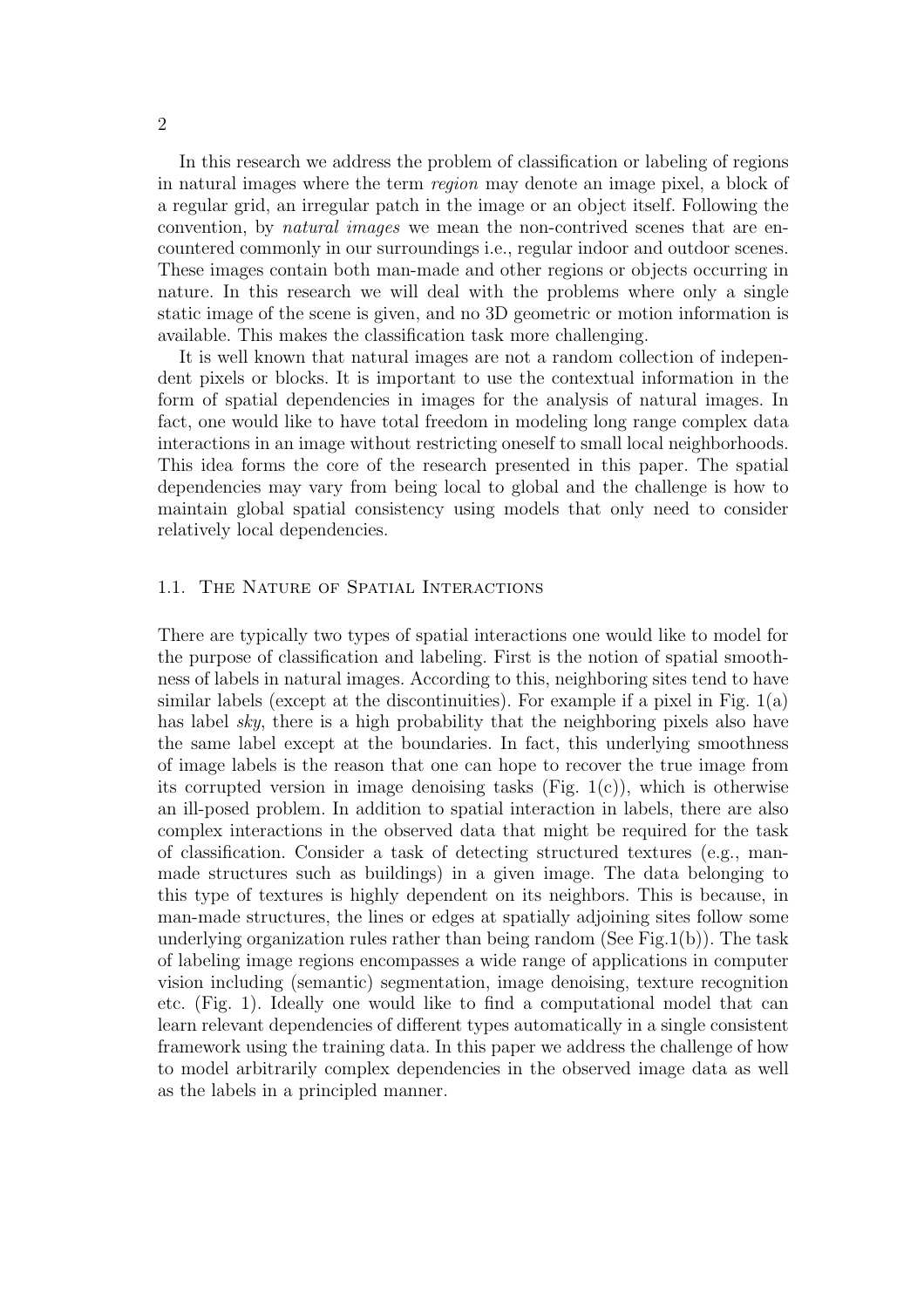In this research we address the problem of classification or labeling of regions in natural images where the term region may denote an image pixel, a block of a regular grid, an irregular patch in the image or an object itself. Following the convention, by natural images we mean the non-contrived scenes that are encountered commonly in our surroundings i.e., regular indoor and outdoor scenes. These images contain both man-made and other regions or objects occurring in nature. In this research we will deal with the problems where only a single static image of the scene is given, and no 3D geometric or motion information is available. This makes the classification task more challenging.

It is well known that natural images are not a random collection of independent pixels or blocks. It is important to use the contextual information in the form of spatial dependencies in images for the analysis of natural images. In fact, one would like to have total freedom in modeling long range complex data interactions in an image without restricting oneself to small local neighborhoods. This idea forms the core of the research presented in this paper. The spatial dependencies may vary from being local to global and the challenge is how to maintain global spatial consistency using models that only need to consider relatively local dependencies.

# 1.1. The Nature of Spatial Interactions

There are typically two types of spatial interactions one would like to model for the purpose of classification and labeling. First is the notion of spatial smoothness of labels in natural images. According to this, neighboring sites tend to have similar labels (except at the discontinuities). For example if a pixel in Fig.  $1(a)$ has label *sky*, there is a high probability that the neighboring pixels also have the same label except at the boundaries. In fact, this underlying smoothness of image labels is the reason that one can hope to recover the true image from its corrupted version in image denoising tasks (Fig.  $1(c)$ ), which is otherwise an ill-posed problem. In addition to spatial interaction in labels, there are also complex interactions in the observed data that might be required for the task of classification. Consider a task of detecting structured textures (e.g., manmade structures such as buildings) in a given image. The data belonging to this type of textures is highly dependent on its neighbors. This is because, in man-made structures, the lines or edges at spatially adjoining sites follow some underlying organization rules rather than being random (See Fig.1(b)). The task of labeling image regions encompasses a wide range of applications in computer vision including (semantic) segmentation, image denoising, texture recognition etc. (Fig. 1). Ideally one would like to find a computational model that can learn relevant dependencies of different types automatically in a single consistent framework using the training data. In this paper we address the challenge of how to model arbitrarily complex dependencies in the observed image data as well as the labels in a principled manner.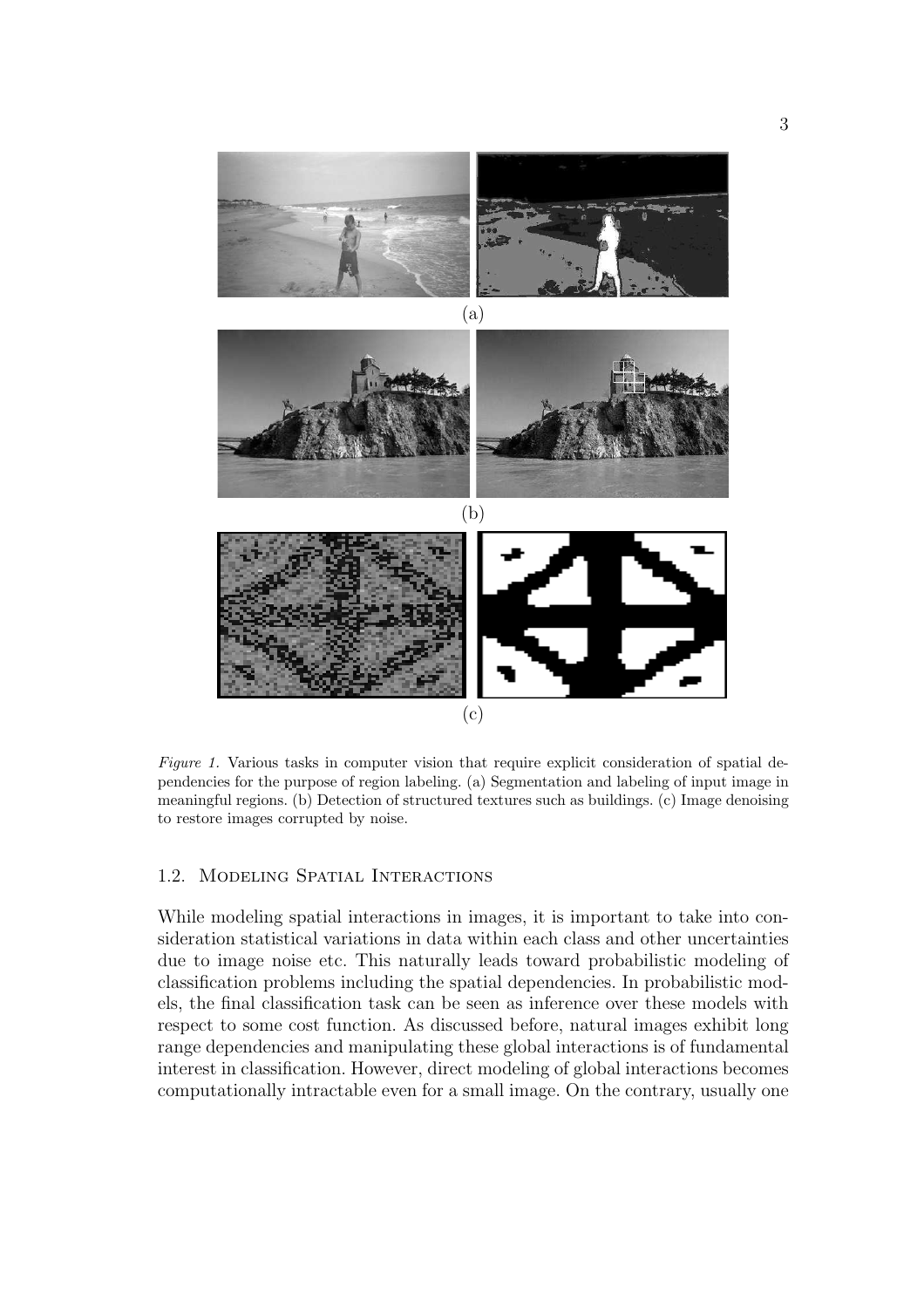

Figure 1. Various tasks in computer vision that require explicit consideration of spatial dependencies for the purpose of region labeling. (a) Segmentation and labeling of input image in meaningful regions. (b) Detection of structured textures such as buildings. (c) Image denoising to restore images corrupted by noise.

# 1.2. Modeling Spatial Interactions

While modeling spatial interactions in images, it is important to take into consideration statistical variations in data within each class and other uncertainties due to image noise etc. This naturally leads toward probabilistic modeling of classification problems including the spatial dependencies. In probabilistic models, the final classification task can be seen as inference over these models with respect to some cost function. As discussed before, natural images exhibit long range dependencies and manipulating these global interactions is of fundamental interest in classification. However, direct modeling of global interactions becomes computationally intractable even for a small image. On the contrary, usually one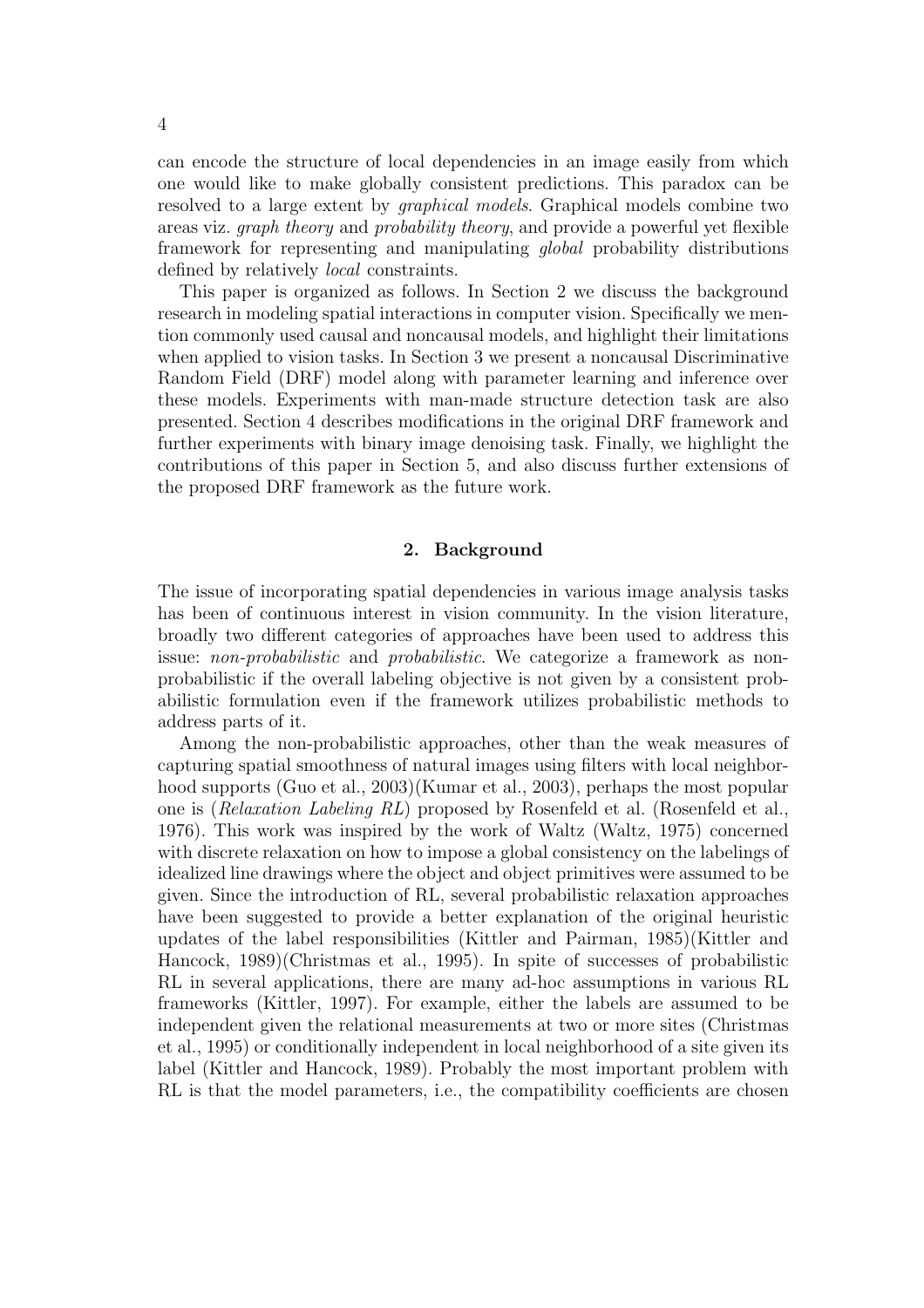can encode the structure of local dependencies in an image easily from which one would like to make globally consistent predictions. This paradox can be resolved to a large extent by graphical models. Graphical models combine two areas viz. graph theory and probability theory, and provide a powerful yet flexible framework for representing and manipulating global probability distributions defined by relatively local constraints.

This paper is organized as follows. In Section 2 we discuss the background research in modeling spatial interactions in computer vision. Specifically we mention commonly used causal and noncausal models, and highlight their limitations when applied to vision tasks. In Section 3 we present a noncausal Discriminative Random Field (DRF) model along with parameter learning and inference over these models. Experiments with man-made structure detection task are also presented. Section 4 describes modifications in the original DRF framework and further experiments with binary image denoising task. Finally, we highlight the contributions of this paper in Section 5, and also discuss further extensions of the proposed DRF framework as the future work.

## 2. Background

The issue of incorporating spatial dependencies in various image analysis tasks has been of continuous interest in vision community. In the vision literature, broadly two different categories of approaches have been used to address this issue: non-probabilistic and probabilistic. We categorize a framework as nonprobabilistic if the overall labeling objective is not given by a consistent probabilistic formulation even if the framework utilizes probabilistic methods to address parts of it.

Among the non-probabilistic approaches, other than the weak measures of capturing spatial smoothness of natural images using filters with local neighborhood supports (Guo et al., 2003)(Kumar et al., 2003), perhaps the most popular one is (Relaxation Labeling RL) proposed by Rosenfeld et al. (Rosenfeld et al., 1976). This work was inspired by the work of Waltz (Waltz, 1975) concerned with discrete relaxation on how to impose a global consistency on the labelings of idealized line drawings where the object and object primitives were assumed to be given. Since the introduction of RL, several probabilistic relaxation approaches have been suggested to provide a better explanation of the original heuristic updates of the label responsibilities (Kittler and Pairman, 1985)(Kittler and Hancock, 1989)(Christmas et al., 1995). In spite of successes of probabilistic RL in several applications, there are many ad-hoc assumptions in various RL frameworks (Kittler, 1997). For example, either the labels are assumed to be independent given the relational measurements at two or more sites (Christmas et al., 1995) or conditionally independent in local neighborhood of a site given its label (Kittler and Hancock, 1989). Probably the most important problem with RL is that the model parameters, i.e., the compatibility coefficients are chosen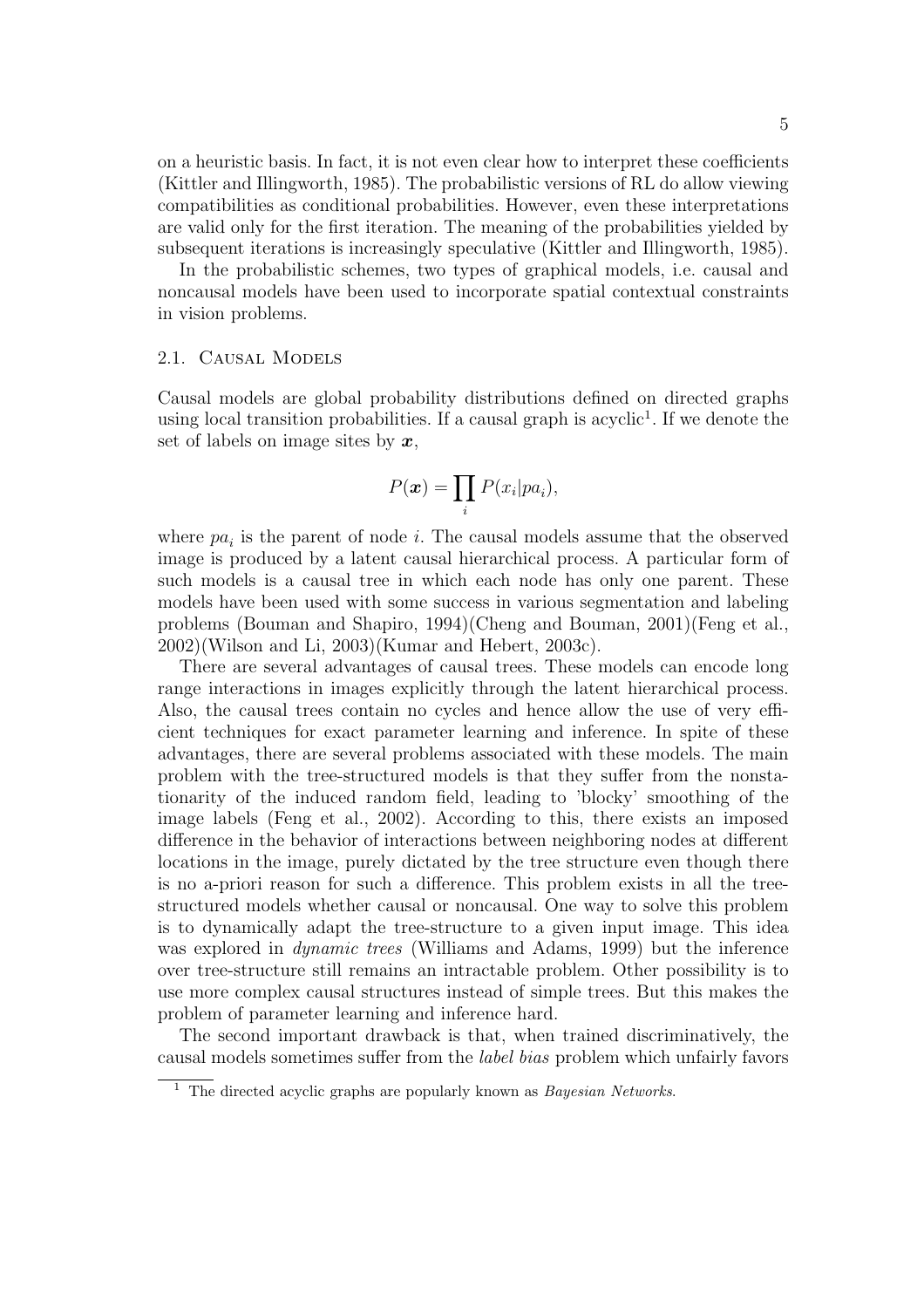on a heuristic basis. In fact, it is not even clear how to interpret these coefficients (Kittler and Illingworth, 1985). The probabilistic versions of RL do allow viewing compatibilities as conditional probabilities. However, even these interpretations are valid only for the first iteration. The meaning of the probabilities yielded by subsequent iterations is increasingly speculative (Kittler and Illingworth, 1985).

In the probabilistic schemes, two types of graphical models, i.e. causal and noncausal models have been used to incorporate spatial contextual constraints in vision problems.

#### 2.1. Causal Models

Causal models are global probability distributions defined on directed graphs using local transition probabilities. If a causal graph is acyclic<sup>1</sup>. If we denote the set of labels on image sites by  $x$ ,

$$
P(\boldsymbol{x}) = \prod_i P(x_i|pa_i),
$$

where  $pa_i$  is the parent of node i. The causal models assume that the observed image is produced by a latent causal hierarchical process. A particular form of such models is a causal tree in which each node has only one parent. These models have been used with some success in various segmentation and labeling problems (Bouman and Shapiro, 1994)(Cheng and Bouman, 2001)(Feng et al., 2002)(Wilson and Li, 2003)(Kumar and Hebert, 2003c).

There are several advantages of causal trees. These models can encode long range interactions in images explicitly through the latent hierarchical process. Also, the causal trees contain no cycles and hence allow the use of very efficient techniques for exact parameter learning and inference. In spite of these advantages, there are several problems associated with these models. The main problem with the tree-structured models is that they suffer from the nonstationarity of the induced random field, leading to 'blocky' smoothing of the image labels (Feng et al., 2002). According to this, there exists an imposed difference in the behavior of interactions between neighboring nodes at different locations in the image, purely dictated by the tree structure even though there is no a-priori reason for such a difference. This problem exists in all the treestructured models whether causal or noncausal. One way to solve this problem is to dynamically adapt the tree-structure to a given input image. This idea was explored in *dynamic trees* (Williams and Adams, 1999) but the inference over tree-structure still remains an intractable problem. Other possibility is to use more complex causal structures instead of simple trees. But this makes the problem of parameter learning and inference hard.

The second important drawback is that, when trained discriminatively, the causal models sometimes suffer from the label bias problem which unfairly favors

<sup>&</sup>lt;sup>1</sup> The directed acyclic graphs are popularly known as *Bayesian Networks*.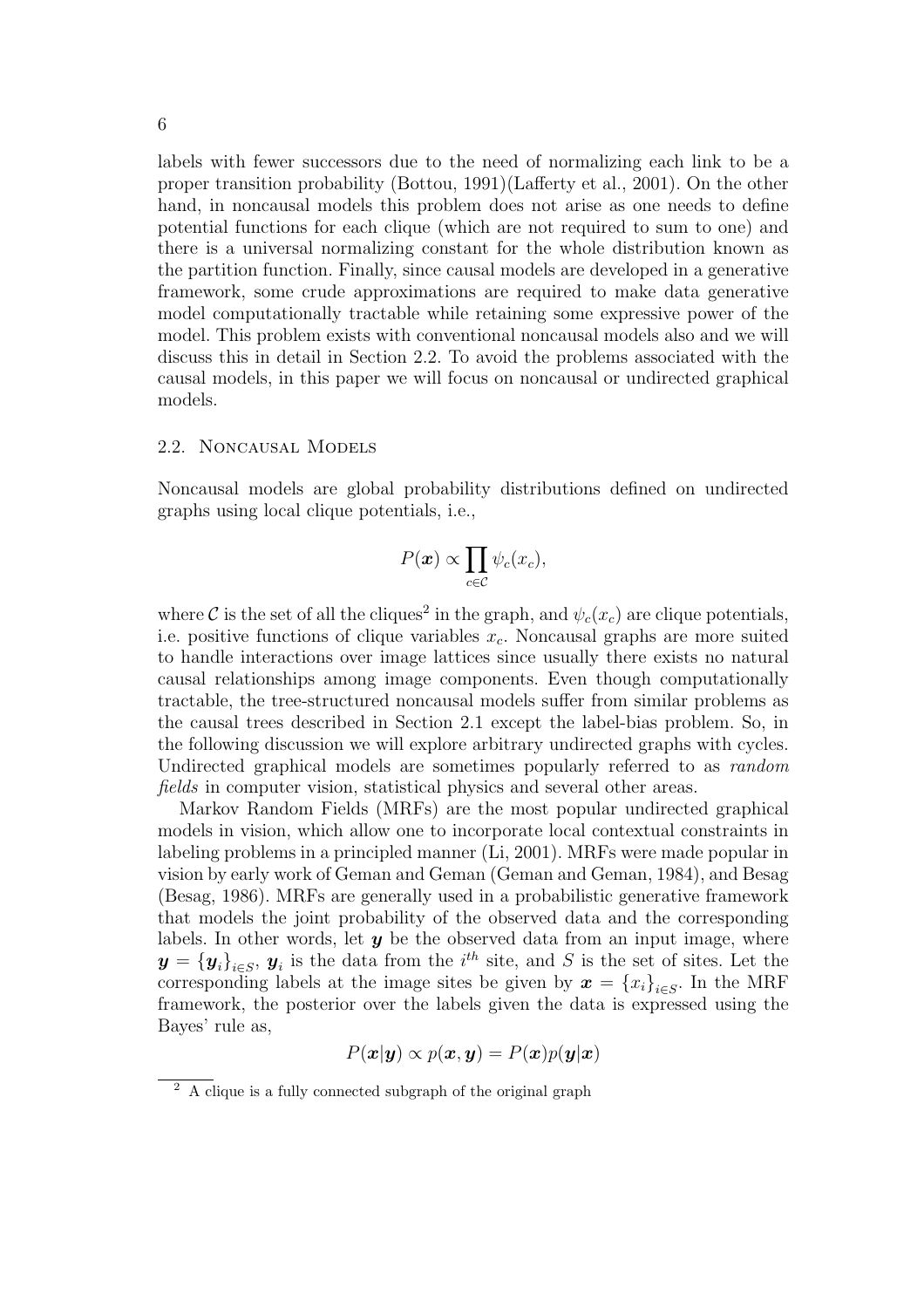labels with fewer successors due to the need of normalizing each link to be a proper transition probability (Bottou, 1991)(Lafferty et al., 2001). On the other hand, in noncausal models this problem does not arise as one needs to define potential functions for each clique (which are not required to sum to one) and there is a universal normalizing constant for the whole distribution known as the partition function. Finally, since causal models are developed in a generative framework, some crude approximations are required to make data generative model computationally tractable while retaining some expressive power of the model. This problem exists with conventional noncausal models also and we will discuss this in detail in Section 2.2. To avoid the problems associated with the causal models, in this paper we will focus on noncausal or undirected graphical models.

#### 2.2. Noncausal Models

Noncausal models are global probability distributions defined on undirected graphs using local clique potentials, i.e.,

$$
P(\boldsymbol{x}) \propto \prod_{c \in \mathcal{C}} \psi_c(x_c),
$$

where C is the set of all the cliques<sup>2</sup> in the graph, and  $\psi_c(x_c)$  are clique potentials, i.e. positive functions of clique variables  $x_c$ . Noncausal graphs are more suited to handle interactions over image lattices since usually there exists no natural causal relationships among image components. Even though computationally tractable, the tree-structured noncausal models suffer from similar problems as the causal trees described in Section 2.1 except the label-bias problem. So, in the following discussion we will explore arbitrary undirected graphs with cycles. Undirected graphical models are sometimes popularly referred to as random fields in computer vision, statistical physics and several other areas.

Markov Random Fields (MRFs) are the most popular undirected graphical models in vision, which allow one to incorporate local contextual constraints in labeling problems in a principled manner (Li, 2001). MRFs were made popular in vision by early work of Geman and Geman (Geman and Geman, 1984), and Besag (Besag, 1986). MRFs are generally used in a probabilistic generative framework that models the joint probability of the observed data and the corresponding labels. In other words, let  $y$  be the observed data from an input image, where  $y = {\{y_i\}}_{i \in S}, y_i$  is the data from the  $i^{th}$  site, and S is the set of sites. Let the corresponding labels at the image sites be given by  $\boldsymbol{x} = \{x_i\}_{i \in S}$ . In the MRF framework, the posterior over the labels given the data is expressed using the Bayes' rule as,

$$
P(\mathbf{x}|\mathbf{y}) \propto p(\mathbf{x}, \mathbf{y}) = P(\mathbf{x})p(\mathbf{y}|\mathbf{x})
$$

6

 $\overline{2\ A}$  clique is a fully connected subgraph of the original graph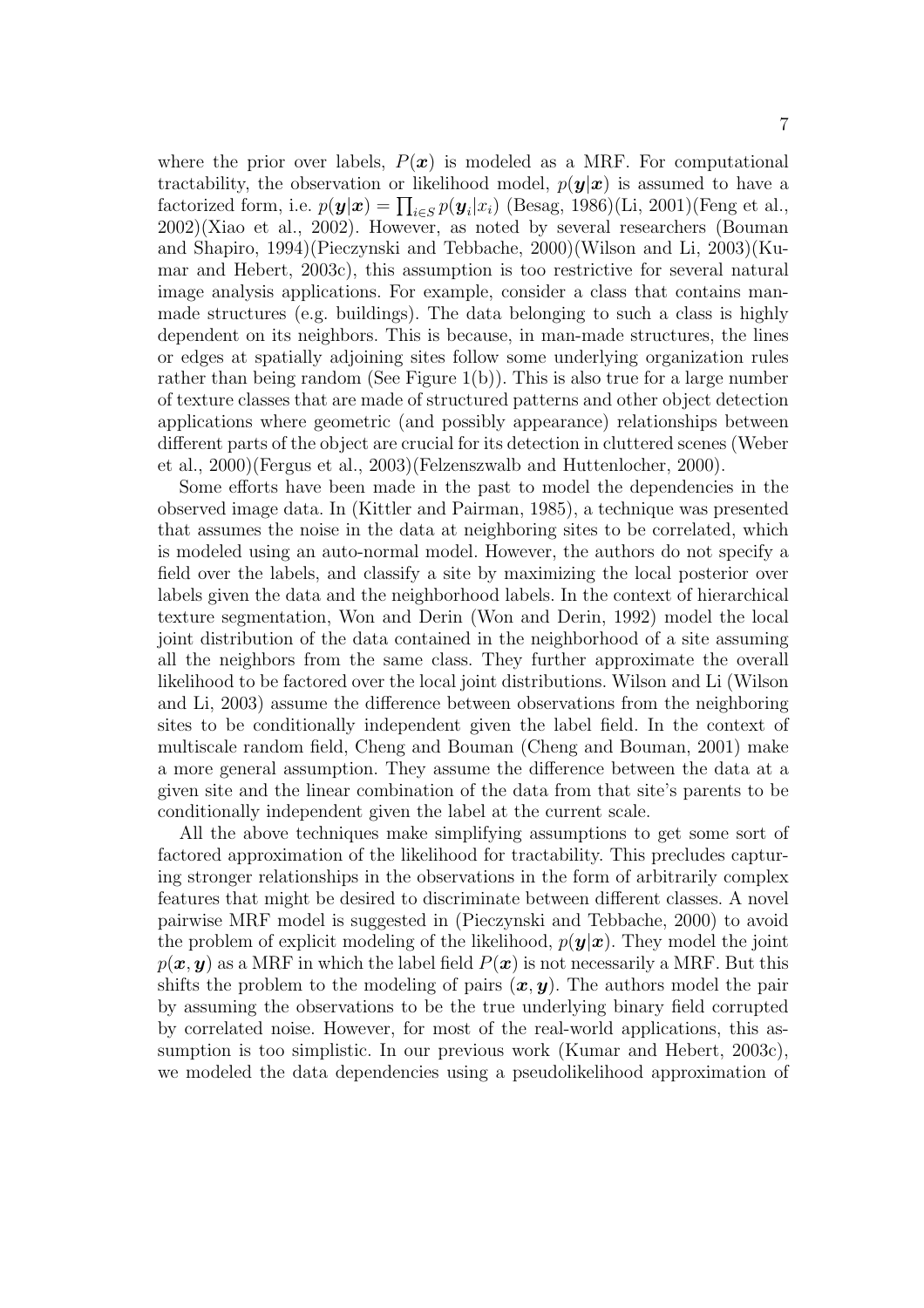where the prior over labels,  $P(x)$  is modeled as a MRF. For computational tractability, the observation or likelihood model,  $p(\mathbf{y}|\mathbf{x})$  is assumed to have a tractability, the observation or intentiood model,  $p(\mathbf{y}|\mathbf{x})$  is assumed to have a factorized form, i.e.  $p(\mathbf{y}|\mathbf{x}) = \prod_{i \in S} p(\mathbf{y}_i|x_i)$  (Besag, 1986)(Li, 2001)(Feng et al.,  $2002$ )(Xiao et al., 2002). However, as noted by several researchers (Bouman and Shapiro, 1994)(Pieczynski and Tebbache, 2000)(Wilson and Li, 2003)(Kumar and Hebert, 2003c), this assumption is too restrictive for several natural image analysis applications. For example, consider a class that contains manmade structures (e.g. buildings). The data belonging to such a class is highly dependent on its neighbors. This is because, in man-made structures, the lines or edges at spatially adjoining sites follow some underlying organization rules rather than being random (See Figure  $1(b)$ ). This is also true for a large number of texture classes that are made of structured patterns and other object detection applications where geometric (and possibly appearance) relationships between different parts of the object are crucial for its detection in cluttered scenes (Weber et al., 2000)(Fergus et al., 2003)(Felzenszwalb and Huttenlocher, 2000).

Some efforts have been made in the past to model the dependencies in the observed image data. In (Kittler and Pairman, 1985), a technique was presented that assumes the noise in the data at neighboring sites to be correlated, which is modeled using an auto-normal model. However, the authors do not specify a field over the labels, and classify a site by maximizing the local posterior over labels given the data and the neighborhood labels. In the context of hierarchical texture segmentation, Won and Derin (Won and Derin, 1992) model the local joint distribution of the data contained in the neighborhood of a site assuming all the neighbors from the same class. They further approximate the overall likelihood to be factored over the local joint distributions. Wilson and Li (Wilson and Li, 2003) assume the difference between observations from the neighboring sites to be conditionally independent given the label field. In the context of multiscale random field, Cheng and Bouman (Cheng and Bouman, 2001) make a more general assumption. They assume the difference between the data at a given site and the linear combination of the data from that site's parents to be conditionally independent given the label at the current scale.

All the above techniques make simplifying assumptions to get some sort of factored approximation of the likelihood for tractability. This precludes capturing stronger relationships in the observations in the form of arbitrarily complex features that might be desired to discriminate between different classes. A novel pairwise MRF model is suggested in (Pieczynski and Tebbache, 2000) to avoid the problem of explicit modeling of the likelihood,  $p(y|x)$ . They model the joint  $p(x, y)$  as a MRF in which the label field  $P(x)$  is not necessarily a MRF. But this shifts the problem to the modeling of pairs  $(x, y)$ . The authors model the pair by assuming the observations to be the true underlying binary field corrupted by correlated noise. However, for most of the real-world applications, this assumption is too simplistic. In our previous work (Kumar and Hebert, 2003c), we modeled the data dependencies using a pseudolikelihood approximation of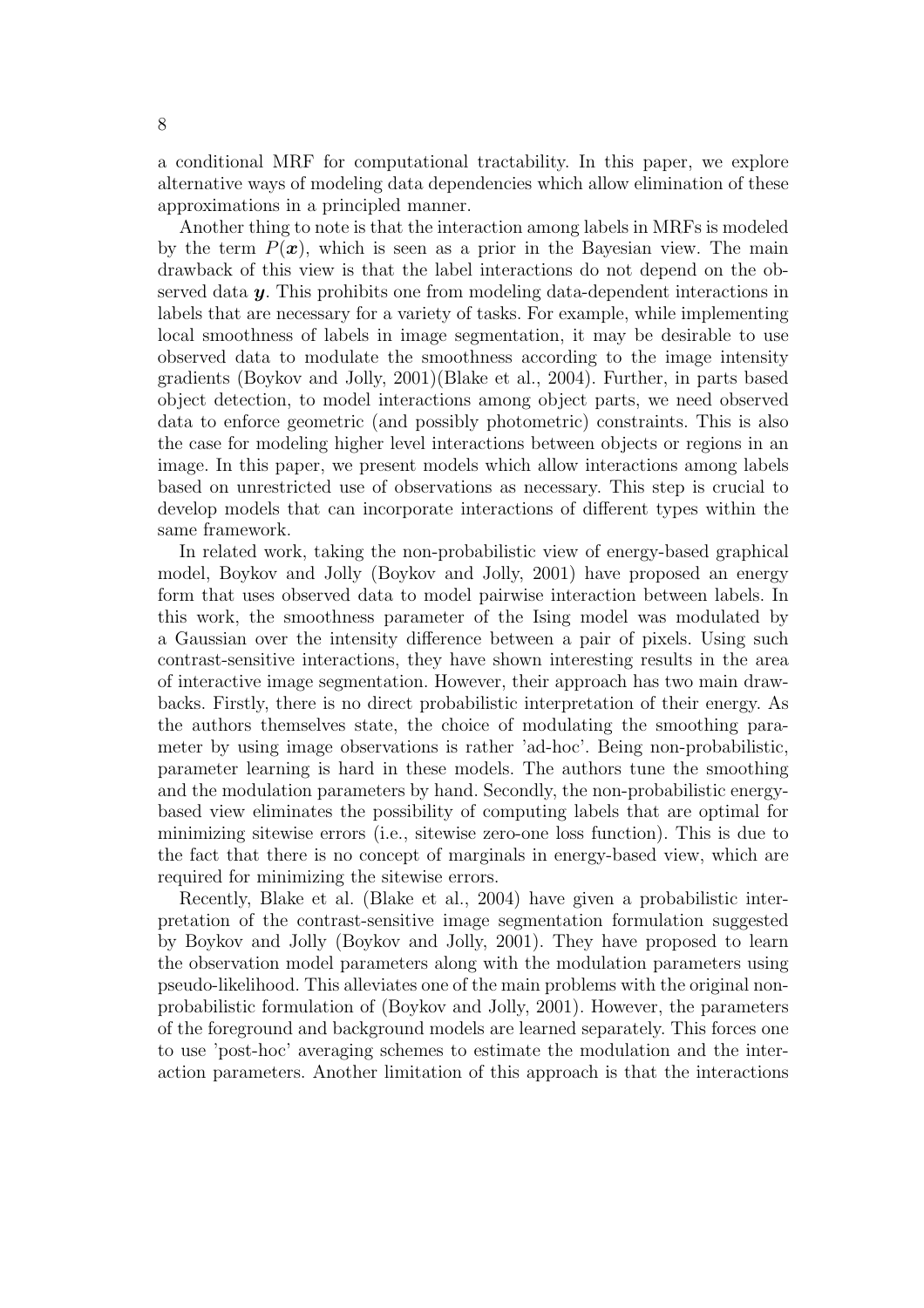a conditional MRF for computational tractability. In this paper, we explore alternative ways of modeling data dependencies which allow elimination of these approximations in a principled manner.

Another thing to note is that the interaction among labels in MRFs is modeled by the term  $P(x)$ , which is seen as a prior in the Bayesian view. The main drawback of this view is that the label interactions do not depend on the observed data y. This prohibits one from modeling data-dependent interactions in labels that are necessary for a variety of tasks. For example, while implementing local smoothness of labels in image segmentation, it may be desirable to use observed data to modulate the smoothness according to the image intensity gradients (Boykov and Jolly, 2001)(Blake et al., 2004). Further, in parts based object detection, to model interactions among object parts, we need observed data to enforce geometric (and possibly photometric) constraints. This is also the case for modeling higher level interactions between objects or regions in an image. In this paper, we present models which allow interactions among labels based on unrestricted use of observations as necessary. This step is crucial to develop models that can incorporate interactions of different types within the same framework.

In related work, taking the non-probabilistic view of energy-based graphical model, Boykov and Jolly (Boykov and Jolly, 2001) have proposed an energy form that uses observed data to model pairwise interaction between labels. In this work, the smoothness parameter of the Ising model was modulated by a Gaussian over the intensity difference between a pair of pixels. Using such contrast-sensitive interactions, they have shown interesting results in the area of interactive image segmentation. However, their approach has two main drawbacks. Firstly, there is no direct probabilistic interpretation of their energy. As the authors themselves state, the choice of modulating the smoothing parameter by using image observations is rather 'ad-hoc'. Being non-probabilistic, parameter learning is hard in these models. The authors tune the smoothing and the modulation parameters by hand. Secondly, the non-probabilistic energybased view eliminates the possibility of computing labels that are optimal for minimizing sitewise errors (i.e., sitewise zero-one loss function). This is due to the fact that there is no concept of marginals in energy-based view, which are required for minimizing the sitewise errors.

Recently, Blake et al. (Blake et al., 2004) have given a probabilistic interpretation of the contrast-sensitive image segmentation formulation suggested by Boykov and Jolly (Boykov and Jolly, 2001). They have proposed to learn the observation model parameters along with the modulation parameters using pseudo-likelihood. This alleviates one of the main problems with the original nonprobabilistic formulation of (Boykov and Jolly, 2001). However, the parameters of the foreground and background models are learned separately. This forces one to use 'post-hoc' averaging schemes to estimate the modulation and the interaction parameters. Another limitation of this approach is that the interactions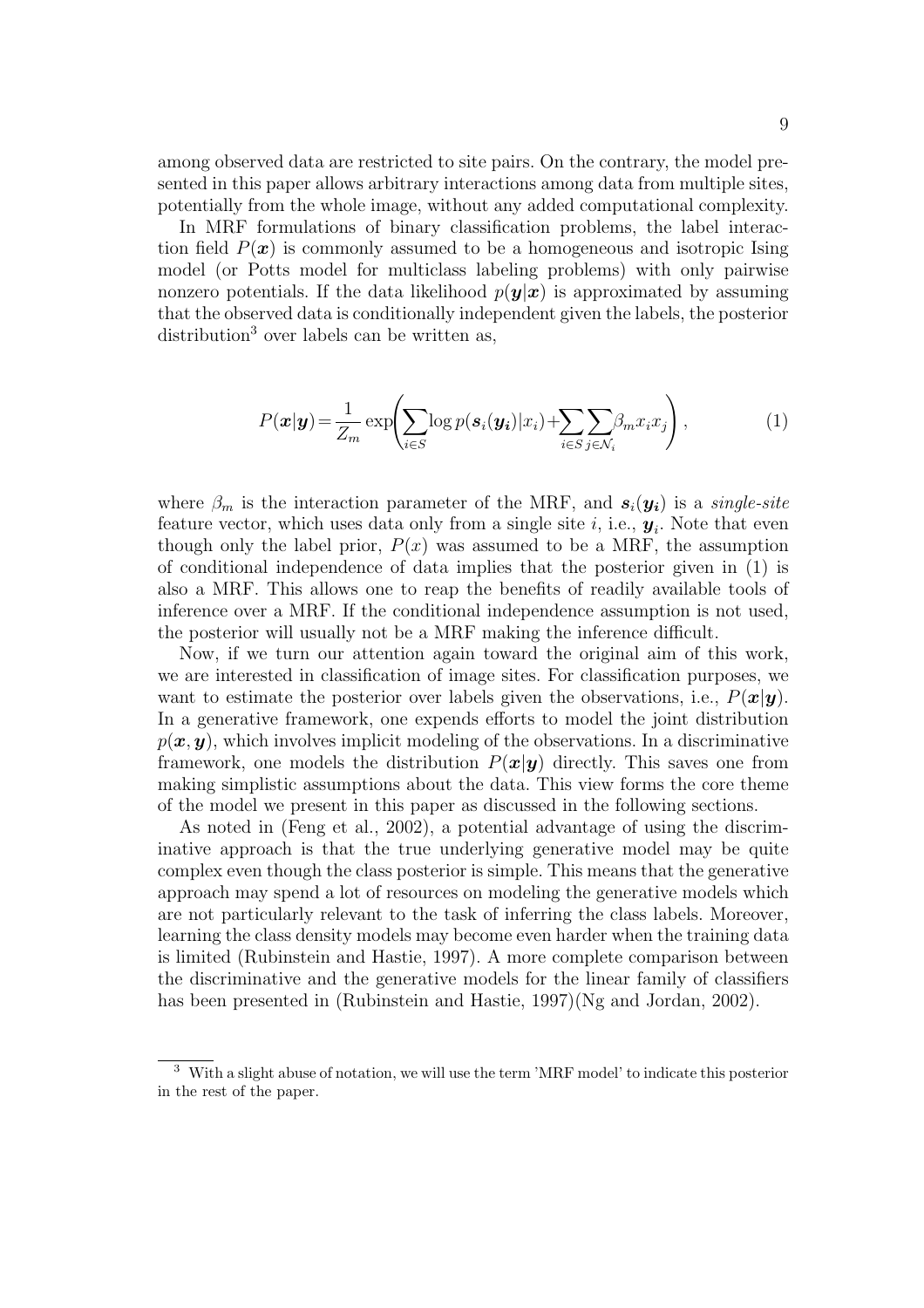among observed data are restricted to site pairs. On the contrary, the model presented in this paper allows arbitrary interactions among data from multiple sites, potentially from the whole image, without any added computational complexity.

In MRF formulations of binary classification problems, the label interaction field  $P(x)$  is commonly assumed to be a homogeneous and isotropic Ising model (or Potts model for multiclass labeling problems) with only pairwise nonzero potentials. If the data likelihood  $p(\mathbf{y}|\mathbf{x})$  is approximated by assuming that the observed data is conditionally independent given the labels, the posterior distribution<sup>3</sup> over labels can be written as,

$$
P(\boldsymbol{x}|\boldsymbol{y}) = \frac{1}{Z_m} \exp\left(\sum_{i \in S} \log p(\boldsymbol{s}_i(\boldsymbol{y_i})|x_i) + \sum_{i \in S} \sum_{j \in \mathcal{N}_i} \beta_m x_i x_j\right),\tag{1}
$$

where  $\beta_m$  is the interaction parameter of the MRF, and  $s_i(y_i)$  is a *single-site* feature vector, which uses data only from a single site  $i$ , i.e.,  $\mathbf{y}_i$ . Note that even though only the label prior,  $P(x)$  was assumed to be a MRF, the assumption of conditional independence of data implies that the posterior given in (1) is also a MRF. This allows one to reap the benefits of readily available tools of inference over a MRF. If the conditional independence assumption is not used, the posterior will usually not be a MRF making the inference difficult.

Now, if we turn our attention again toward the original aim of this work, we are interested in classification of image sites. For classification purposes, we want to estimate the posterior over labels given the observations, i.e.,  $P(x|y)$ . In a generative framework, one expends efforts to model the joint distribution  $p(x, y)$ , which involves implicit modeling of the observations. In a discriminative framework, one models the distribution  $P(x|y)$  directly. This saves one from making simplistic assumptions about the data. This view forms the core theme of the model we present in this paper as discussed in the following sections.

As noted in (Feng et al., 2002), a potential advantage of using the discriminative approach is that the true underlying generative model may be quite complex even though the class posterior is simple. This means that the generative approach may spend a lot of resources on modeling the generative models which are not particularly relevant to the task of inferring the class labels. Moreover, learning the class density models may become even harder when the training data is limited (Rubinstein and Hastie, 1997). A more complete comparison between the discriminative and the generative models for the linear family of classifiers has been presented in (Rubinstein and Hastie, 1997)(Ng and Jordan, 2002).

<sup>3</sup> With a slight abuse of notation, we will use the term 'MRF model' to indicate this posterior in the rest of the paper.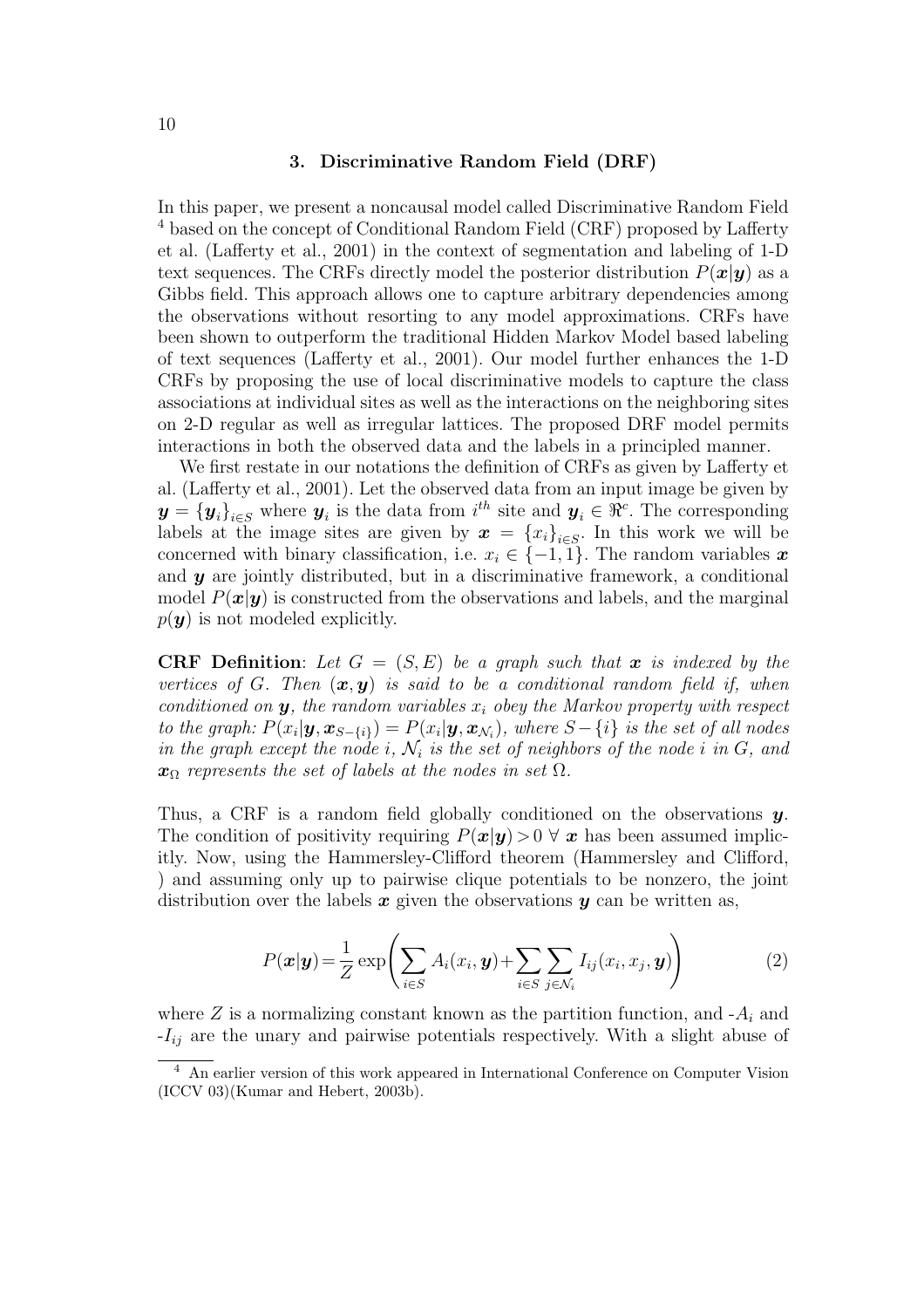# 3. Discriminative Random Field (DRF)

In this paper, we present a noncausal model called Discriminative Random Field <sup>4</sup> based on the concept of Conditional Random Field (CRF) proposed by Lafferty et al. (Lafferty et al., 2001) in the context of segmentation and labeling of 1-D text sequences. The CRFs directly model the posterior distribution  $P(x|y)$  as a Gibbs field. This approach allows one to capture arbitrary dependencies among the observations without resorting to any model approximations. CRFs have been shown to outperform the traditional Hidden Markov Model based labeling of text sequences (Lafferty et al., 2001). Our model further enhances the 1-D CRFs by proposing the use of local discriminative models to capture the class associations at individual sites as well as the interactions on the neighboring sites on 2-D regular as well as irregular lattices. The proposed DRF model permits interactions in both the observed data and the labels in a principled manner.

We first restate in our notations the definition of CRFs as given by Lafferty et al. (Lafferty et al., 2001). Let the observed data from an input image be given by  $y = \{y_i\}_{i \in S}$  where  $y_i$  is the data from  $i^{th}$  site and  $y_i \in \Re^c$ . The corresponding labels at the image sites are given by  $\boldsymbol{x} = {x_i}_{i \in S}$ . In this work we will be concerned with binary classification, i.e.  $x_i \in \{-1, 1\}$ . The random variables x and  $y$  are jointly distributed, but in a discriminative framework, a conditional model  $P(x|y)$  is constructed from the observations and labels, and the marginal  $p(\mathbf{y})$  is not modeled explicitly.

**CRF** Definition: Let  $G = (S, E)$  be a graph such that x is indexed by the vertices of G. Then  $(x, y)$  is said to be a conditional random field if, when conditioned on  $y$ , the random variables  $x_i$  obey the Markov property with respect to the graph:  $P(x_i|\bm{y},\bm{x}_{S-\{i\}}) = P(x_i|\bm{y},\bm{x}_{\mathcal{N}_i})$ , where  $S-\{i\}$  is the set of all nodes in the graph except the node i,  $\mathcal{N}_i$  is the set of neighbors of the node i in G, and  $x_{\Omega}$  represents the set of labels at the nodes in set  $\Omega$ .

Thus, a CRF is a random field globally conditioned on the observations y. The condition of positivity requiring  $P(x|y) > 0 \forall x$  has been assumed implicitly. Now, using the Hammersley-Clifford theorem (Hammersley and Clifford, ) and assuming only up to pairwise clique potentials to be nonzero, the joint distribution over the labels  $x$  given the observations  $y$  can be written as,

$$
P(\boldsymbol{x}|\boldsymbol{y}) = \frac{1}{Z} \exp\left(\sum_{i \in S} A_i(x_i, \boldsymbol{y}) + \sum_{i \in S} \sum_{j \in \mathcal{N}_i} I_{ij}(x_i, x_j, \boldsymbol{y})\right)
$$
(2)

where  $Z$  is a normalizing constant known as the partition function, and  $-A_i$  and  $-I_{ij}$  are the unary and pairwise potentials respectively. With a slight abuse of

<sup>4</sup> An earlier version of this work appeared in International Conference on Computer Vision (ICCV 03)(Kumar and Hebert, 2003b).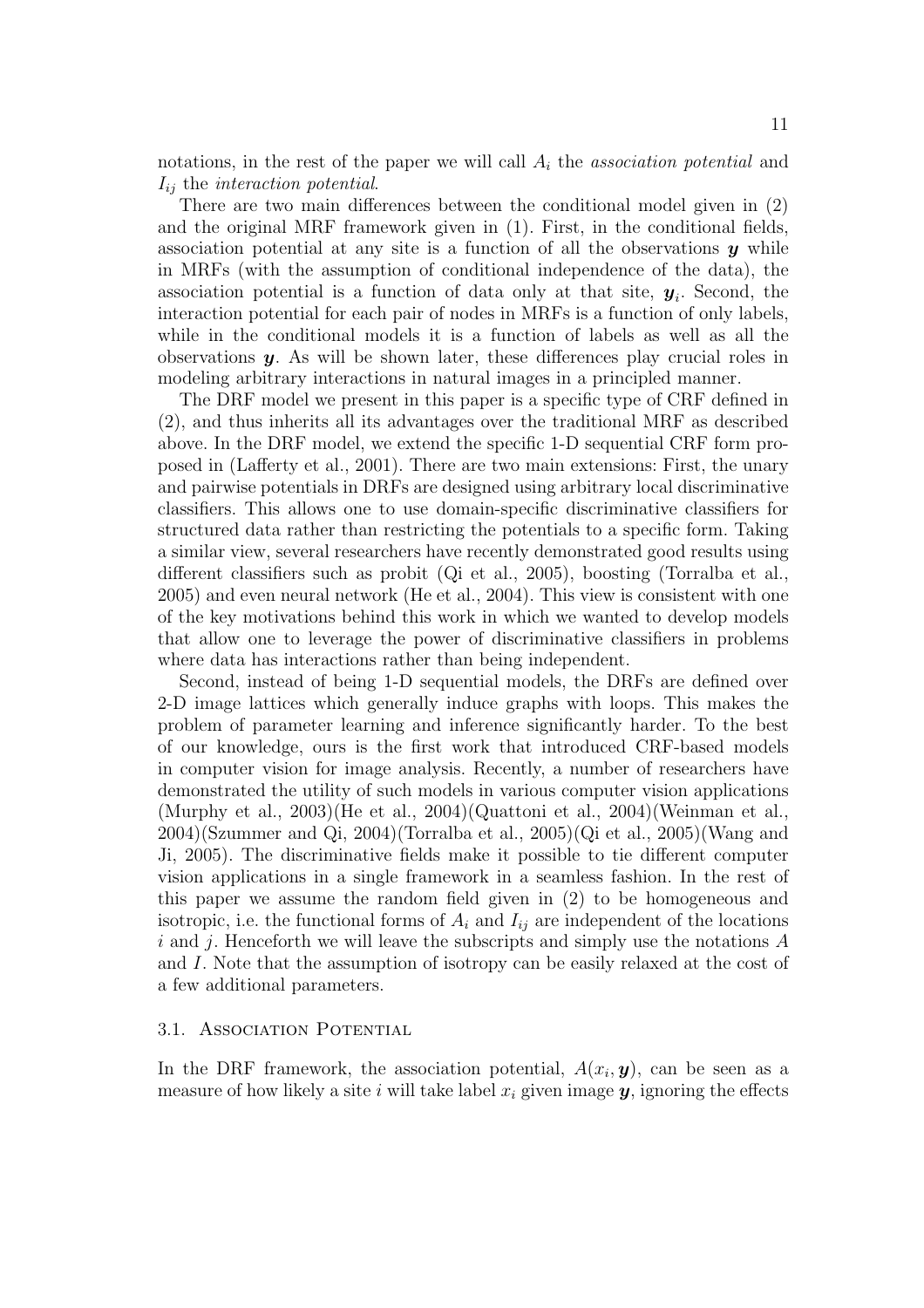notations, in the rest of the paper we will call  $A_i$  the *association potential* and  $I_{ij}$  the *interaction potential*.

There are two main differences between the conditional model given in (2) and the original MRF framework given in (1). First, in the conditional fields, association potential at any site is a function of all the observations  $\boldsymbol{y}$  while in MRFs (with the assumption of conditional independence of the data), the association potential is a function of data only at that site,  $y_i$ . Second, the interaction potential for each pair of nodes in MRFs is a function of only labels, while in the conditional models it is a function of labels as well as all the observations  $y$ . As will be shown later, these differences play crucial roles in modeling arbitrary interactions in natural images in a principled manner.

The DRF model we present in this paper is a specific type of CRF defined in (2), and thus inherits all its advantages over the traditional MRF as described above. In the DRF model, we extend the specific 1-D sequential CRF form proposed in (Lafferty et al., 2001). There are two main extensions: First, the unary and pairwise potentials in DRFs are designed using arbitrary local discriminative classifiers. This allows one to use domain-specific discriminative classifiers for structured data rather than restricting the potentials to a specific form. Taking a similar view, several researchers have recently demonstrated good results using different classifiers such as probit (Qi et al., 2005), boosting (Torralba et al., 2005) and even neural network (He et al., 2004). This view is consistent with one of the key motivations behind this work in which we wanted to develop models that allow one to leverage the power of discriminative classifiers in problems where data has interactions rather than being independent.

Second, instead of being 1-D sequential models, the DRFs are defined over 2-D image lattices which generally induce graphs with loops. This makes the problem of parameter learning and inference significantly harder. To the best of our knowledge, ours is the first work that introduced CRF-based models in computer vision for image analysis. Recently, a number of researchers have demonstrated the utility of such models in various computer vision applications (Murphy et al.,  $2003$ )(He et al.,  $2004$ )(Quattoni et al.,  $2004$ )(Weinman et al., 2004)(Szummer and Qi, 2004)(Torralba et al., 2005)(Qi et al., 2005)(Wang and Ji, 2005). The discriminative fields make it possible to tie different computer vision applications in a single framework in a seamless fashion. In the rest of this paper we assume the random field given in (2) to be homogeneous and isotropic, i.e. the functional forms of  $A_i$  and  $I_{ij}$  are independent of the locations  $i$  and  $j$ . Henceforth we will leave the subscripts and simply use the notations  $A$ and I. Note that the assumption of isotropy can be easily relaxed at the cost of a few additional parameters.

# 3.1. ASSOCIATION POTENTIAL

In the DRF framework, the association potential,  $A(x_i, y)$ , can be seen as a measure of how likely a site i will take label  $x_i$  given image  $y$ , ignoring the effects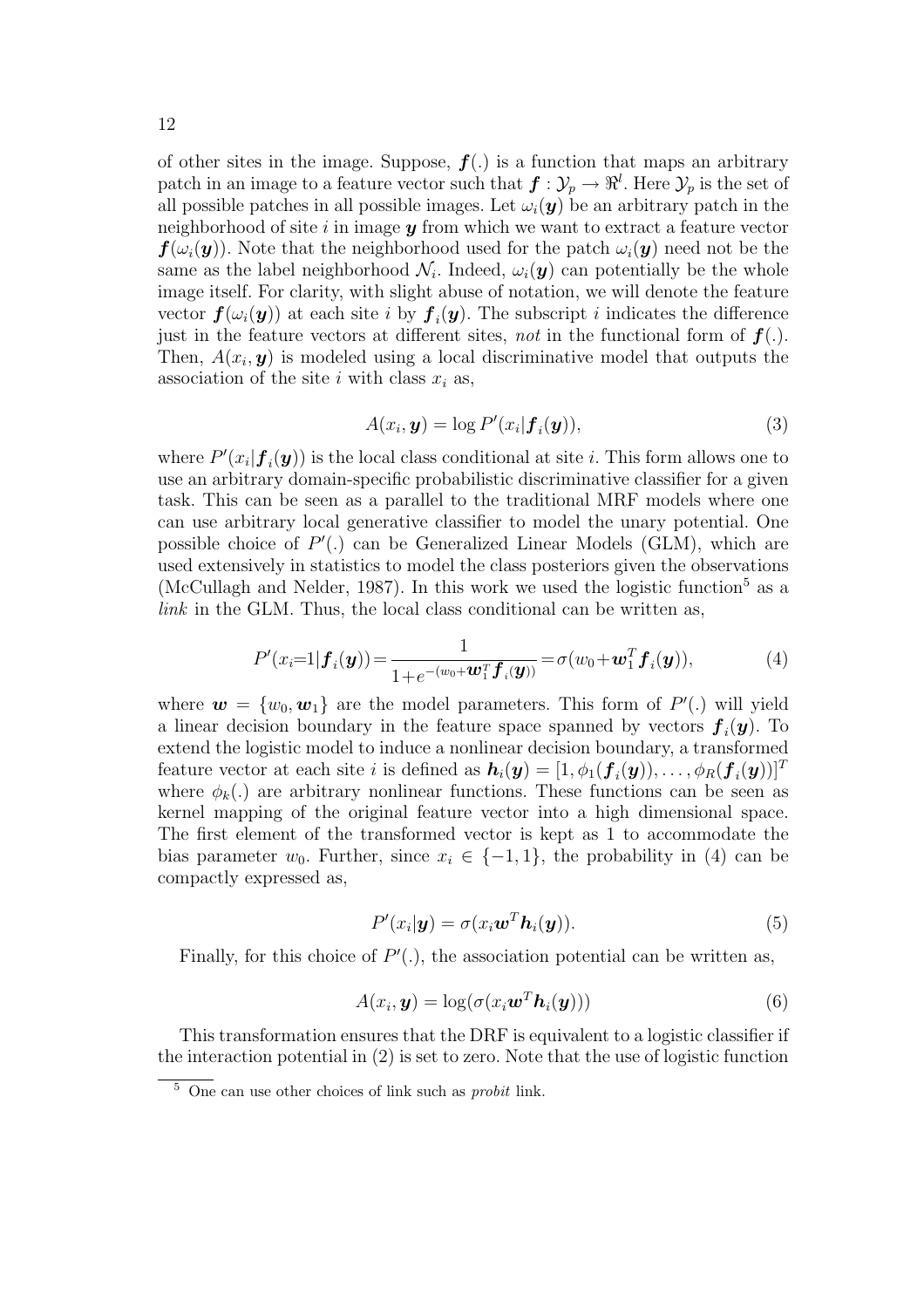of other sites in the image. Suppose,  $f(.)$  is a function that maps an arbitrary patch in an image to a feature vector such that  $f: \mathcal{Y}_p \to \mathbb{R}^l$ . Here  $\mathcal{Y}_p$  is the set of all possible patches in all possible images. Let  $\omega_i(\mathbf{y})$  be an arbitrary patch in the neighborhood of site  $i$  in image  $y$  from which we want to extract a feature vector  $f(\omega_i(y))$ . Note that the neighborhood used for the patch  $\omega_i(y)$  need not be the same as the label neighborhood  $\mathcal{N}_i$ . Indeed,  $\omega_i(\boldsymbol{y})$  can potentially be the whole image itself. For clarity, with slight abuse of notation, we will denote the feature vector  $\bm{f}(\omega_i(\bm{y}))$  at each site i by  $\bm{f}_i(\bm{y})$ . The subscript i indicates the difference just in the feature vectors at different sites, not in the functional form of  $f(.)$ . Then,  $A(x_i, y)$  is modeled using a local discriminative model that outputs the association of the site i with class  $x_i$  as,

$$
A(x_i, \mathbf{y}) = \log P'(x_i | \mathbf{f}_i(\mathbf{y})), \tag{3}
$$

where  $P'(x_i|\boldsymbol{f}_i(\boldsymbol{y}))$  is the local class conditional at site *i*. This form allows one to use an arbitrary domain-specific probabilistic discriminative classifier for a given task. This can be seen as a parallel to the traditional MRF models where one can use arbitrary local generative classifier to model the unary potential. One possible choice of  $P'$ . can be Generalized Linear Models (GLM), which are used extensively in statistics to model the class posteriors given the observations (McCullagh and Nelder, 1987). In this work we used the logistic function<sup>5</sup> as a link in the GLM. Thus, the local class conditional can be written as,

$$
P'(x_i=1|\boldsymbol{f}_i(\boldsymbol{y})) = \frac{1}{1+e^{-(w_0+\boldsymbol{w}_1^T\boldsymbol{f}_i(\boldsymbol{y}))}} = \sigma(w_0+\boldsymbol{w}_1^T\boldsymbol{f}_i(\boldsymbol{y})),
$$
\n(4)

where  $\mathbf{w} = \{w_0, \mathbf{w}_1\}$  are the model parameters. This form of  $P'(.)$  will yield a linear decision boundary in the feature space spanned by vectors  $f_i(y)$ . To extend the logistic model to induce a nonlinear decision boundary, a transformed feature vector at each site i is defined as  $\bm{h}_i(\bm{y}) = [1, \phi_1(\bm{f}_i(\bm{y})), \dots, \phi_R(\bm{f}_i(\bm{y}))]^T$ where  $\phi_k(.)$  are arbitrary nonlinear functions. These functions can be seen as kernel mapping of the original feature vector into a high dimensional space. The first element of the transformed vector is kept as 1 to accommodate the bias parameter  $w_0$ . Further, since  $x_i \in \{-1,1\}$ , the probability in (4) can be compactly expressed as,

$$
P'(x_i|\mathbf{y}) = \sigma(x_i\mathbf{w}^T \mathbf{h}_i(\mathbf{y})).
$$
\n(5)

Finally, for this choice of  $P'$ ., the association potential can be written as,

$$
A(x_i, \mathbf{y}) = \log(\sigma(x_i \mathbf{w}^T \mathbf{h}_i(\mathbf{y})))
$$
\n(6)

This transformation ensures that the DRF is equivalent to a logistic classifier if the interaction potential in (2) is set to zero. Note that the use of logistic function

 $5$  One can use other choices of link such as *probit* link.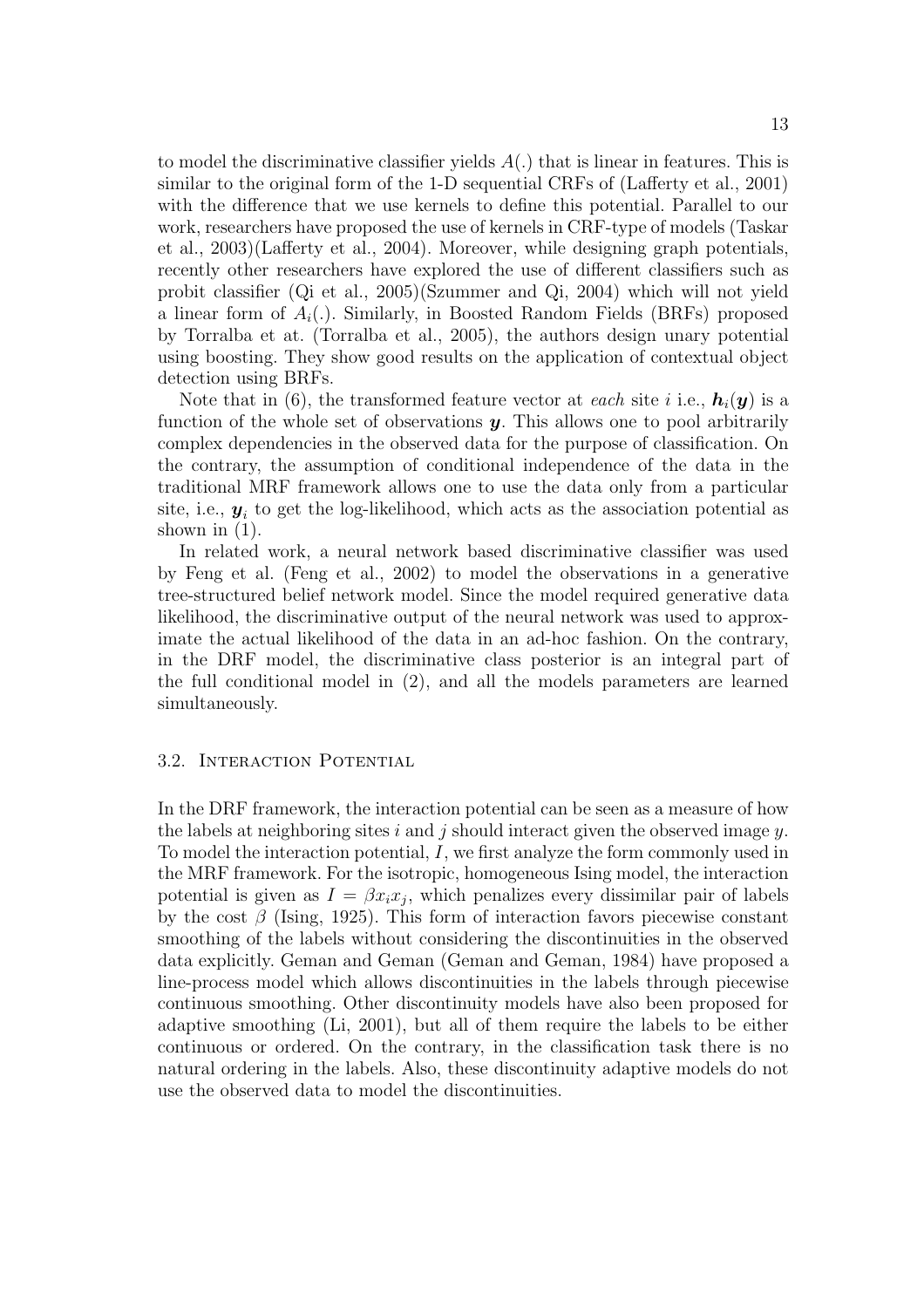to model the discriminative classifier yields  $A(.)$  that is linear in features. This is similar to the original form of the 1-D sequential CRFs of (Lafferty et al., 2001) with the difference that we use kernels to define this potential. Parallel to our work, researchers have proposed the use of kernels in CRF-type of models (Taskar et al., 2003)(Lafferty et al., 2004). Moreover, while designing graph potentials, recently other researchers have explored the use of different classifiers such as probit classifier (Qi et al., 2005)(Szummer and Qi, 2004) which will not yield a linear form of  $A_i(.)$ . Similarly, in Boosted Random Fields (BRFs) proposed by Torralba et at. (Torralba et al., 2005), the authors design unary potential using boosting. They show good results on the application of contextual object detection using BRFs.

Note that in (6), the transformed feature vector at each site i i.e.,  $\mathbf{h}_i(\mathbf{y})$  is a function of the whole set of observations  $y$ . This allows one to pool arbitrarily complex dependencies in the observed data for the purpose of classification. On the contrary, the assumption of conditional independence of the data in the traditional MRF framework allows one to use the data only from a particular site, i.e.,  $\mathbf{y}_i$  to get the log-likelihood, which acts as the association potential as shown in  $(1)$ .

In related work, a neural network based discriminative classifier was used by Feng et al. (Feng et al., 2002) to model the observations in a generative tree-structured belief network model. Since the model required generative data likelihood, the discriminative output of the neural network was used to approximate the actual likelihood of the data in an ad-hoc fashion. On the contrary, in the DRF model, the discriminative class posterior is an integral part of the full conditional model in (2), and all the models parameters are learned simultaneously.

# 3.2. Interaction Potential

In the DRF framework, the interaction potential can be seen as a measure of how the labels at neighboring sites i and j should interact given the observed image  $y$ . To model the interaction potential, I, we first analyze the form commonly used in the MRF framework. For the isotropic, homogeneous Ising model, the interaction potential is given as  $I = \beta x_i x_j$ , which penalizes every dissimilar pair of labels by the cost  $\beta$  (Ising, 1925). This form of interaction favors piecewise constant smoothing of the labels without considering the discontinuities in the observed data explicitly. Geman and Geman (Geman and Geman, 1984) have proposed a line-process model which allows discontinuities in the labels through piecewise continuous smoothing. Other discontinuity models have also been proposed for adaptive smoothing (Li, 2001), but all of them require the labels to be either continuous or ordered. On the contrary, in the classification task there is no natural ordering in the labels. Also, these discontinuity adaptive models do not use the observed data to model the discontinuities.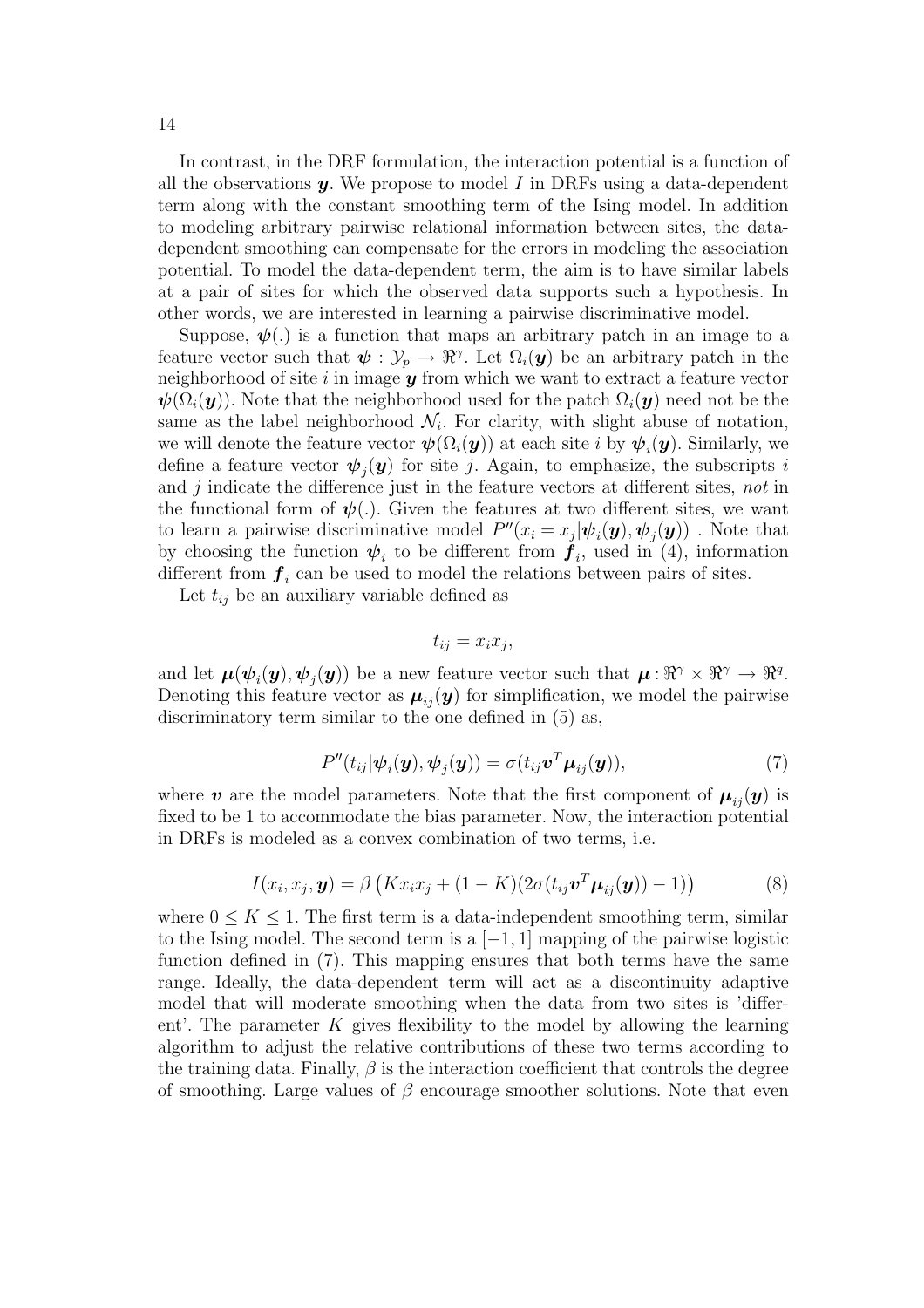In contrast, in the DRF formulation, the interaction potential is a function of all the observations  $y$ . We propose to model I in DRFs using a data-dependent term along with the constant smoothing term of the Ising model. In addition to modeling arbitrary pairwise relational information between sites, the datadependent smoothing can compensate for the errors in modeling the association potential. To model the data-dependent term, the aim is to have similar labels at a pair of sites for which the observed data supports such a hypothesis. In other words, we are interested in learning a pairwise discriminative model.

Suppose,  $\psi(.)$  is a function that maps an arbitrary patch in an image to a feature vector such that  $\psi: \mathcal{Y}_p \to \mathbb{R}^{\gamma}$ . Let  $\Omega_i(\mathbf{y})$  be an arbitrary patch in the neighborhood of site  $i$  in image  $y$  from which we want to extract a feature vector  $\psi(\Omega_i(\mathbf{y}))$ . Note that the neighborhood used for the patch  $\Omega_i(\mathbf{y})$  need not be the same as the label neighborhood  $\mathcal{N}_i$ . For clarity, with slight abuse of notation, we will denote the feature vector  $\bm{\psi}(\Omega_i(\bm{y}))$  at each site i by  $\bm{\psi}_i(\bm{y})$ . Similarly, we define a feature vector  $\psi_j(y)$  for site j. Again, to emphasize, the subscripts i and  $j$  indicate the difference just in the feature vectors at different sites, not in the functional form of  $\psi(.)$ . Given the features at two different sites, we want to learn a pairwise discriminative model  $P''(x_i = x_j | \psi_i(\mathbf{y}), \psi_j(\mathbf{y}))$ . Note that by choosing the function  $\mathbf{\psi}_i$  to be different from  $\mathbf{f}_i$ , used in (4), information different from  $f_i$  can be used to model the relations between pairs of sites.

Let  $t_{ij}$  be an auxiliary variable defined as

$$
t_{ij} = x_i x_j,
$$

and let  $\mu(\psi_i(y), \psi_j(y))$  be a new feature vector such that  $\mu : \Re^\gamma \times \Re^\gamma \to \Re^q$ . Denoting this feature vector as  $\mu_{ij}(y)$  for simplification, we model the pairwise discriminatory term similar to the one defined in (5) as,

$$
P''(t_{ij}|\boldsymbol{\psi}_i(\boldsymbol{y}),\boldsymbol{\psi}_j(\boldsymbol{y})) = \sigma(t_{ij}\boldsymbol{v}^T\boldsymbol{\mu}_{ij}(\boldsymbol{y})),
$$
\n(7)

where v are the model parameters. Note that the first component of  $\mu_{ij}(y)$  is fixed to be 1 to accommodate the bias parameter. Now, the interaction potential in DRFs is modeled as a convex combination of two terms, i.e.

$$
I(x_i, x_j, \mathbf{y}) = \beta \left( K x_i x_j + (1 - K)(2\sigma(t_{ij} \mathbf{v}^T \boldsymbol{\mu}_{ij}(\mathbf{y})) - 1) \right)
$$
(8)

where  $0 \leq K \leq 1$ . The first term is a data-independent smoothing term, similar to the Ising model. The second term is a  $[-1, 1]$  mapping of the pairwise logistic function defined in (7). This mapping ensures that both terms have the same range. Ideally, the data-dependent term will act as a discontinuity adaptive model that will moderate smoothing when the data from two sites is 'different'. The parameter  $K$  gives flexibility to the model by allowing the learning algorithm to adjust the relative contributions of these two terms according to the training data. Finally,  $\beta$  is the interaction coefficient that controls the degree of smoothing. Large values of  $\beta$  encourage smoother solutions. Note that even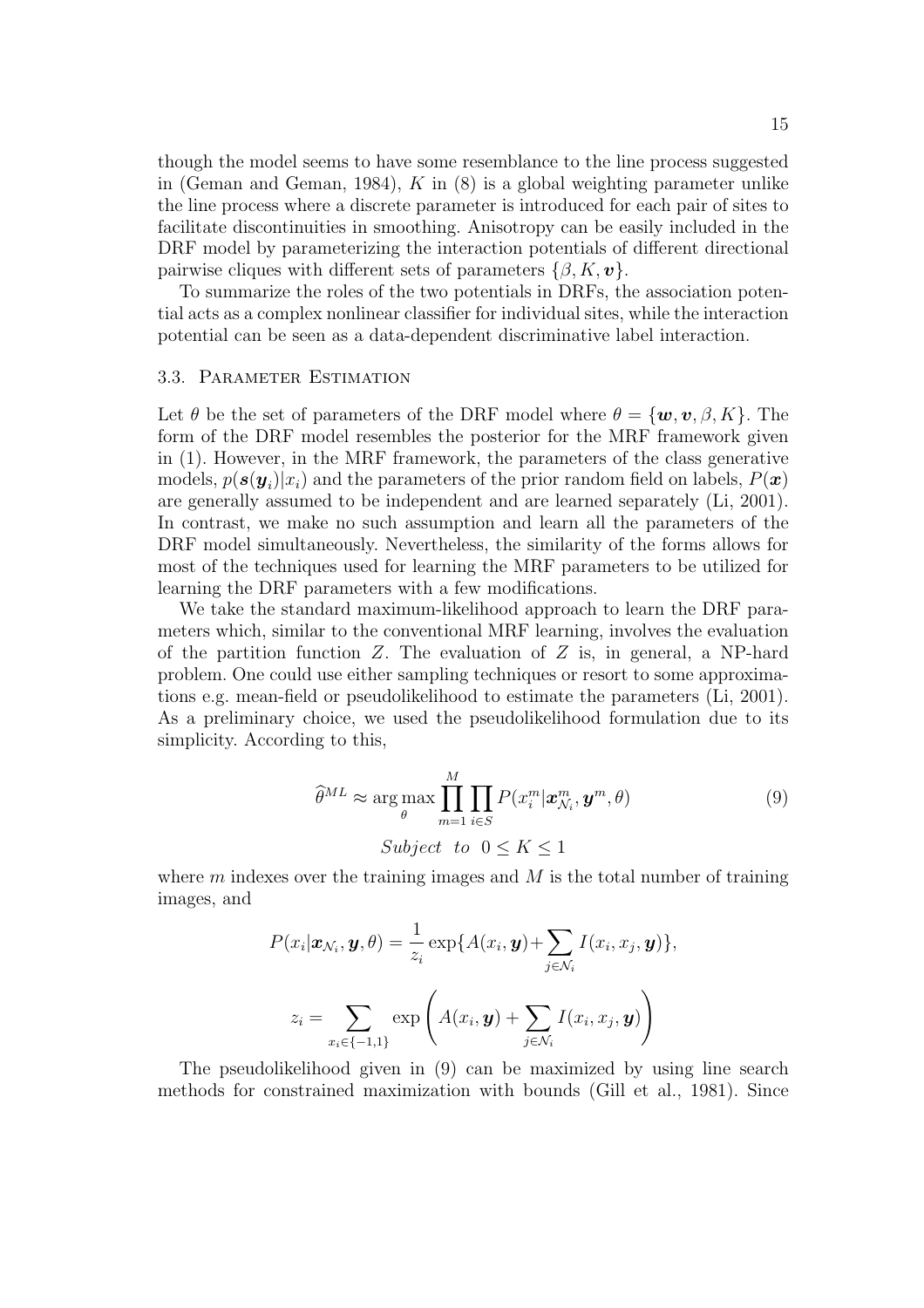though the model seems to have some resemblance to the line process suggested in (Geman and Geman, 1984),  $K$  in (8) is a global weighting parameter unlike the line process where a discrete parameter is introduced for each pair of sites to facilitate discontinuities in smoothing. Anisotropy can be easily included in the DRF model by parameterizing the interaction potentials of different directional pairwise cliques with different sets of parameters  $\{\beta, K, \nu\}.$ 

To summarize the roles of the two potentials in DRFs, the association potential acts as a complex nonlinear classifier for individual sites, while the interaction potential can be seen as a data-dependent discriminative label interaction.

#### 3.3. PARAMETER ESTIMATION

Let  $\theta$  be the set of parameters of the DRF model where  $\theta = {\bf{w}}, {\bf{v}}, \beta, K$ . The form of the DRF model resembles the posterior for the MRF framework given in (1). However, in the MRF framework, the parameters of the class generative models,  $p(\boldsymbol{s}(\boldsymbol{y}_i)|x_i)$  and the parameters of the prior random field on labels,  $P(\boldsymbol{x})$ are generally assumed to be independent and are learned separately (Li, 2001). In contrast, we make no such assumption and learn all the parameters of the DRF model simultaneously. Nevertheless, the similarity of the forms allows for most of the techniques used for learning the MRF parameters to be utilized for learning the DRF parameters with a few modifications.

We take the standard maximum-likelihood approach to learn the DRF parameters which, similar to the conventional MRF learning, involves the evaluation of the partition function  $Z$ . The evaluation of  $Z$  is, in general, a NP-hard problem. One could use either sampling techniques or resort to some approximations e.g. mean-field or pseudolikelihood to estimate the parameters (Li, 2001). As a preliminary choice, we used the pseudolikelihood formulation due to its simplicity. According to this,

$$
\widehat{\theta}^{ML} \approx \underset{\theta}{\arg \max} \prod_{m=1}^{M} \prod_{i \in S} P(x_i^m | \mathbf{x}_{\mathcal{N}_i}^m, \mathbf{y}^m, \theta)
$$
\n
$$
\text{Subject to } 0 \le K \le 1
$$
\n(9)

where  $m$  indexes over the training images and  $M$  is the total number of training images, and

$$
P(x_i|\mathbf{x}_{\mathcal{N}_i}, \mathbf{y}, \theta) = \frac{1}{z_i} \exp\{A(x_i, \mathbf{y}) + \sum_{j \in \mathcal{N}_i} I(x_i, x_j, \mathbf{y})\},
$$

$$
z_i = \sum_{x_i \in \{-1, 1\}} \exp\left(A(x_i, \mathbf{y}) + \sum_{j \in \mathcal{N}_i} I(x_i, x_j, \mathbf{y})\right)
$$

The pseudolikelihood given in (9) can be maximized by using line search methods for constrained maximization with bounds (Gill et al., 1981). Since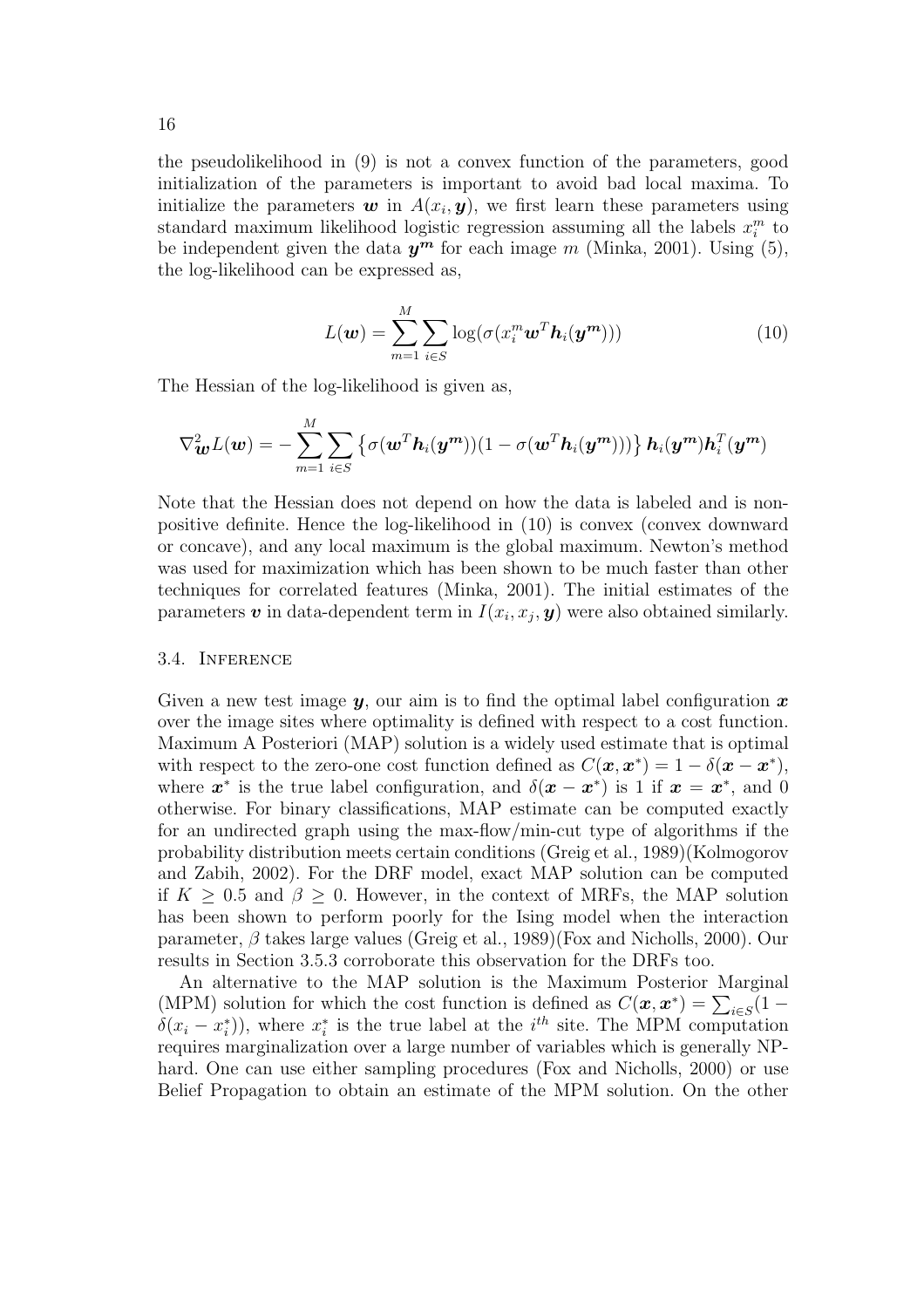the pseudolikelihood in (9) is not a convex function of the parameters, good initialization of the parameters is important to avoid bad local maxima. To initialize the parameters  $w$  in  $A(x_i, y)$ , we first learn these parameters using standard maximum likelihood logistic regression assuming all the labels  $x_i^m$  to be independent given the data  $y^m$  for each image m (Minka, 2001). Using (5), the log-likelihood can be expressed as,

$$
L(\boldsymbol{w}) = \sum_{m=1}^{M} \sum_{i \in S} \log(\sigma(x_i^m \boldsymbol{w}^T \boldsymbol{h}_i(\boldsymbol{y}^m)))
$$
(10)

The Hessian of the log-likelihood is given as,

$$
\nabla_{\boldsymbol{w}}^2 L(\boldsymbol{w}) = -\sum_{m=1}^M \sum_{i \in S} \left\{ \sigma(\boldsymbol{w}^T \boldsymbol{h}_i(\boldsymbol{y}^{\boldsymbol{m}})) (1 - \sigma(\boldsymbol{w}^T \boldsymbol{h}_i(\boldsymbol{y}^{\boldsymbol{m}}))) \right\} \boldsymbol{h}_i(\boldsymbol{y}^{\boldsymbol{m}}) \boldsymbol{h}_i^T(\boldsymbol{y}^{\boldsymbol{m}})
$$

Note that the Hessian does not depend on how the data is labeled and is nonpositive definite. Hence the log-likelihood in (10) is convex (convex downward or concave), and any local maximum is the global maximum. Newton's method was used for maximization which has been shown to be much faster than other techniques for correlated features (Minka, 2001). The initial estimates of the parameters  $\boldsymbol{v}$  in data-dependent term in  $I(x_i, x_j, \boldsymbol{y})$  were also obtained similarly.

#### 3.4. Inference

Given a new test image  $y$ , our aim is to find the optimal label configuration  $x$ over the image sites where optimality is defined with respect to a cost function. Maximum A Posteriori (MAP) solution is a widely used estimate that is optimal with respect to the zero-one cost function defined as  $C(\mathbf{x}, \mathbf{x}^*) = 1 - \delta(\mathbf{x} - \mathbf{x}^*)$ , where  $x^*$  is the true label configuration, and  $\delta(x - x^*)$  is 1 if  $x = x^*$ , and 0 otherwise. For binary classifications, MAP estimate can be computed exactly for an undirected graph using the max-flow/min-cut type of algorithms if the probability distribution meets certain conditions (Greig et al., 1989)(Kolmogorov and Zabih, 2002). For the DRF model, exact MAP solution can be computed if  $K \geq 0.5$  and  $\beta \geq 0$ . However, in the context of MRFs, the MAP solution has been shown to perform poorly for the Ising model when the interaction parameter,  $\beta$  takes large values (Greig et al., 1989)(Fox and Nicholls, 2000). Our results in Section 3.5.3 corroborate this observation for the DRFs too.

An alternative to the MAP solution is the Maximum Posterior Marginal An alternative to the MAP solution is the Maximum Posterior Marginal (MPM) solution for which the cost function is defined as  $C(\mathbf{x}, \mathbf{x}^*) = \sum_{i \in S} (1 \delta(x_i - x_i^*)$ , where  $x_i^*$  is the true label at the  $i^{th}$  site. The MPM computation requires marginalization over a large number of variables which is generally NPhard. One can use either sampling procedures (Fox and Nicholls, 2000) or use Belief Propagation to obtain an estimate of the MPM solution. On the other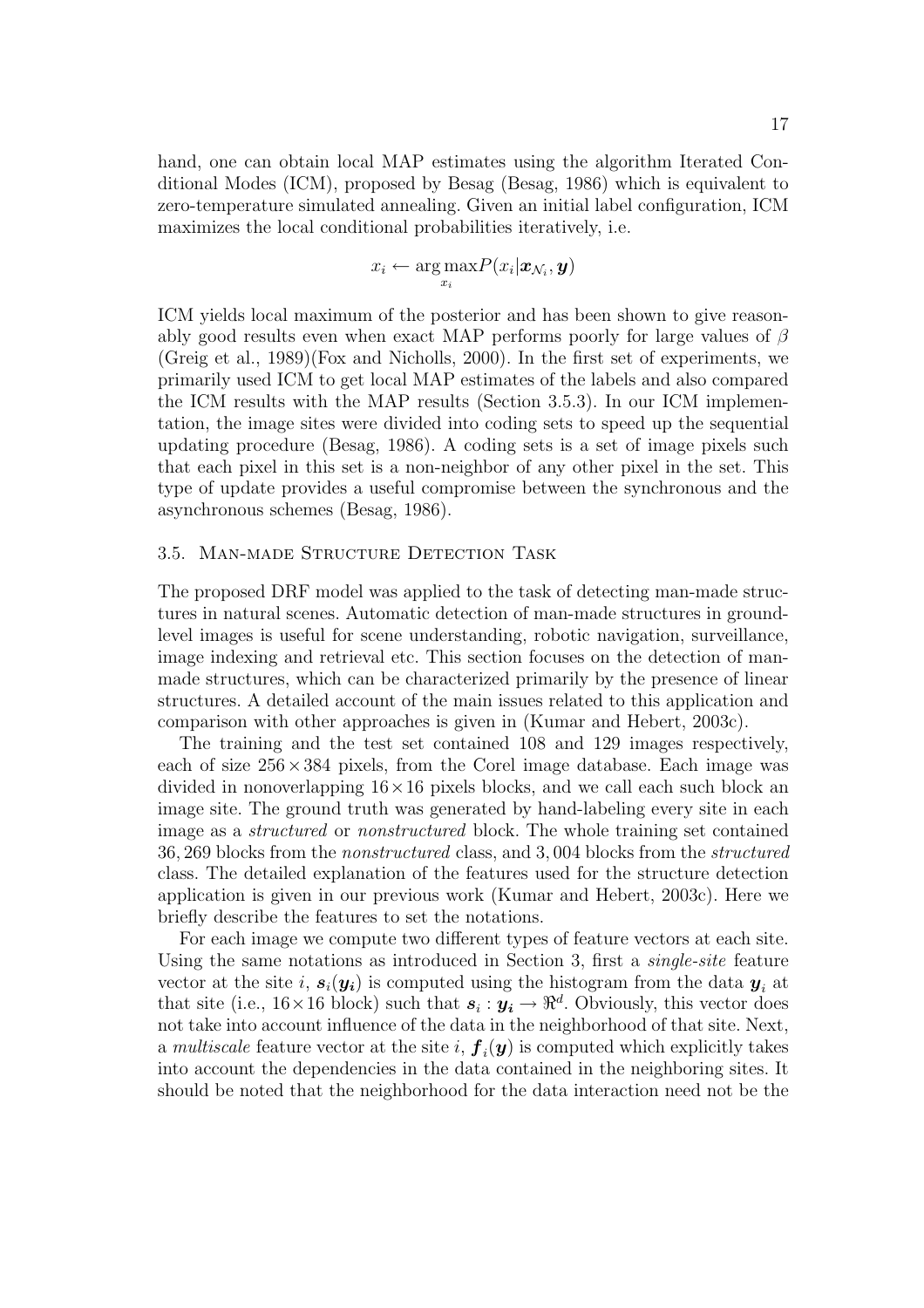hand, one can obtain local MAP estimates using the algorithm Iterated Conditional Modes (ICM), proposed by Besag (Besag, 1986) which is equivalent to zero-temperature simulated annealing. Given an initial label configuration, ICM maximizes the local conditional probabilities iteratively, i.e.

$$
x_i \leftarrow \argmax_{x_i} P(x_i | \mathbf{x}_{\mathcal{N}_i}, \mathbf{y})
$$

ICM yields local maximum of the posterior and has been shown to give reasonably good results even when exact MAP performs poorly for large values of  $\beta$ (Greig et al., 1989)(Fox and Nicholls, 2000). In the first set of experiments, we primarily used ICM to get local MAP estimates of the labels and also compared the ICM results with the MAP results (Section 3.5.3). In our ICM implementation, the image sites were divided into coding sets to speed up the sequential updating procedure (Besag, 1986). A coding sets is a set of image pixels such that each pixel in this set is a non-neighbor of any other pixel in the set. This type of update provides a useful compromise between the synchronous and the asynchronous schemes (Besag, 1986).

#### 3.5. Man-made Structure Detection Task

The proposed DRF model was applied to the task of detecting man-made structures in natural scenes. Automatic detection of man-made structures in groundlevel images is useful for scene understanding, robotic navigation, surveillance, image indexing and retrieval etc. This section focuses on the detection of manmade structures, which can be characterized primarily by the presence of linear structures. A detailed account of the main issues related to this application and comparison with other approaches is given in (Kumar and Hebert, 2003c).

The training and the test set contained 108 and 129 images respectively, each of size  $256 \times 384$  pixels, from the Corel image database. Each image was divided in nonoverlapping  $16 \times 16$  pixels blocks, and we call each such block an image site. The ground truth was generated by hand-labeling every site in each image as a structured or nonstructured block. The whole training set contained 36, 269 blocks from the nonstructured class, and 3, 004 blocks from the structured class. The detailed explanation of the features used for the structure detection application is given in our previous work (Kumar and Hebert, 2003c). Here we briefly describe the features to set the notations.

For each image we compute two different types of feature vectors at each site. Using the same notations as introduced in Section 3, first a single-site feature vector at the site i,  $s_i(y_i)$  is computed using the histogram from the data  $y_i$  at that site (i.e.,  $16 \times 16$  block) such that  $s_i : y_i \to \mathbb{R}^d$ . Obviously, this vector does not take into account influence of the data in the neighborhood of that site. Next, a multiscale feature vector at the site  $i, f_i(y)$  is computed which explicitly takes into account the dependencies in the data contained in the neighboring sites. It should be noted that the neighborhood for the data interaction need not be the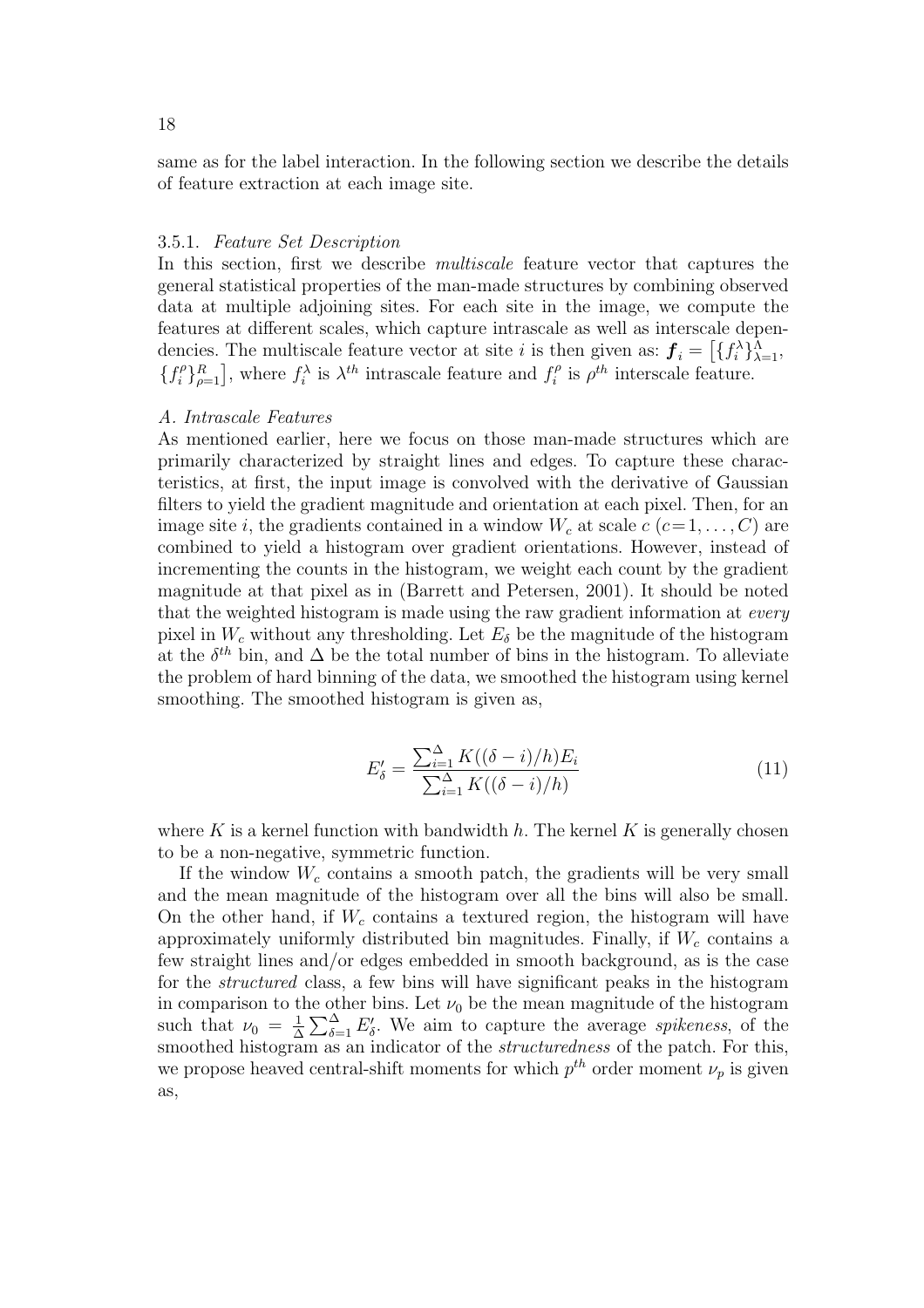same as for the label interaction. In the following section we describe the details of feature extraction at each image site.

#### 3.5.1. Feature Set Description

In this section, first we describe multiscale feature vector that captures the general statistical properties of the man-made structures by combining observed data at multiple adjoining sites. For each site in the image, we compute the features at different scales, which capture intrascale as well as interscale dependencies. The multiscale feature vector at site *i* is then given as:  $\boldsymbol{f}_i = \left[ \{ f_i^{\lambda} \}_{\lambda=1}^{\Lambda}, \right]$  $\{f_i^\rho\}$ incres. The intuitiscale feature vector at site *t* is the  $\ell_i^{\rho}$  is  $\lambda^{th}$  intrascale feature and  $f_i^{\rho}$  $i^{\rho}$  is  $\rho^{th}$  interscale feature.

#### A. Intrascale Features

As mentioned earlier, here we focus on those man-made structures which are primarily characterized by straight lines and edges. To capture these characteristics, at first, the input image is convolved with the derivative of Gaussian filters to yield the gradient magnitude and orientation at each pixel. Then, for an image site i, the gradients contained in a window  $W_c$  at scale  $c$  ( $c=1,\ldots,C$ ) are combined to yield a histogram over gradient orientations. However, instead of incrementing the counts in the histogram, we weight each count by the gradient magnitude at that pixel as in (Barrett and Petersen, 2001). It should be noted that the weighted histogram is made using the raw gradient information at *every* pixel in  $W_c$  without any thresholding. Let  $E_\delta$  be the magnitude of the histogram at the  $\delta^{th}$  bin, and  $\Delta$  be the total number of bins in the histogram. To alleviate the problem of hard binning of the data, we smoothed the histogram using kernel smoothing. The smoothed histogram is given as,

$$
E'_{\delta} = \frac{\sum_{i=1}^{A} K((\delta - i)/h)E_i}{\sum_{i=1}^{A} K((\delta - i)/h)}
$$
(11)

where K is a kernel function with bandwidth h. The kernel K is generally chosen to be a non-negative, symmetric function.

If the window  $W_c$  contains a smooth patch, the gradients will be very small and the mean magnitude of the histogram over all the bins will also be small. On the other hand, if  $W_c$  contains a textured region, the histogram will have approximately uniformly distributed bin magnitudes. Finally, if  $W_c$  contains a few straight lines and/or edges embedded in smooth background, as is the case for the structured class, a few bins will have significant peaks in the histogram in comparison to the other bins. Let  $\nu_0$  be the mean magnitude of the histogram such that  $\nu_0 = \frac{1}{\Delta}$ ∆ e ot<br>N  $\sum_{\delta=1}^{\Delta} E_{\delta}'$ . We aim to capture the average *spikeness*, of the smoothed histogram as an indicator of the *structuredness* of the patch. For this, we propose heaved central-shift moments for which  $p^{th}$  order moment  $\nu_p$  is given as,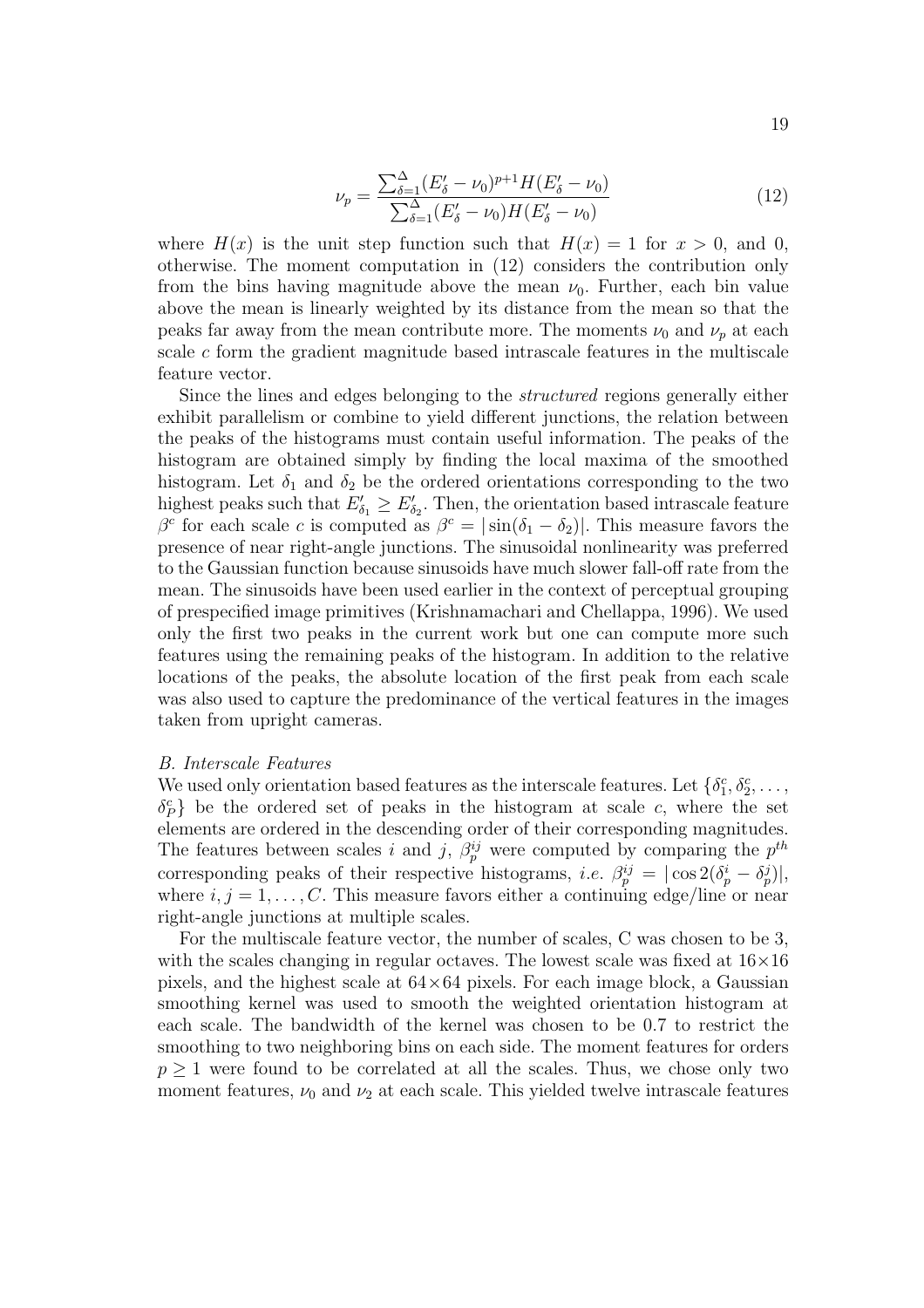$$
\nu_p = \frac{\sum_{\delta=1}^{\Delta} (E_{\delta}' - \nu_0)^{p+1} H(E_{\delta}' - \nu_0)}{\sum_{\delta=1}^{\Delta} (E_{\delta}' - \nu_0) H(E_{\delta}' - \nu_0)}
$$
(12)

where  $H(x)$  is the unit step function such that  $H(x) = 1$  for  $x > 0$ , and 0, otherwise. The moment computation in (12) considers the contribution only from the bins having magnitude above the mean  $\nu_0$ . Further, each bin value above the mean is linearly weighted by its distance from the mean so that the peaks far away from the mean contribute more. The moments  $\nu_0$  and  $\nu_n$  at each scale  $c$  form the gradient magnitude based intrascale features in the multiscale feature vector.

Since the lines and edges belonging to the structured regions generally either exhibit parallelism or combine to yield different junctions, the relation between the peaks of the histograms must contain useful information. The peaks of the histogram are obtained simply by finding the local maxima of the smoothed histogram. Let  $\delta_1$  and  $\delta_2$  be the ordered orientations corresponding to the two highest peaks such that  $E'_{\delta_1} \geq E'_{\delta_2}$ . Then, the orientation based intrascale feature β<sup>c</sup> for each scale c is computed as  $β<sup>c</sup> = |sin(δ<sub>1</sub> - δ<sub>2</sub>)|$ . This measure favors the presence of near right-angle junctions. The sinusoidal nonlinearity was preferred to the Gaussian function because sinusoids have much slower fall-off rate from the mean. The sinusoids have been used earlier in the context of perceptual grouping of prespecified image primitives (Krishnamachari and Chellappa, 1996). We used only the first two peaks in the current work but one can compute more such features using the remaining peaks of the histogram. In addition to the relative locations of the peaks, the absolute location of the first peak from each scale was also used to capture the predominance of the vertical features in the images taken from upright cameras.

#### B. Interscale Features

We used only orientation based features as the interscale features. Let  $\{\delta_1^c, \delta_2^c, \ldots, \delta_n^c\}$  $\delta_P^c$ } be the ordered set of peaks in the histogram at scale c, where the set elements are ordered in the descending order of their corresponding magnitudes. The features between scales i and j,  $\beta_p^{ij}$  were computed by comparing the  $p^{th}$ corresponding peaks of their respective histograms, *i.e.*  $\beta_p^{ij} = |\cos 2(\delta_p^i - \delta_p^j)|$ , where  $i, j = 1, \ldots, C$ . This measure favors either a continuing edge/line or near right-angle junctions at multiple scales.

For the multiscale feature vector, the number of scales, C was chosen to be 3, with the scales changing in regular octaves. The lowest scale was fixed at  $16\times16$ pixels, and the highest scale at  $64\times64$  pixels. For each image block, a Gaussian smoothing kernel was used to smooth the weighted orientation histogram at each scale. The bandwidth of the kernel was chosen to be 0.7 to restrict the smoothing to two neighboring bins on each side. The moment features for orders  $p \geq 1$  were found to be correlated at all the scales. Thus, we chose only two moment features,  $\nu_0$  and  $\nu_2$  at each scale. This yielded twelve intrascale features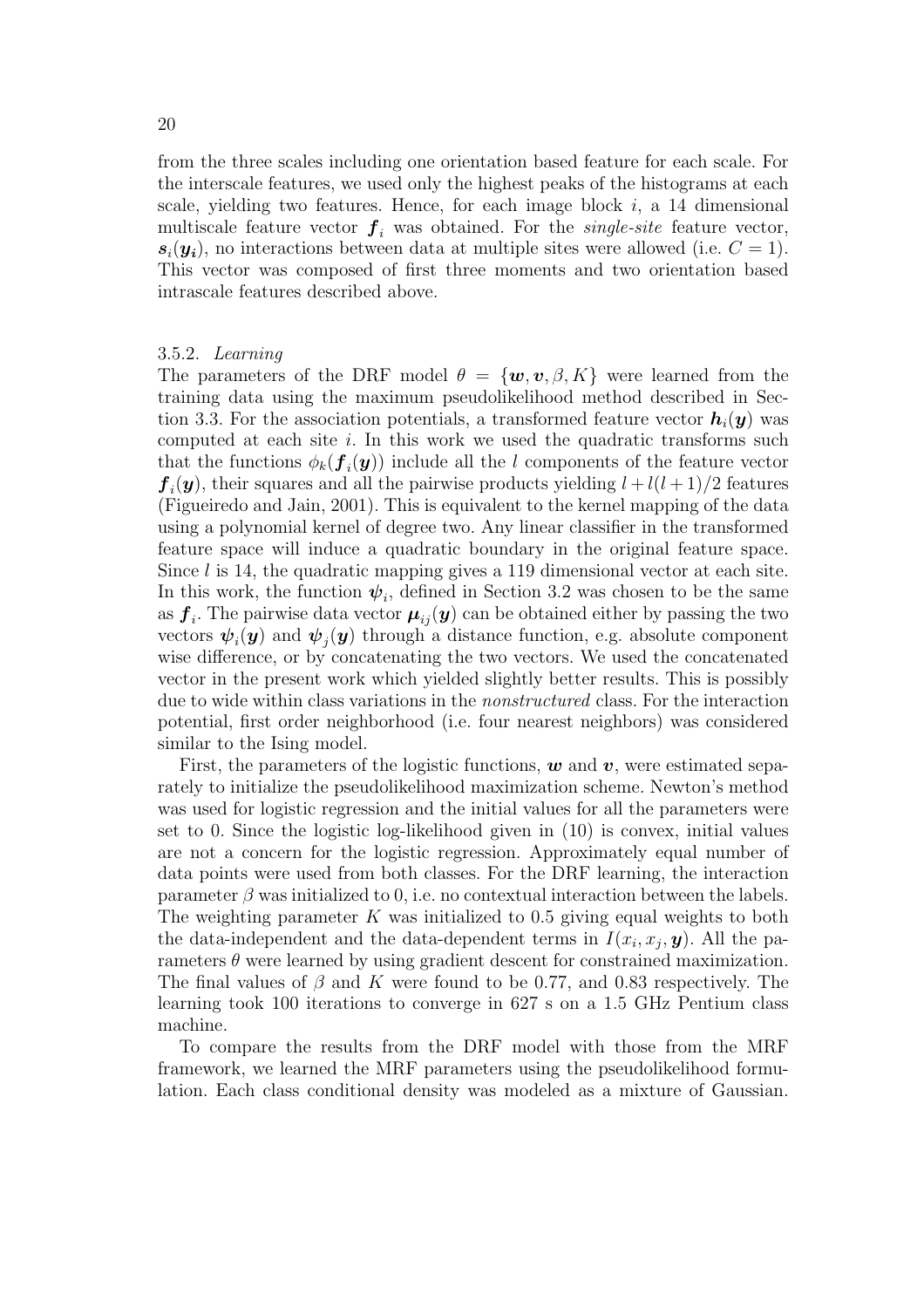from the three scales including one orientation based feature for each scale. For the interscale features, we used only the highest peaks of the histograms at each scale, yielding two features. Hence, for each image block  $i$ , a 14 dimensional multiscale feature vector  $f_i$  was obtained. For the *single-site* feature vector,  $s_i(y_i)$ , no interactions between data at multiple sites were allowed (i.e.  $C = 1$ ). This vector was composed of first three moments and two orientation based intrascale features described above.

#### 3.5.2. Learning

The parameters of the DRF model  $\theta = {\mathbf{w}, v, \beta, K}$  were learned from the training data using the maximum pseudolikelihood method described in Section 3.3. For the association potentials, a transformed feature vector  $h_i(y)$  was computed at each site i. In this work we used the quadratic transforms such that the functions  $\phi_k(\boldsymbol{f}_i(\boldsymbol{y}))$  include all the l components of the feature vector  $\boldsymbol{f}_i(\boldsymbol{y}),$  their squares and all the pairwise products yielding  $l + l(l+1)/2$  features (Figueiredo and Jain, 2001). This is equivalent to the kernel mapping of the data using a polynomial kernel of degree two. Any linear classifier in the transformed feature space will induce a quadratic boundary in the original feature space. Since  $l$  is 14, the quadratic mapping gives a 119 dimensional vector at each site. In this work, the function  $\psi_i$ , defined in Section 3.2 was chosen to be the same as  $\boldsymbol{f}_i$ . The pairwise data vector  $\boldsymbol{\mu}_{ij}(\boldsymbol{y})$  can be obtained either by passing the two vectors  $\psi_i(\mathbf{y})$  and  $\psi_j(\mathbf{y})$  through a distance function, e.g. absolute component wise difference, or by concatenating the two vectors. We used the concatenated vector in the present work which yielded slightly better results. This is possibly due to wide within class variations in the nonstructured class. For the interaction potential, first order neighborhood (i.e. four nearest neighbors) was considered similar to the Ising model.

First, the parameters of the logistic functions,  $w$  and  $v$ , were estimated separately to initialize the pseudolikelihood maximization scheme. Newton's method was used for logistic regression and the initial values for all the parameters were set to 0. Since the logistic log-likelihood given in (10) is convex, initial values are not a concern for the logistic regression. Approximately equal number of data points were used from both classes. For the DRF learning, the interaction parameter  $\beta$  was initialized to 0, i.e. no contextual interaction between the labels. The weighting parameter K was initialized to  $0.5$  giving equal weights to both the data-independent and the data-dependent terms in  $I(x_i, x_j, \mathbf{y})$ . All the parameters  $\theta$  were learned by using gradient descent for constrained maximization. The final values of  $\beta$  and K were found to be 0.77, and 0.83 respectively. The learning took 100 iterations to converge in 627 s on a 1.5 GHz Pentium class machine.

To compare the results from the DRF model with those from the MRF framework, we learned the MRF parameters using the pseudolikelihood formulation. Each class conditional density was modeled as a mixture of Gaussian.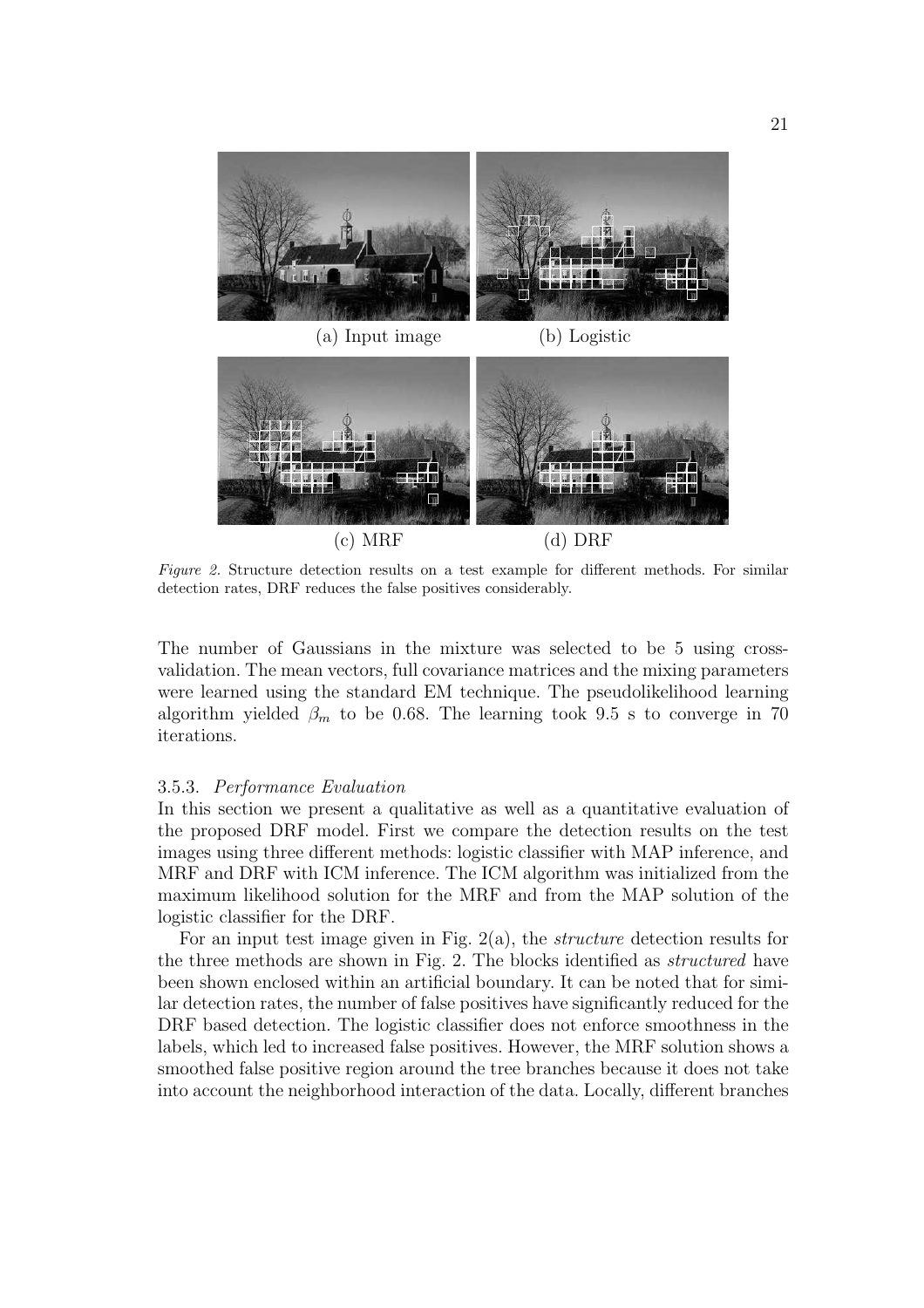

Figure 2. Structure detection results on a test example for different methods. For similar detection rates, DRF reduces the false positives considerably.

The number of Gaussians in the mixture was selected to be 5 using crossvalidation. The mean vectors, full covariance matrices and the mixing parameters were learned using the standard EM technique. The pseudolikelihood learning algorithm yielded  $\beta_m$  to be 0.68. The learning took 9.5 s to converge in 70 iterations.

## 3.5.3. Performance Evaluation

In this section we present a qualitative as well as a quantitative evaluation of the proposed DRF model. First we compare the detection results on the test images using three different methods: logistic classifier with MAP inference, and MRF and DRF with ICM inference. The ICM algorithm was initialized from the maximum likelihood solution for the MRF and from the MAP solution of the logistic classifier for the DRF.

For an input test image given in Fig. 2(a), the structure detection results for the three methods are shown in Fig. 2. The blocks identified as structured have been shown enclosed within an artificial boundary. It can be noted that for similar detection rates, the number of false positives have significantly reduced for the DRF based detection. The logistic classifier does not enforce smoothness in the labels, which led to increased false positives. However, the MRF solution shows a smoothed false positive region around the tree branches because it does not take into account the neighborhood interaction of the data. Locally, different branches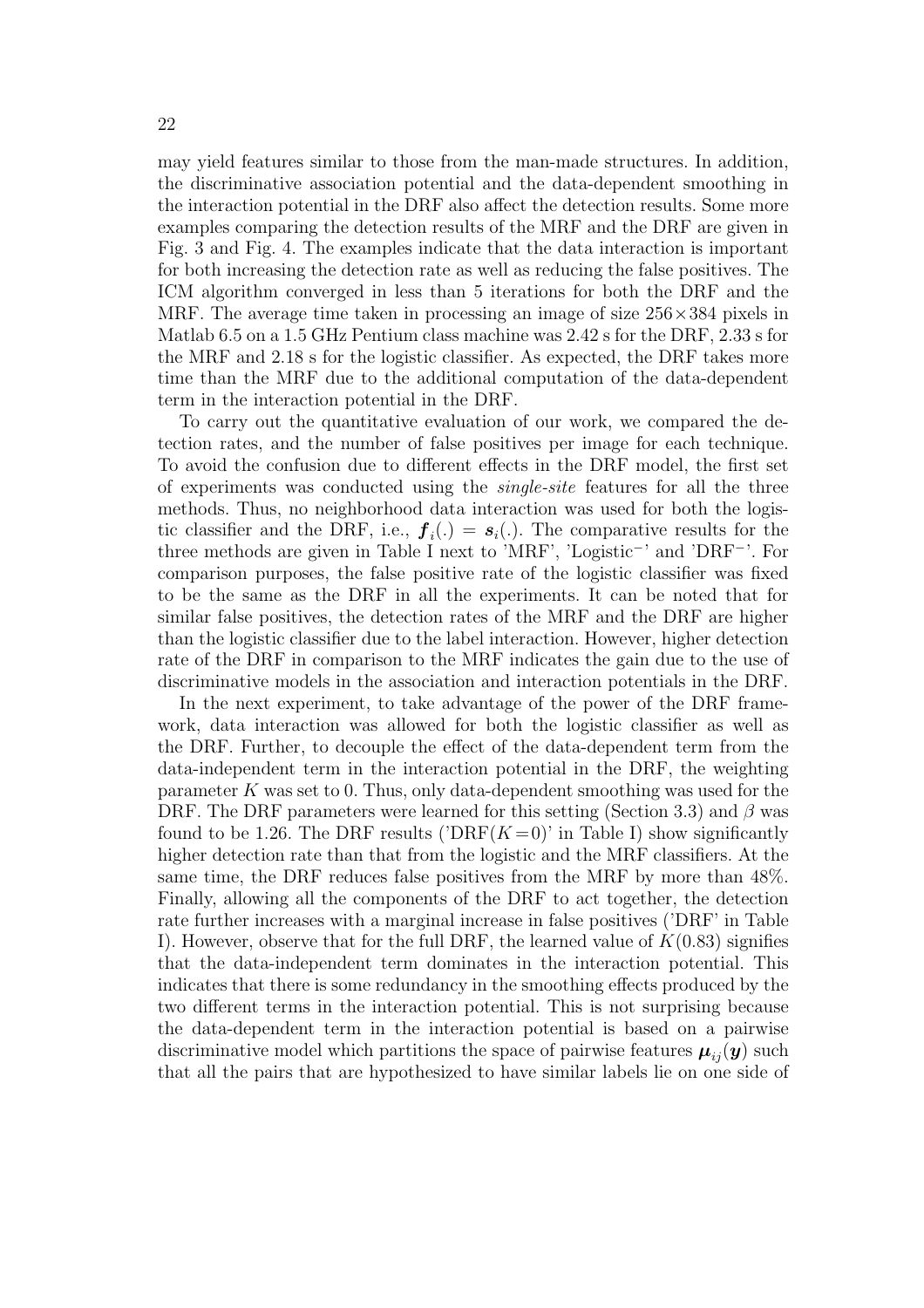may yield features similar to those from the man-made structures. In addition, the discriminative association potential and the data-dependent smoothing in the interaction potential in the DRF also affect the detection results. Some more examples comparing the detection results of the MRF and the DRF are given in Fig. 3 and Fig. 4. The examples indicate that the data interaction is important for both increasing the detection rate as well as reducing the false positives. The ICM algorithm converged in less than 5 iterations for both the DRF and the MRF. The average time taken in processing an image of size  $256 \times 384$  pixels in Matlab 6.5 on a 1.5 GHz Pentium class machine was 2.42 s for the DRF, 2.33 s for the MRF and 2.18 s for the logistic classifier. As expected, the DRF takes more time than the MRF due to the additional computation of the data-dependent term in the interaction potential in the DRF.

To carry out the quantitative evaluation of our work, we compared the detection rates, and the number of false positives per image for each technique. To avoid the confusion due to different effects in the DRF model, the first set of experiments was conducted using the single-site features for all the three methods. Thus, no neighborhood data interaction was used for both the logistic classifier and the DRF, i.e.,  $f_i(.) = s_i(.)$ . The comparative results for the three methods are given in Table I next to 'MRF', 'Logistic<sup>−</sup>' and 'DRF<sup>−</sup>'. For comparison purposes, the false positive rate of the logistic classifier was fixed to be the same as the DRF in all the experiments. It can be noted that for similar false positives, the detection rates of the MRF and the DRF are higher than the logistic classifier due to the label interaction. However, higher detection rate of the DRF in comparison to the MRF indicates the gain due to the use of discriminative models in the association and interaction potentials in the DRF.

In the next experiment, to take advantage of the power of the DRF framework, data interaction was allowed for both the logistic classifier as well as the DRF. Further, to decouple the effect of the data-dependent term from the data-independent term in the interaction potential in the DRF, the weighting parameter K was set to 0. Thus, only data-dependent smoothing was used for the DRF. The DRF parameters were learned for this setting (Section 3.3) and  $\beta$  was found to be 1.26. The DRF results ( $DRF(K=0)$ ) in Table I) show significantly higher detection rate than that from the logistic and the MRF classifiers. At the same time, the DRF reduces false positives from the MRF by more than 48%. Finally, allowing all the components of the DRF to act together, the detection rate further increases with a marginal increase in false positives ('DRF' in Table I). However, observe that for the full DRF, the learned value of  $K(0.83)$  signifies that the data-independent term dominates in the interaction potential. This indicates that there is some redundancy in the smoothing effects produced by the two different terms in the interaction potential. This is not surprising because the data-dependent term in the interaction potential is based on a pairwise discriminative model which partitions the space of pairwise features  $\mu_{ii}(y)$  such that all the pairs that are hypothesized to have similar labels lie on one side of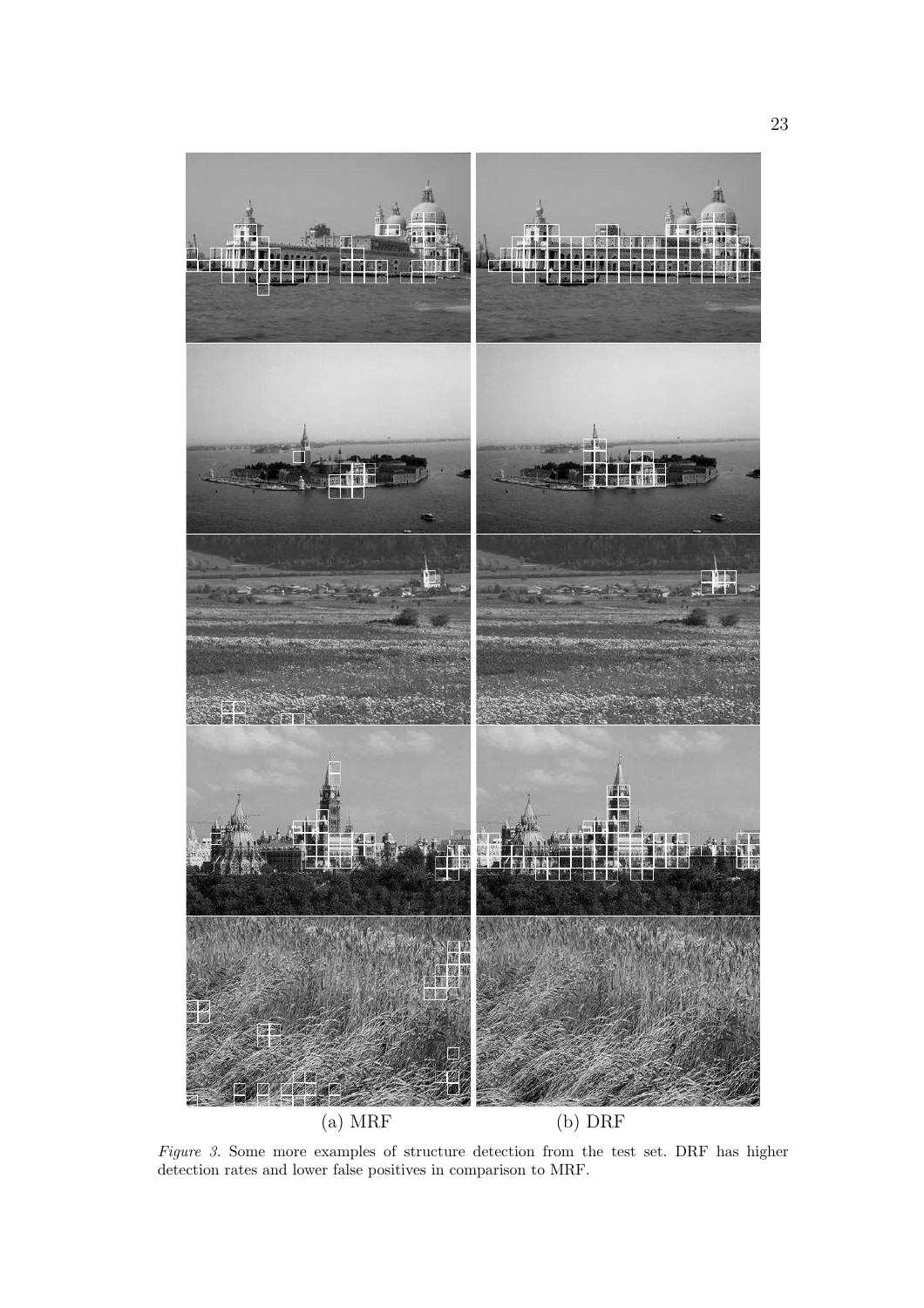

Figure 3. Some more examples of structure detection from the test set. DRF has higher detection rates and lower false positives in comparison to MRF.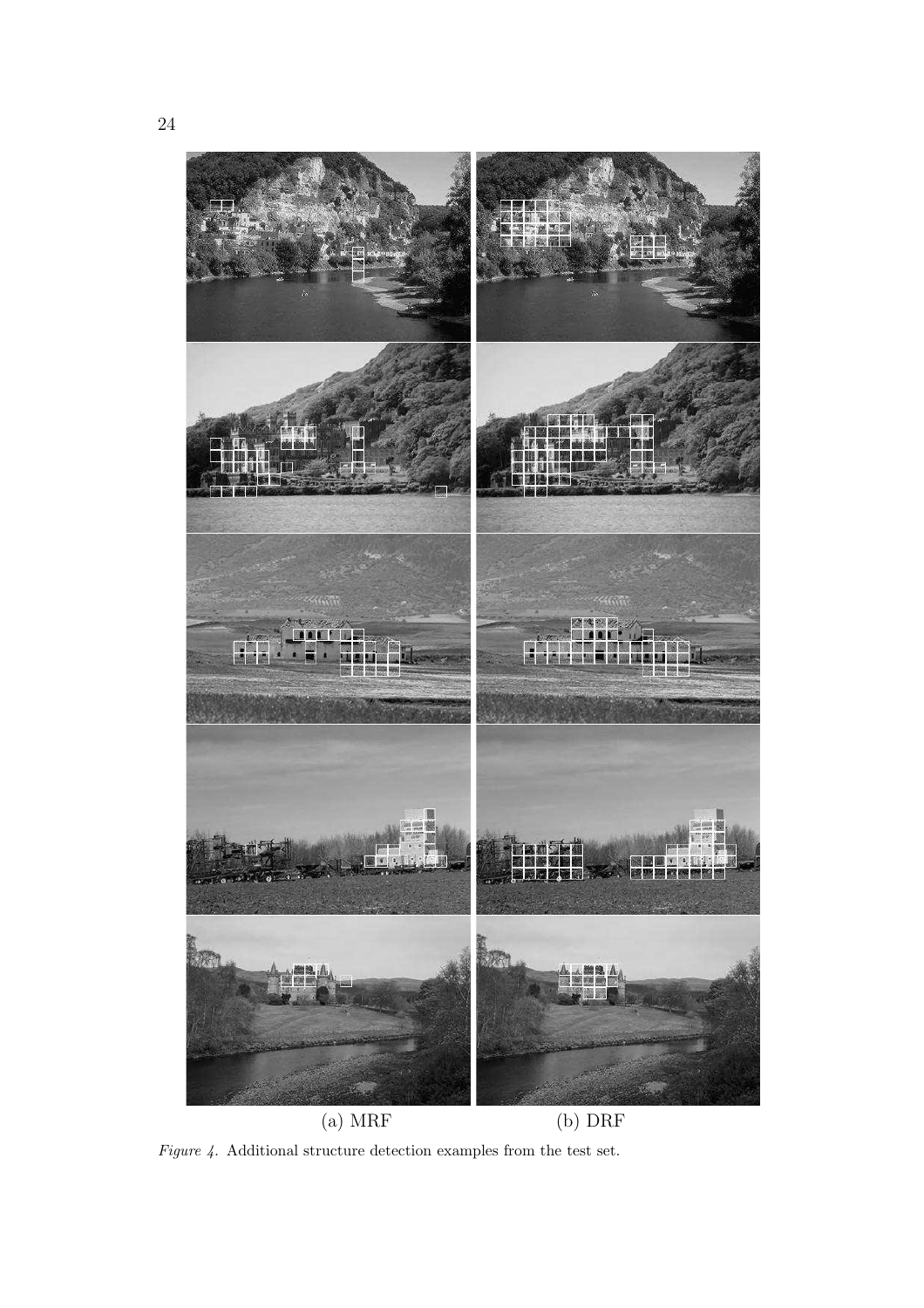

 $Figure\ 4.$  Additional structure detection examples from the test set.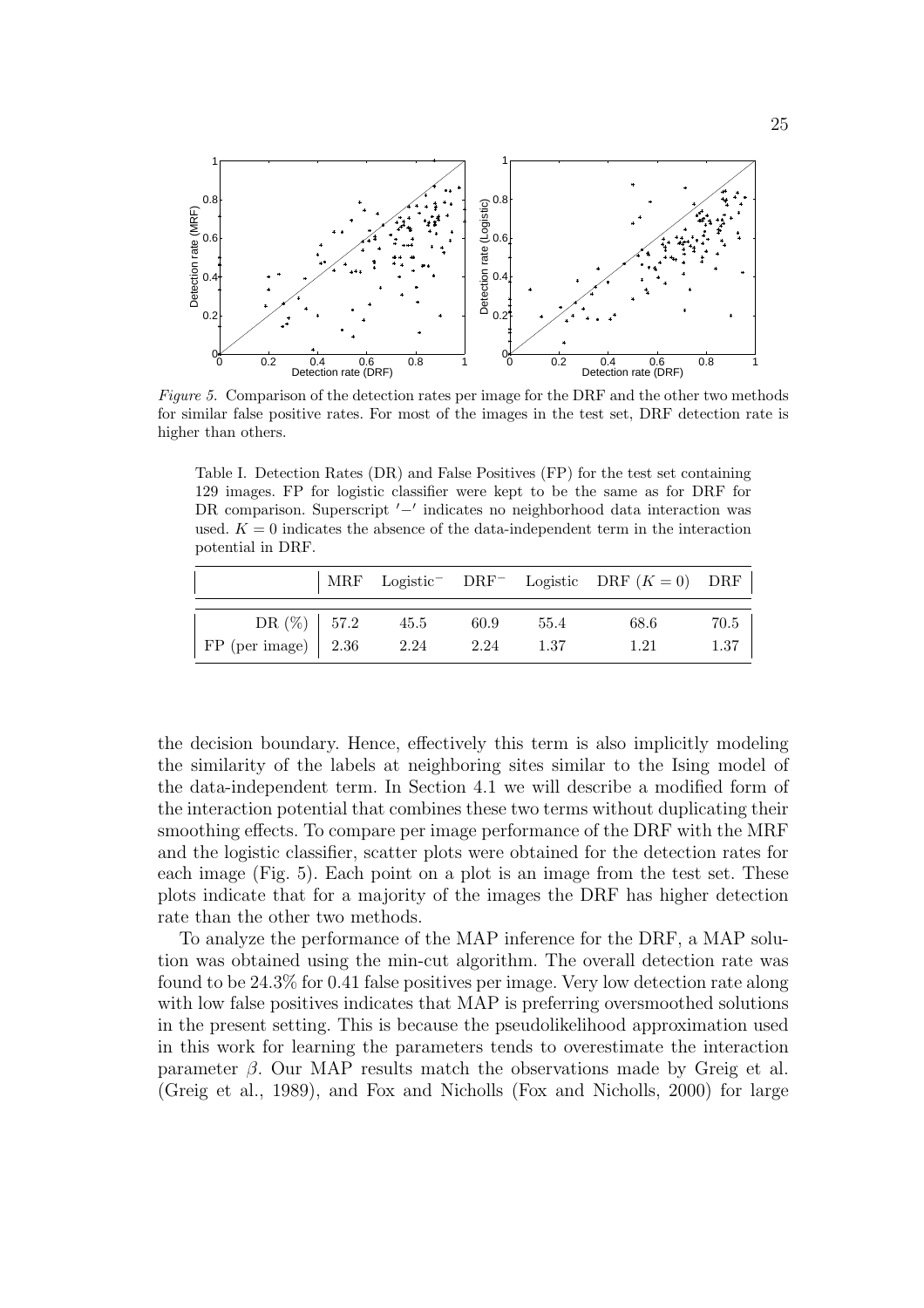

Figure 5. Comparison of the detection rates per image for the DRF and the other two methods for similar false positive rates. For most of the images in the test set, DRF detection rate is higher than others.

Table I. Detection Rates (DR) and False Positives (FP) for the test set containing 129 images. FP for logistic classifier were kept to be the same as for DRF for DR comparison. Superscript '-' indicates no neighborhood data interaction was used.  $K = 0$  indicates the absence of the data-independent term in the interaction potential in DRF.

|                                     |      |      |        | MRF Logistic $DRF$ Logistic DRF $(K = 0)$ DRF |      |
|-------------------------------------|------|------|--------|-----------------------------------------------|------|
| DR $(\%)$   57.2                    | 45.5 | 60.9 | - 55.4 | 68.6                                          | 70.5 |
| $\vert$ FP (per image) $\vert$ 2.36 | 2.24 | 2.24 | 1.37   | 1.21                                          | 1.37 |

the decision boundary. Hence, effectively this term is also implicitly modeling the similarity of the labels at neighboring sites similar to the Ising model of the data-independent term. In Section 4.1 we will describe a modified form of the interaction potential that combines these two terms without duplicating their smoothing effects. To compare per image performance of the DRF with the MRF and the logistic classifier, scatter plots were obtained for the detection rates for each image (Fig. 5). Each point on a plot is an image from the test set. These plots indicate that for a majority of the images the DRF has higher detection rate than the other two methods.

To analyze the performance of the MAP inference for the DRF, a MAP solution was obtained using the min-cut algorithm. The overall detection rate was found to be 24.3% for 0.41 false positives per image. Very low detection rate along with low false positives indicates that MAP is preferring oversmoothed solutions in the present setting. This is because the pseudolikelihood approximation used in this work for learning the parameters tends to overestimate the interaction parameter  $\beta$ . Our MAP results match the observations made by Greig et al. (Greig et al., 1989), and Fox and Nicholls (Fox and Nicholls, 2000) for large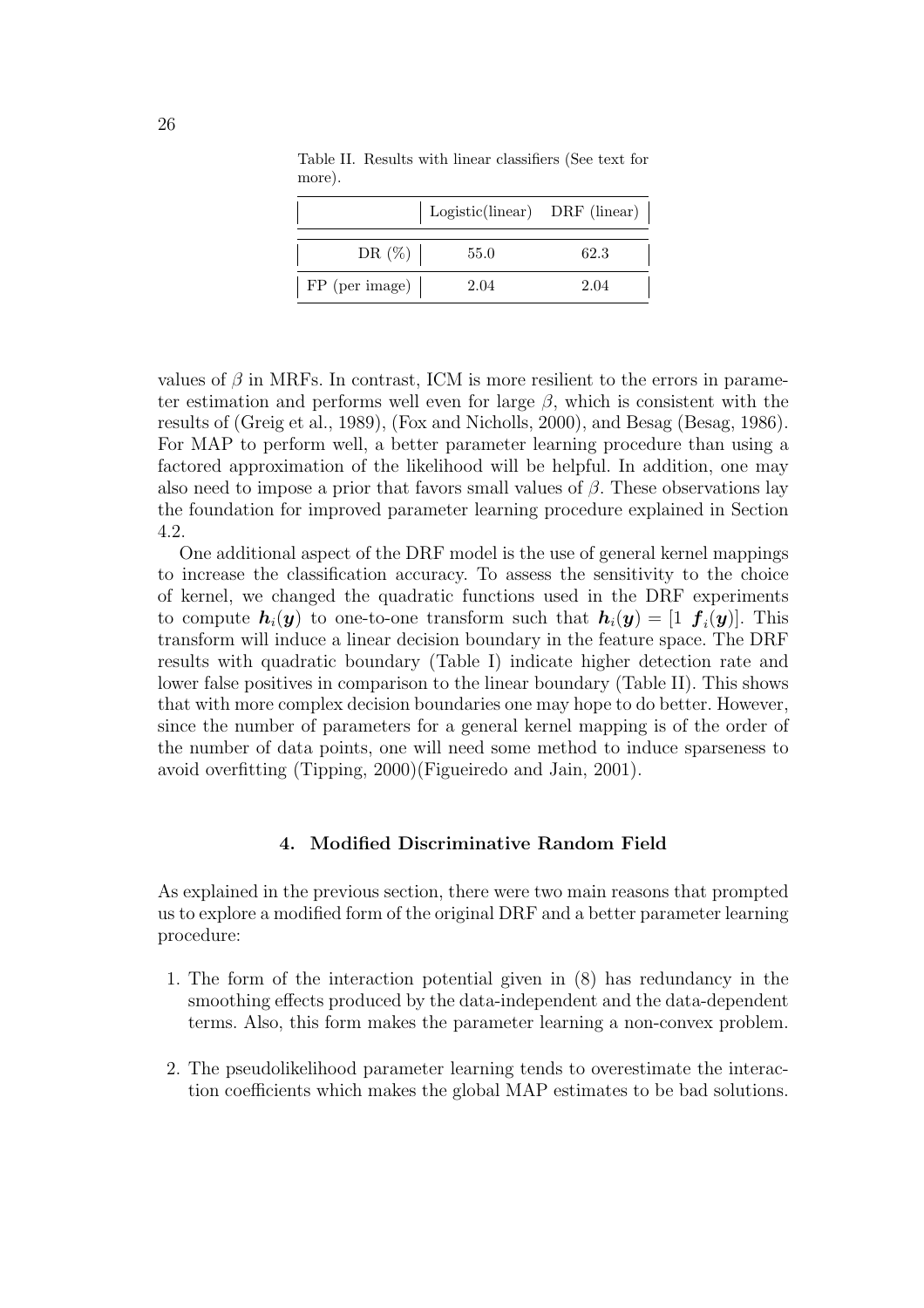|                  | Logistic(linear) DRF (linear) |      |
|------------------|-------------------------------|------|
| DR $(\%)$        | 55.0                          | 62.3 |
| $FP$ (per image) | 2.04                          | 2.04 |

Table II. Results with linear classifiers (See text for more).

values of  $\beta$  in MRFs. In contrast, ICM is more resilient to the errors in parameter estimation and performs well even for large  $\beta$ , which is consistent with the results of (Greig et al., 1989), (Fox and Nicholls, 2000), and Besag (Besag, 1986). For MAP to perform well, a better parameter learning procedure than using a factored approximation of the likelihood will be helpful. In addition, one may also need to impose a prior that favors small values of  $\beta$ . These observations lay the foundation for improved parameter learning procedure explained in Section 4.2.

One additional aspect of the DRF model is the use of general kernel mappings to increase the classification accuracy. To assess the sensitivity to the choice of kernel, we changed the quadratic functions used in the DRF experiments to compute  $\mathbf{h}_i(\mathbf{y})$  to one-to-one transform such that  $\mathbf{h}_i(\mathbf{y}) = [1 \; \mathbf{f}_i(\mathbf{y})]$ . This transform will induce a linear decision boundary in the feature space. The DRF results with quadratic boundary (Table I) indicate higher detection rate and lower false positives in comparison to the linear boundary (Table II). This shows that with more complex decision boundaries one may hope to do better. However, since the number of parameters for a general kernel mapping is of the order of the number of data points, one will need some method to induce sparseness to avoid overfitting (Tipping, 2000)(Figueiredo and Jain, 2001).

# 4. Modified Discriminative Random Field

As explained in the previous section, there were two main reasons that prompted us to explore a modified form of the original DRF and a better parameter learning procedure:

- 1. The form of the interaction potential given in (8) has redundancy in the smoothing effects produced by the data-independent and the data-dependent terms. Also, this form makes the parameter learning a non-convex problem.
- 2. The pseudolikelihood parameter learning tends to overestimate the interaction coefficients which makes the global MAP estimates to be bad solutions.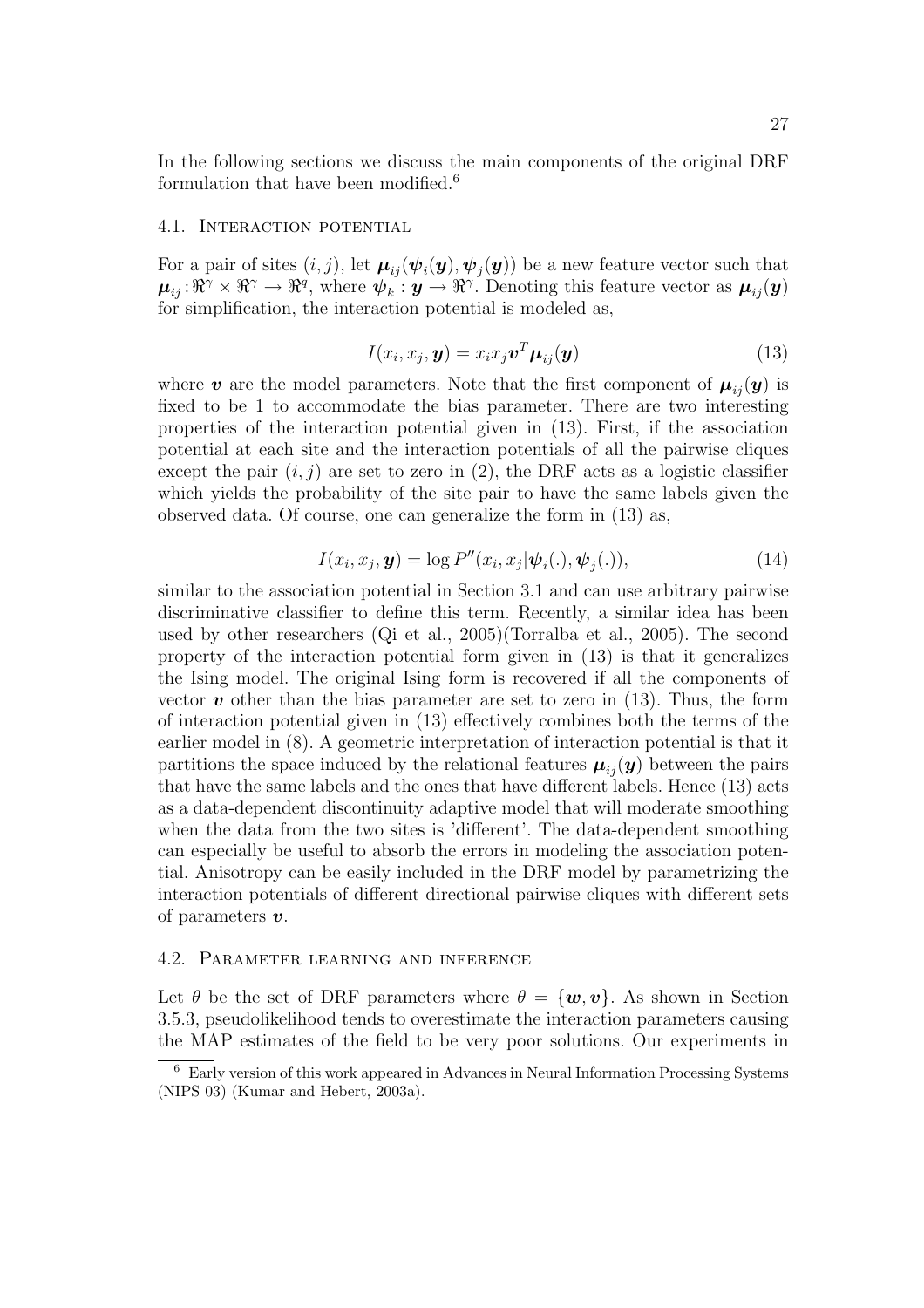In the following sections we discuss the main components of the original DRF formulation that have been modified.<sup>6</sup>

#### 4.1. Interaction potential

For a pair of sites  $(i, j)$ , let  $\mu_{ij}(\psi_i(y), \psi_j(y))$  be a new feature vector such that  $\mu_{ij}:\Re^\gamma\times\Re^\gamma\to\Re^q,$  where  $\psi_k^{\;\;\gamma}:\bm{y}\to\Re^\gamma.$  Denoting this feature vector as  $\mu_{ij}(\bm{y})$ for simplification, the interaction potential is modeled as,

$$
I(x_i, x_j, \mathbf{y}) = x_i x_j \mathbf{v}^T \boldsymbol{\mu}_{ij}(\mathbf{y})
$$
\n(13)

where v are the model parameters. Note that the first component of  $\mu_{ii}(y)$  is fixed to be 1 to accommodate the bias parameter. There are two interesting properties of the interaction potential given in (13). First, if the association potential at each site and the interaction potentials of all the pairwise cliques except the pair  $(i, j)$  are set to zero in (2), the DRF acts as a logistic classifier which yields the probability of the site pair to have the same labels given the observed data. Of course, one can generalize the form in (13) as,

$$
I(x_i, x_j, \mathbf{y}) = \log P''(x_i, x_j | \boldsymbol{\psi}_i(.), \boldsymbol{\psi}_j(.)),
$$
\n(14)

similar to the association potential in Section 3.1 and can use arbitrary pairwise discriminative classifier to define this term. Recently, a similar idea has been used by other researchers (Qi et al., 2005)(Torralba et al., 2005). The second property of the interaction potential form given in (13) is that it generalizes the Ising model. The original Ising form is recovered if all the components of vector  $\boldsymbol{v}$  other than the bias parameter are set to zero in (13). Thus, the form of interaction potential given in (13) effectively combines both the terms of the earlier model in (8). A geometric interpretation of interaction potential is that it partitions the space induced by the relational features  $\mu_{ii}(y)$  between the pairs that have the same labels and the ones that have different labels. Hence (13) acts as a data-dependent discontinuity adaptive model that will moderate smoothing when the data from the two sites is 'different'. The data-dependent smoothing can especially be useful to absorb the errors in modeling the association potential. Anisotropy can be easily included in the DRF model by parametrizing the interaction potentials of different directional pairwise cliques with different sets of parameters  $v$ .

## 4.2. Parameter learning and inference

Let  $\theta$  be the set of DRF parameters where  $\theta = {\mathbf{w}, v}$ . As shown in Section 3.5.3, pseudolikelihood tends to overestimate the interaction parameters causing the MAP estimates of the field to be very poor solutions. Our experiments in

 $\overline{6}$  Early version of this work appeared in Advances in Neural Information Processing Systems (NIPS 03) (Kumar and Hebert, 2003a).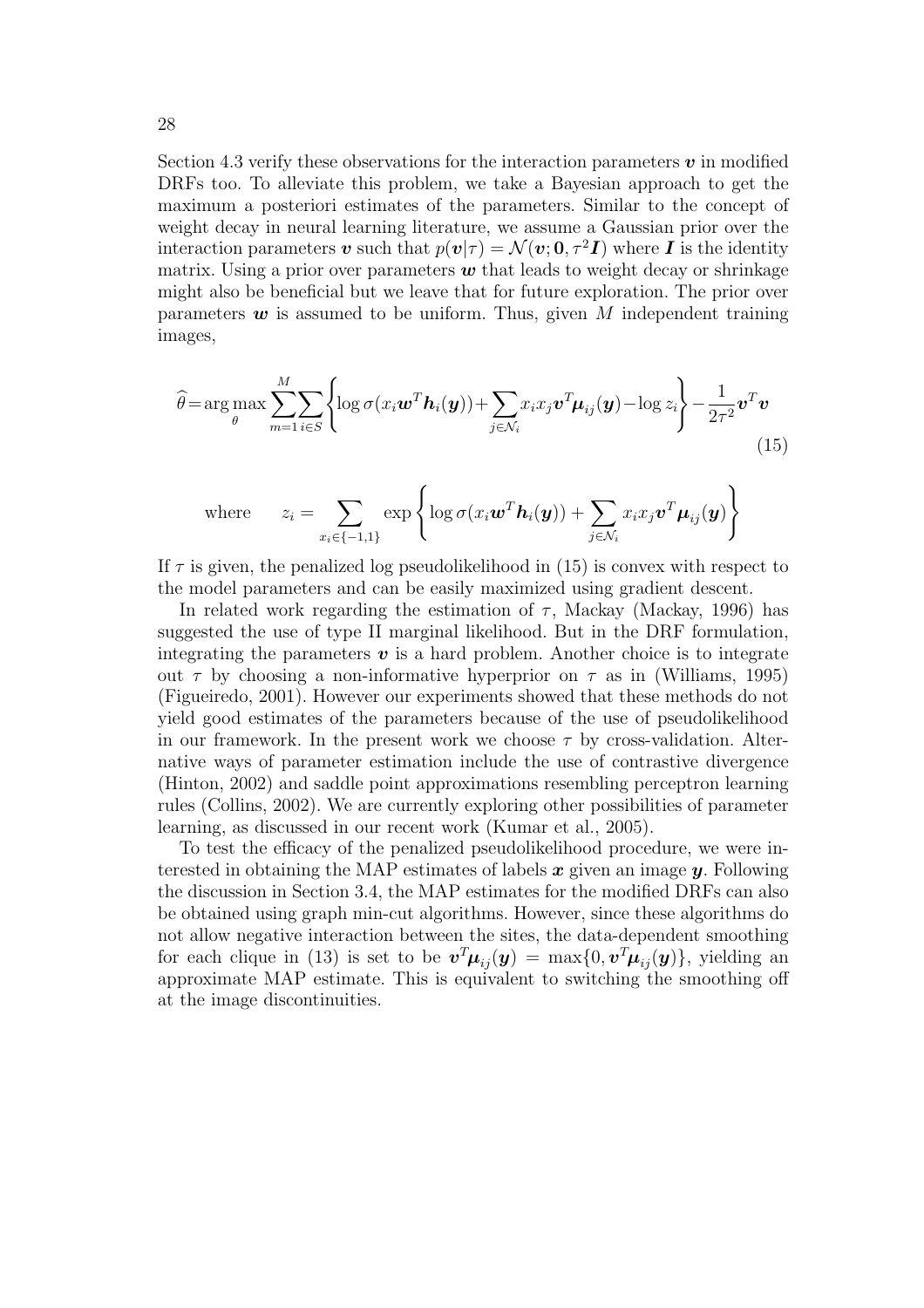Section 4.3 verify these observations for the interaction parameters  $v$  in modified DRFs too. To alleviate this problem, we take a Bayesian approach to get the maximum a posteriori estimates of the parameters. Similar to the concept of weight decay in neural learning literature, we assume a Gaussian prior over the interaction parameters v such that  $p(\mathbf{v}|\tau) = \mathcal{N}(\mathbf{v}; \mathbf{0}, \tau^2 \mathbf{I})$  where **I** is the identity matrix. Using a prior over parameters  $w$  that leads to weight decay or shrinkage might also be beneficial but we leave that for future exploration. The prior over parameters  $w$  is assumed to be uniform. Thus, given M independent training images,

$$
\widehat{\theta} = \arg \max_{\theta} \sum_{m=1}^{M} \sum_{i \in S} \left\{ \log \sigma(x_i \boldsymbol{w}^T \boldsymbol{h}_i(\boldsymbol{y})) + \sum_{j \in \mathcal{N}_i} x_i x_j \boldsymbol{v}^T \boldsymbol{\mu}_{ij}(\boldsymbol{y}) - \log z_i \right\} - \frac{1}{2\tau^2} \boldsymbol{v}^T \boldsymbol{v}
$$
\n(15)

where 
$$
z_i = \sum_{x_i \in \{-1,1\}} \exp \left\{ \log \sigma(x_i \boldsymbol{w}^T \boldsymbol{h}_i(\boldsymbol{y})) + \sum_{j \in \mathcal{N}_i} x_i x_j \boldsymbol{v}^T \boldsymbol{\mu}_{ij}(\boldsymbol{y}) \right\}
$$

If  $\tau$  is given, the penalized log pseudolikelihood in (15) is convex with respect to the model parameters and can be easily maximized using gradient descent.

In related work regarding the estimation of  $\tau$ , Mackay (Mackay, 1996) has suggested the use of type II marginal likelihood. But in the DRF formulation, integrating the parameters  $\boldsymbol{v}$  is a hard problem. Another choice is to integrate out  $\tau$  by choosing a non-informative hyperprior on  $\tau$  as in (Williams, 1995) (Figueiredo, 2001). However our experiments showed that these methods do not yield good estimates of the parameters because of the use of pseudolikelihood in our framework. In the present work we choose  $\tau$  by cross-validation. Alternative ways of parameter estimation include the use of contrastive divergence (Hinton, 2002) and saddle point approximations resembling perceptron learning rules (Collins, 2002). We are currently exploring other possibilities of parameter learning, as discussed in our recent work (Kumar et al., 2005).

To test the efficacy of the penalized pseudolikelihood procedure, we were interested in obtaining the MAP estimates of labels  $x$  given an image  $y$ . Following the discussion in Section 3.4, the MAP estimates for the modified DRFs can also be obtained using graph min-cut algorithms. However, since these algorithms do not allow negative interaction between the sites, the data-dependent smoothing for each clique in (13) is set to be  $v^T \mu_{ij}(y) = \max\{0, v^T \mu_{ij}(y)\}\$ , yielding an approximate MAP estimate. This is equivalent to switching the smoothing off at the image discontinuities.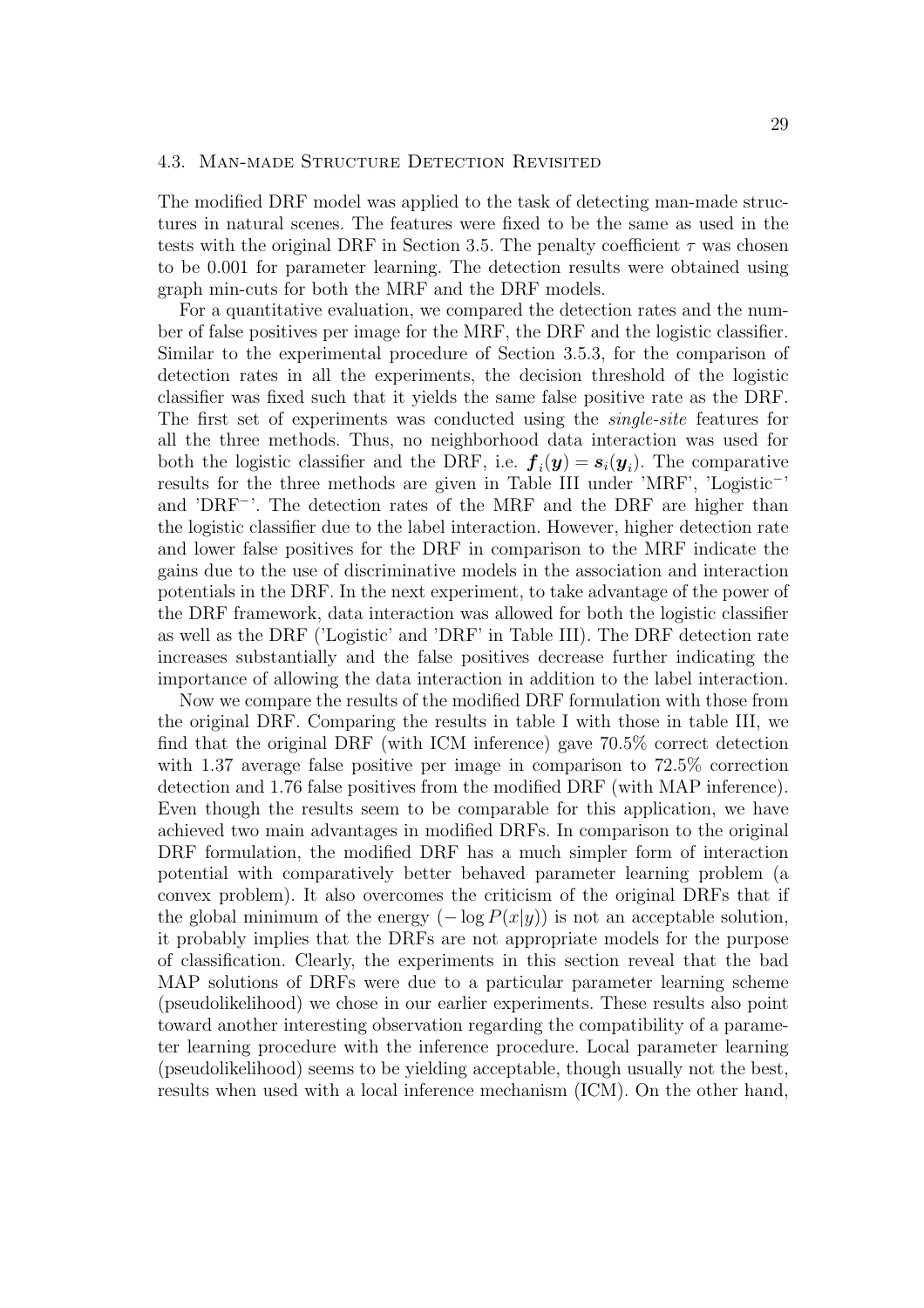# 4.3. Man-made Structure Detection Revisited

The modified DRF model was applied to the task of detecting man-made structures in natural scenes. The features were fixed to be the same as used in the tests with the original DRF in Section 3.5. The penalty coefficient  $\tau$  was chosen to be 0.001 for parameter learning. The detection results were obtained using graph min-cuts for both the MRF and the DRF models.

For a quantitative evaluation, we compared the detection rates and the number of false positives per image for the MRF, the DRF and the logistic classifier. Similar to the experimental procedure of Section 3.5.3, for the comparison of detection rates in all the experiments, the decision threshold of the logistic classifier was fixed such that it yields the same false positive rate as the DRF. The first set of experiments was conducted using the single-site features for all the three methods. Thus, no neighborhood data interaction was used for both the logistic classifier and the DRF, i.e.  $f_i(y) = s_i(y_i)$ . The comparative results for the three methods are given in Table III under 'MRF', 'Logistic<sup>−</sup>' and 'DRF<sup>−</sup>'. The detection rates of the MRF and the DRF are higher than the logistic classifier due to the label interaction. However, higher detection rate and lower false positives for the DRF in comparison to the MRF indicate the gains due to the use of discriminative models in the association and interaction potentials in the DRF. In the next experiment, to take advantage of the power of the DRF framework, data interaction was allowed for both the logistic classifier as well as the DRF ('Logistic' and 'DRF' in Table III). The DRF detection rate increases substantially and the false positives decrease further indicating the importance of allowing the data interaction in addition to the label interaction.

Now we compare the results of the modified DRF formulation with those from the original DRF. Comparing the results in table I with those in table III, we find that the original DRF (with ICM inference) gave 70.5% correct detection with 1.37 average false positive per image in comparison to 72.5% correction detection and 1.76 false positives from the modified DRF (with MAP inference). Even though the results seem to be comparable for this application, we have achieved two main advantages in modified DRFs. In comparison to the original DRF formulation, the modified DRF has a much simpler form of interaction potential with comparatively better behaved parameter learning problem (a convex problem). It also overcomes the criticism of the original DRFs that if the global minimum of the energy  $(-\log P(x|y))$  is not an acceptable solution, it probably implies that the DRFs are not appropriate models for the purpose of classification. Clearly, the experiments in this section reveal that the bad MAP solutions of DRFs were due to a particular parameter learning scheme (pseudolikelihood) we chose in our earlier experiments. These results also point toward another interesting observation regarding the compatibility of a parameter learning procedure with the inference procedure. Local parameter learning (pseudolikelihood) seems to be yielding acceptable, though usually not the best, results when used with a local inference mechanism (ICM). On the other hand,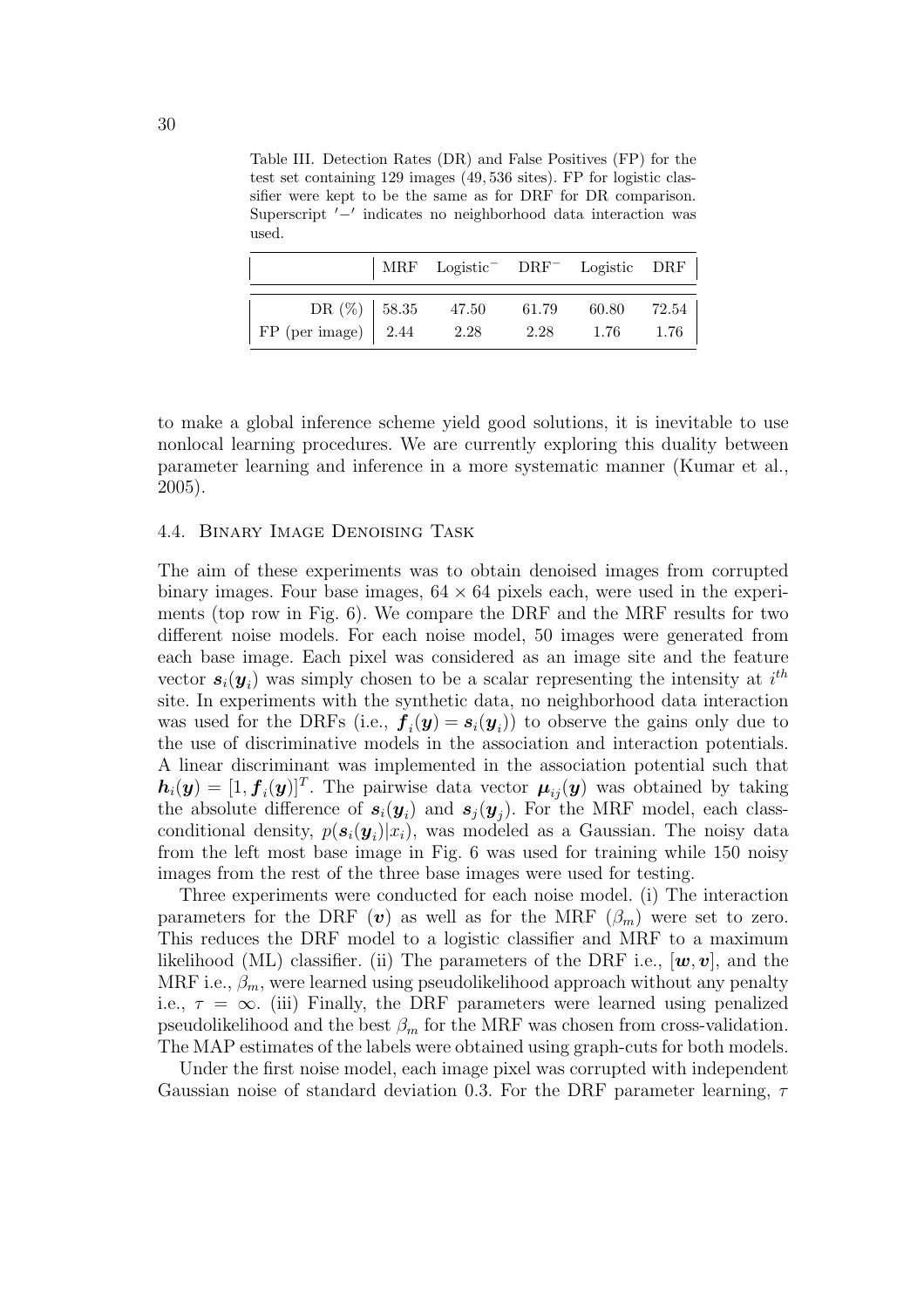Table III. Detection Rates (DR) and False Positives (FP) for the test set containing 129 images (49, 536 sites). FP for logistic classifier were kept to be the same as for DRF for DR comparison. Superscript '-' indicates no neighborhood data interaction was used.

|                                                   | MRF Logistic DRF Logistic DRF             |  |  |
|---------------------------------------------------|-------------------------------------------|--|--|
|                                                   | DR $(\%)$   58.35 47.50 61.79 60.80 72.54 |  |  |
| FP (per image)   2.44   2.28   2.28   1.76   1.76 |                                           |  |  |

to make a global inference scheme yield good solutions, it is inevitable to use nonlocal learning procedures. We are currently exploring this duality between parameter learning and inference in a more systematic manner (Kumar et al., 2005).

#### 4.4. Binary Image Denoising Task

The aim of these experiments was to obtain denoised images from corrupted binary images. Four base images,  $64 \times 64$  pixels each, were used in the experiments (top row in Fig. 6). We compare the DRF and the MRF results for two different noise models. For each noise model, 50 images were generated from each base image. Each pixel was considered as an image site and the feature vector  $s_i(y_i)$  was simply chosen to be a scalar representing the intensity at  $i^{th}$ site. In experiments with the synthetic data, no neighborhood data interaction was used for the DRFs (i.e.,  $\boldsymbol{f}_i(\boldsymbol{y}) = \boldsymbol{s}_i(\boldsymbol{y}_i)$ ) to observe the gains only due to the use of discriminative models in the association and interaction potentials. A linear discriminant was implemented in the association potential such that  $\bm{h}_i(\bm{y}) = [1, \bm{f}_i(\bm{y})]^T$ . The pairwise data vector  $\bm{\mu}_{ij}(\bm{y})$  was obtained by taking the absolute difference of  $s_i(y_i)$  and  $s_j(y_j)$ . For the MRF model, each classconditional density,  $p(\mathbf{s}_i(\mathbf{y}_i)|x_i)$ , was modeled as a Gaussian. The noisy data from the left most base image in Fig. 6 was used for training while 150 noisy images from the rest of the three base images were used for testing.

Three experiments were conducted for each noise model. (i) The interaction parameters for the DRF (v) as well as for the MRF  $(\beta_m)$  were set to zero. This reduces the DRF model to a logistic classifier and MRF to a maximum likelihood (ML) classifier. (ii) The parameters of the DRF i.e.,  $[w, v]$ , and the MRF i.e.,  $\beta_m$ , were learned using pseudolikelihood approach without any penalty i.e.,  $\tau = \infty$ . (iii) Finally, the DRF parameters were learned using penalized pseudolikelihood and the best  $\beta_m$  for the MRF was chosen from cross-validation. The MAP estimates of the labels were obtained using graph-cuts for both models.

Under the first noise model, each image pixel was corrupted with independent Gaussian noise of standard deviation 0.3. For the DRF parameter learning,  $\tau$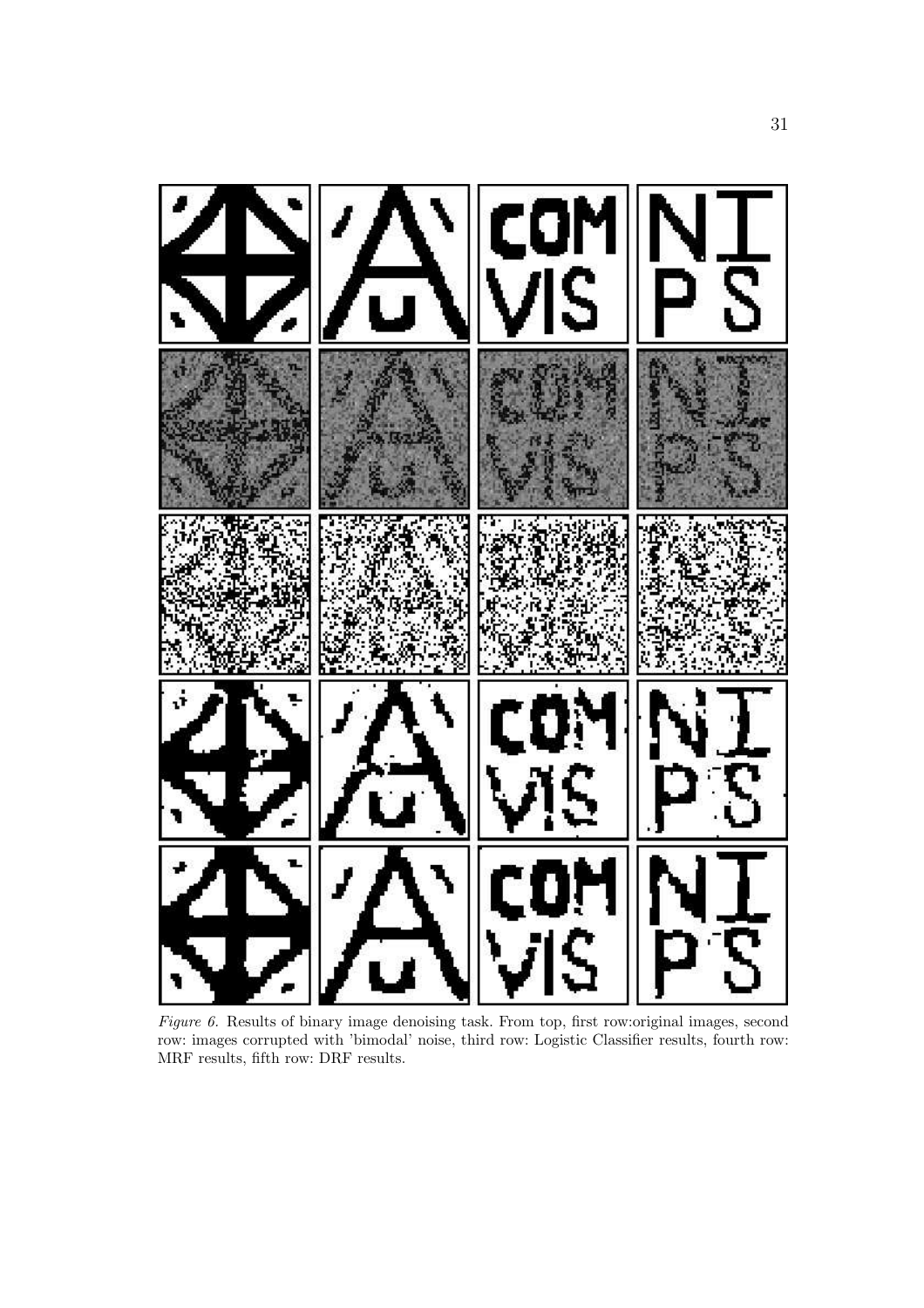

Figure 6. Results of binary image denoising task. From top, first row:original images, second row: images corrupted with 'bimodal' noise, third row: Logistic Classifier results, fourth row: MRF results, fifth row: DRF results.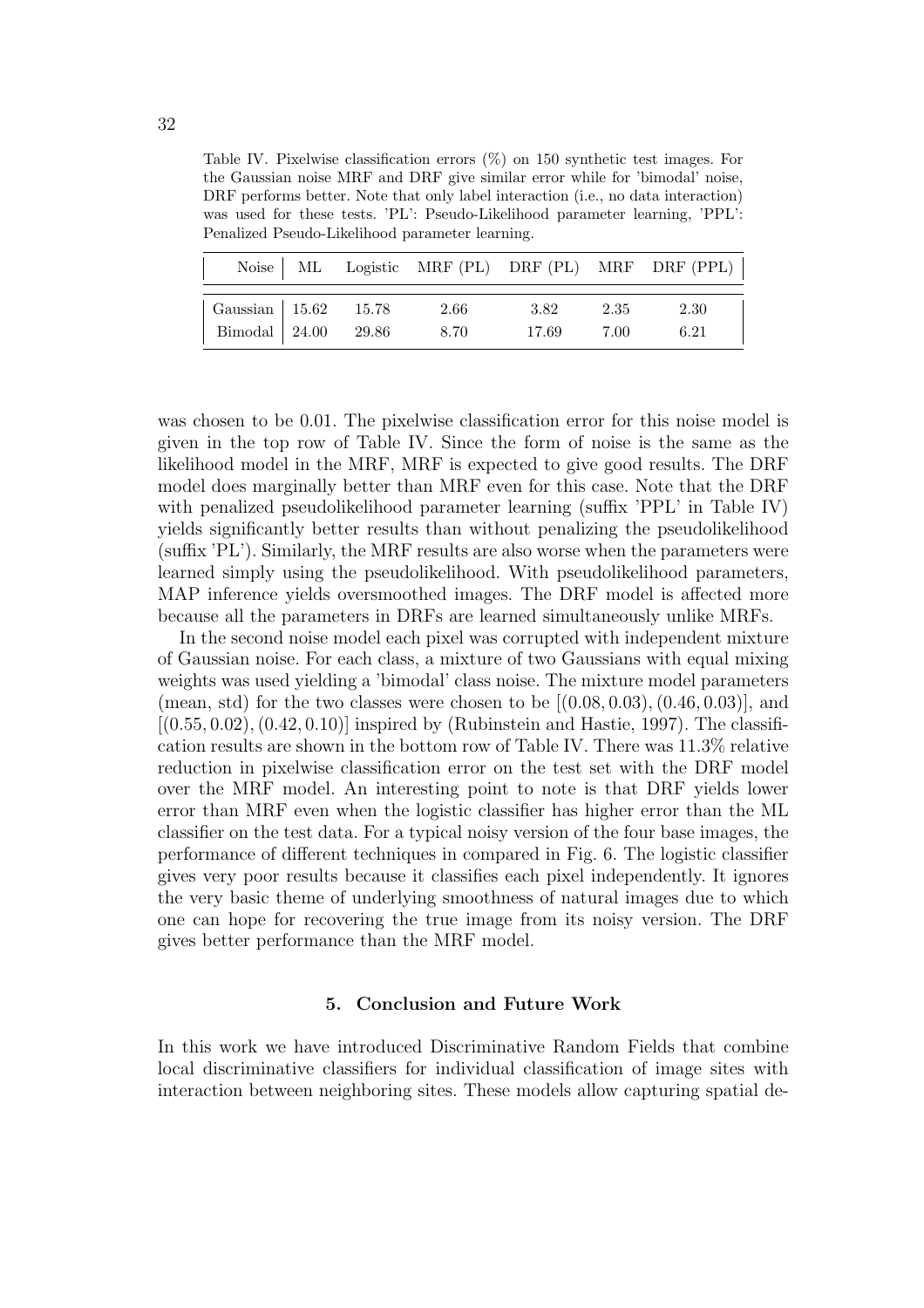Table IV. Pixelwise classification errors (%) on 150 synthetic test images. For the Gaussian noise MRF and DRF give similar error while for 'bimodal' noise, DRF performs better. Note that only label interaction (i.e., no data interaction) was used for these tests. 'PL': Pseudo-Likelihood parameter learning, 'PPL': Penalized Pseudo-Likelihood parameter learning.

|                                                       |  |      |            |      | Noise   ML Logistic MRF (PL) DRF (PL) MRF DRF (PPL) |
|-------------------------------------------------------|--|------|------------|------|-----------------------------------------------------|
| Gaussian   $15.62$ 15.78                              |  | 2.66 | 3.82       | 2.35 | 2.30                                                |
| Bimodal $\begin{array}{ l} 24.00 & 29.86 \end{array}$ |  | 8.70 | 17.69 7.00 |      | 6.21                                                |

was chosen to be 0.01. The pixelwise classification error for this noise model is given in the top row of Table IV. Since the form of noise is the same as the likelihood model in the MRF, MRF is expected to give good results. The DRF model does marginally better than MRF even for this case. Note that the DRF with penalized pseudolikelihood parameter learning (suffix 'PPL' in Table IV) yields significantly better results than without penalizing the pseudolikelihood (suffix 'PL'). Similarly, the MRF results are also worse when the parameters were learned simply using the pseudolikelihood. With pseudolikelihood parameters, MAP inference yields oversmoothed images. The DRF model is affected more because all the parameters in DRFs are learned simultaneously unlike MRFs.

In the second noise model each pixel was corrupted with independent mixture of Gaussian noise. For each class, a mixture of two Gaussians with equal mixing weights was used yielding a 'bimodal' class noise. The mixture model parameters (mean, std) for the two classes were chosen to be  $[(0.08, 0.03), (0.46, 0.03)]$ , and  $[(0.55, 0.02), (0.42, 0.10)]$  inspired by (Rubinstein and Hastie, 1997). The classification results are shown in the bottom row of Table IV. There was 11.3% relative reduction in pixelwise classification error on the test set with the DRF model over the MRF model. An interesting point to note is that DRF yields lower error than MRF even when the logistic classifier has higher error than the ML classifier on the test data. For a typical noisy version of the four base images, the performance of different techniques in compared in Fig. 6. The logistic classifier gives very poor results because it classifies each pixel independently. It ignores the very basic theme of underlying smoothness of natural images due to which one can hope for recovering the true image from its noisy version. The DRF gives better performance than the MRF model.

# 5. Conclusion and Future Work

In this work we have introduced Discriminative Random Fields that combine local discriminative classifiers for individual classification of image sites with interaction between neighboring sites. These models allow capturing spatial de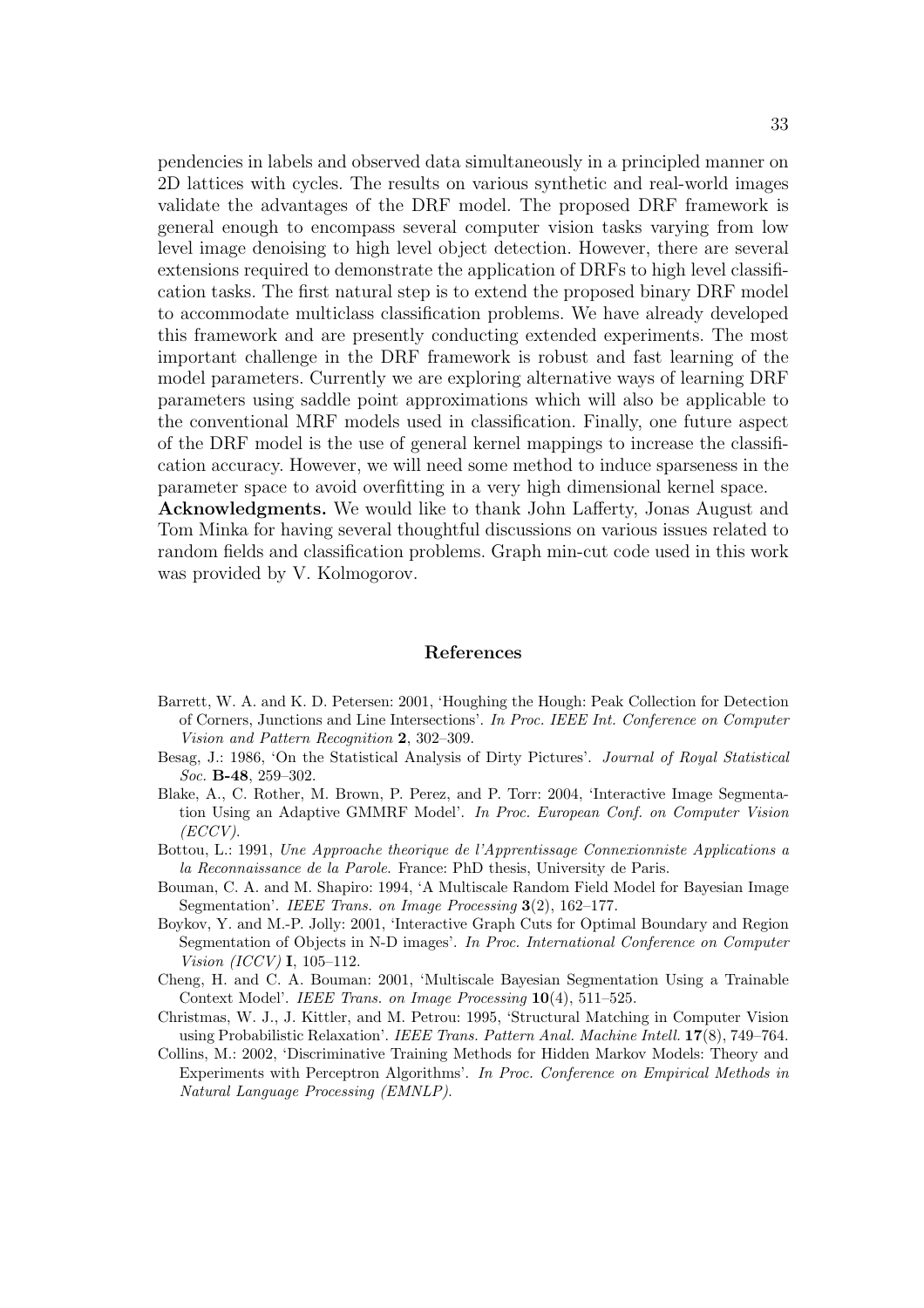pendencies in labels and observed data simultaneously in a principled manner on 2D lattices with cycles. The results on various synthetic and real-world images validate the advantages of the DRF model. The proposed DRF framework is general enough to encompass several computer vision tasks varying from low level image denoising to high level object detection. However, there are several extensions required to demonstrate the application of DRFs to high level classification tasks. The first natural step is to extend the proposed binary DRF model to accommodate multiclass classification problems. We have already developed this framework and are presently conducting extended experiments. The most important challenge in the DRF framework is robust and fast learning of the model parameters. Currently we are exploring alternative ways of learning DRF parameters using saddle point approximations which will also be applicable to the conventional MRF models used in classification. Finally, one future aspect of the DRF model is the use of general kernel mappings to increase the classification accuracy. However, we will need some method to induce sparseness in the parameter space to avoid overfitting in a very high dimensional kernel space.

Acknowledgments. We would like to thank John Lafferty, Jonas August and Tom Minka for having several thoughtful discussions on various issues related to random fields and classification problems. Graph min-cut code used in this work was provided by V. Kolmogorov.

#### References

- Barrett, W. A. and K. D. Petersen: 2001, 'Houghing the Hough: Peak Collection for Detection of Corners, Junctions and Line Intersections'. In Proc. IEEE Int. Conference on Computer Vision and Pattern Recognition 2, 302–309.
- Besag, J.: 1986, 'On the Statistical Analysis of Dirty Pictures'. Journal of Royal Statistical Soc. B-48, 259–302.
- Blake, A., C. Rother, M. Brown, P. Perez, and P. Torr: 2004, 'Interactive Image Segmentation Using an Adaptive GMMRF Model'. In Proc. European Conf. on Computer Vision (ECCV).
- Bottou, L.: 1991, Une Approache theorique de l'Apprentissage Connexionniste Applications a la Reconnaissance de la Parole. France: PhD thesis, University de Paris.
- Bouman, C. A. and M. Shapiro: 1994, 'A Multiscale Random Field Model for Bayesian Image Segmentation'. IEEE Trans. on Image Processing 3(2), 162-177.
- Boykov, Y. and M.-P. Jolly: 2001, 'Interactive Graph Cuts for Optimal Boundary and Region Segmentation of Objects in N-D images'. In Proc. International Conference on Computer Vision (ICCV) I, 105–112.
- Cheng, H. and C. A. Bouman: 2001, 'Multiscale Bayesian Segmentation Using a Trainable Context Model'. IEEE Trans. on Image Processing 10(4), 511–525.
- Christmas, W. J., J. Kittler, and M. Petrou: 1995, 'Structural Matching in Computer Vision using Probabilistic Relaxation'. IEEE Trans. Pattern Anal. Machine Intell. 17(8), 749–764.
- Collins, M.: 2002, 'Discriminative Training Methods for Hidden Markov Models: Theory and Experiments with Perceptron Algorithms'. In Proc. Conference on Empirical Methods in Natural Language Processing (EMNLP).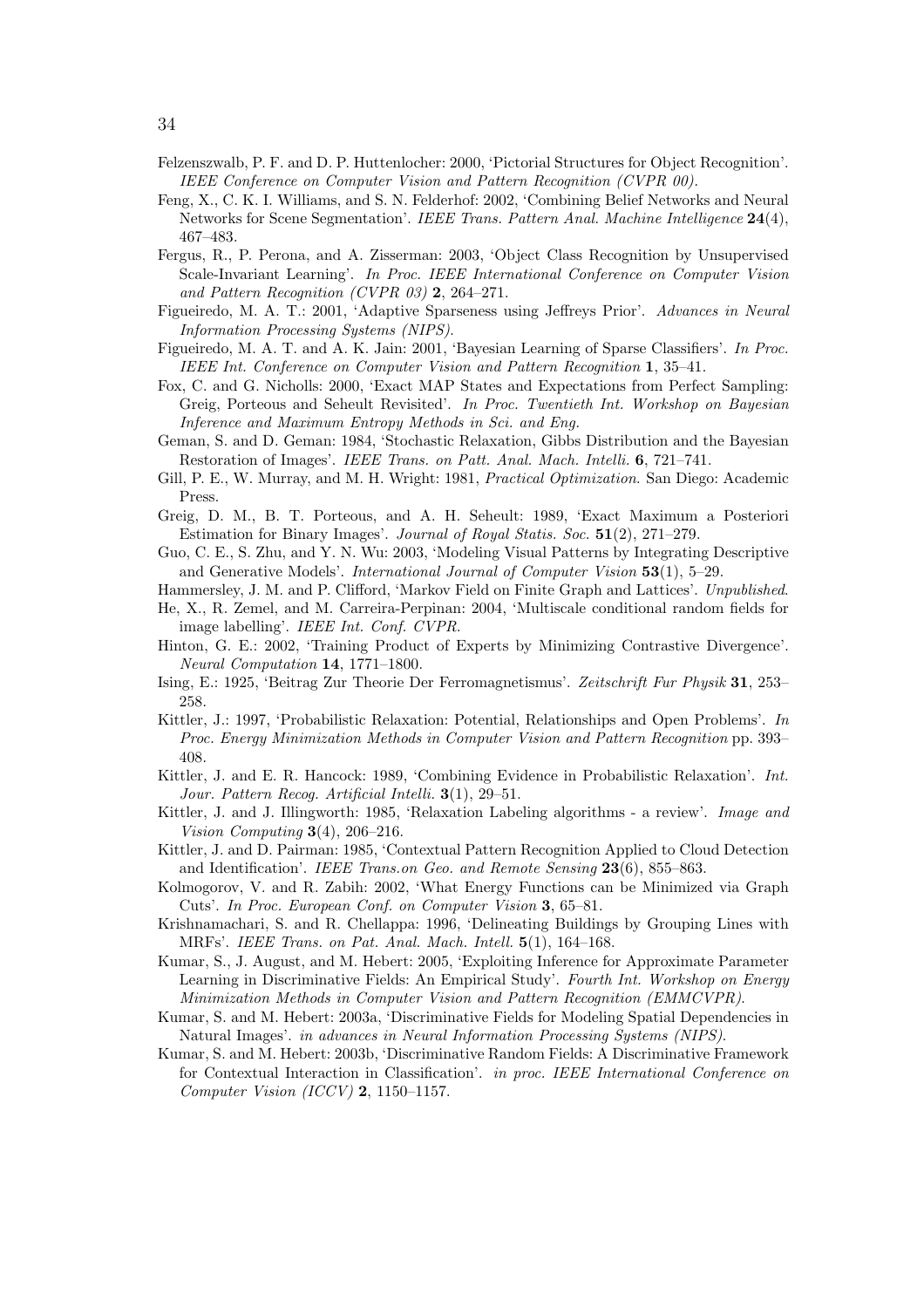- Felzenszwalb, P. F. and D. P. Huttenlocher: 2000, 'Pictorial Structures for Object Recognition'. IEEE Conference on Computer Vision and Pattern Recognition (CVPR 00).
- Feng, X., C. K. I. Williams, and S. N. Felderhof: 2002, 'Combining Belief Networks and Neural Networks for Scene Segmentation'. IEEE Trans. Pattern Anal. Machine Intelligence 24(4), 467–483.
- Fergus, R., P. Perona, and A. Zisserman: 2003, 'Object Class Recognition by Unsupervised Scale-Invariant Learning'. In Proc. IEEE International Conference on Computer Vision and Pattern Recognition (CVPR 03) 2, 264–271.
- Figueiredo, M. A. T.: 2001, 'Adaptive Sparseness using Jeffreys Prior'. Advances in Neural Information Processing Systems (NIPS).
- Figueiredo, M. A. T. and A. K. Jain: 2001, 'Bayesian Learning of Sparse Classifiers'. In Proc. IEEE Int. Conference on Computer Vision and Pattern Recognition 1, 35–41.
- Fox, C. and G. Nicholls: 2000, 'Exact MAP States and Expectations from Perfect Sampling: Greig, Porteous and Seheult Revisited'. In Proc. Twentieth Int. Workshop on Bayesian Inference and Maximum Entropy Methods in Sci. and Eng.
- Geman, S. and D. Geman: 1984, 'Stochastic Relaxation, Gibbs Distribution and the Bayesian Restoration of Images'. IEEE Trans. on Patt. Anal. Mach. Intelli. 6, 721–741.
- Gill, P. E., W. Murray, and M. H. Wright: 1981, Practical Optimization. San Diego: Academic Press.
- Greig, D. M., B. T. Porteous, and A. H. Seheult: 1989, 'Exact Maximum a Posteriori Estimation for Binary Images'. Journal of Royal Statis. Soc. 51(2), 271–279.
- Guo, C. E., S. Zhu, and Y. N. Wu: 2003, 'Modeling Visual Patterns by Integrating Descriptive and Generative Models'. International Journal of Computer Vision 53(1), 5–29.
- Hammersley, J. M. and P. Clifford, 'Markov Field on Finite Graph and Lattices'. Unpublished. He, X., R. Zemel, and M. Carreira-Perpinan: 2004, 'Multiscale conditional random fields for
- image labelling'. IEEE Int. Conf. CVPR.
- Hinton, G. E.: 2002, 'Training Product of Experts by Minimizing Contrastive Divergence'. Neural Computation 14, 1771–1800.
- Ising, E.: 1925, 'Beitrag Zur Theorie Der Ferromagnetismus'. Zeitschrift Fur Physik 31, 253– 258.
- Kittler, J.: 1997, 'Probabilistic Relaxation: Potential, Relationships and Open Problems'. In Proc. Energy Minimization Methods in Computer Vision and Pattern Recognition pp. 393– 408.
- Kittler, J. and E. R. Hancock: 1989, 'Combining Evidence in Probabilistic Relaxation'. Int. Jour. Pattern Recog. Artificial Intelli. 3(1), 29–51.
- Kittler, J. and J. Illingworth: 1985, 'Relaxation Labeling algorithms a review'. Image and Vision Computing  $3(4)$ , 206-216.
- Kittler, J. and D. Pairman: 1985, 'Contextual Pattern Recognition Applied to Cloud Detection and Identification'. IEEE Trans.on Geo. and Remote Sensing 23(6), 855–863.
- Kolmogorov, V. and R. Zabih: 2002, 'What Energy Functions can be Minimized via Graph Cuts'. In Proc. European Conf. on Computer Vision 3, 65–81.
- Krishnamachari, S. and R. Chellappa: 1996, 'Delineating Buildings by Grouping Lines with MRFs'. IEEE Trans. on Pat. Anal. Mach. Intell. 5(1), 164–168.
- Kumar, S., J. August, and M. Hebert: 2005, 'Exploiting Inference for Approximate Parameter Learning in Discriminative Fields: An Empirical Study'. Fourth Int. Workshop on Energy Minimization Methods in Computer Vision and Pattern Recognition (EMMCVPR).
- Kumar, S. and M. Hebert: 2003a, 'Discriminative Fields for Modeling Spatial Dependencies in Natural Images'. in advances in Neural Information Processing Systems (NIPS).
- Kumar, S. and M. Hebert: 2003b, 'Discriminative Random Fields: A Discriminative Framework for Contextual Interaction in Classification'. in proc. IEEE International Conference on Computer Vision (ICCV) 2, 1150–1157.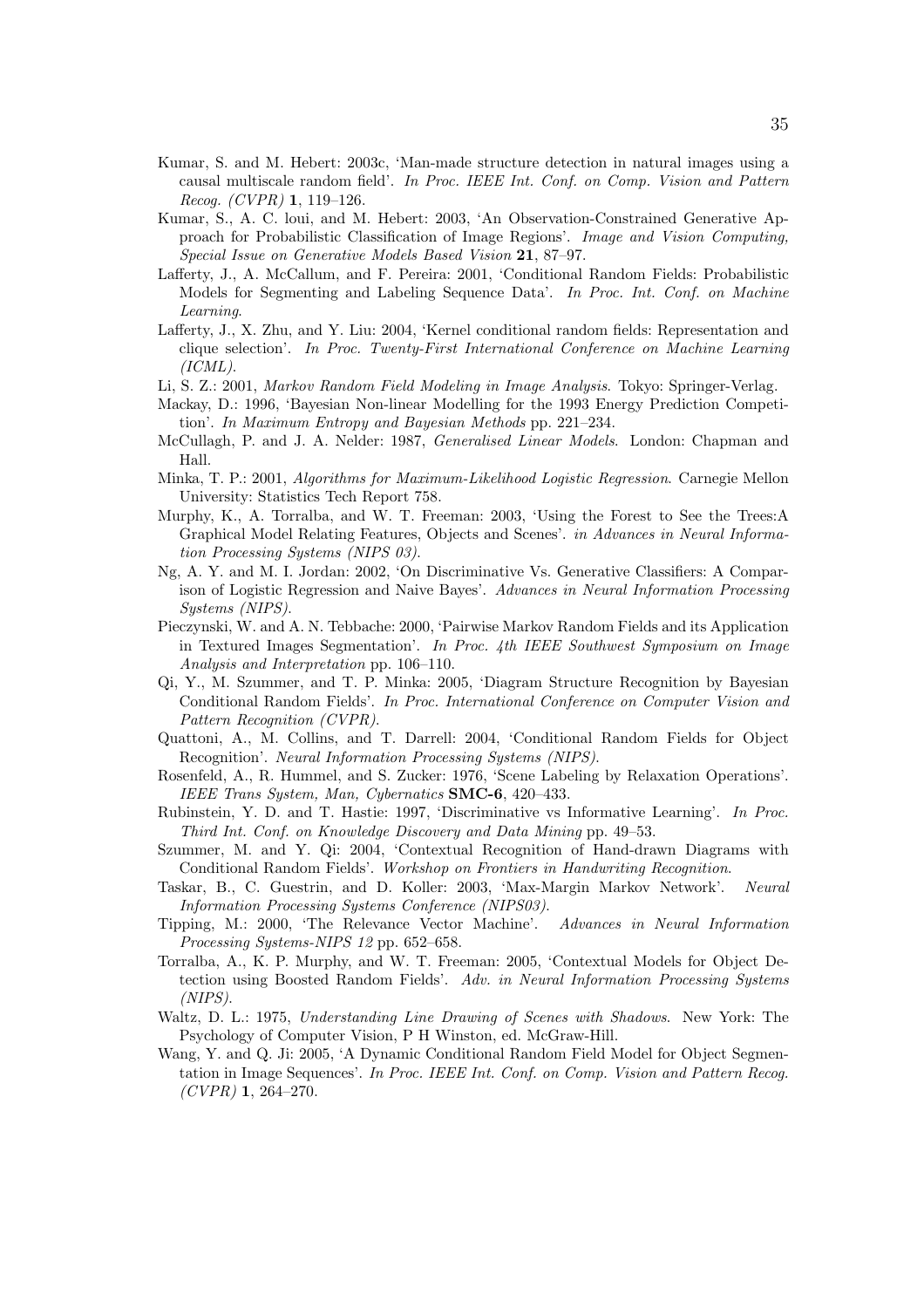- Kumar, S. and M. Hebert: 2003c, 'Man-made structure detection in natural images using a causal multiscale random field'. In Proc. IEEE Int. Conf. on Comp. Vision and Pattern Recog. (CVPR) 1, 119–126.
- Kumar, S., A. C. loui, and M. Hebert: 2003, 'An Observation-Constrained Generative Approach for Probabilistic Classification of Image Regions'. Image and Vision Computing, Special Issue on Generative Models Based Vision 21, 87–97.
- Lafferty, J., A. McCallum, and F. Pereira: 2001, 'Conditional Random Fields: Probabilistic Models for Segmenting and Labeling Sequence Data'. In Proc. Int. Conf. on Machine Learning.
- Lafferty, J., X. Zhu, and Y. Liu: 2004, 'Kernel conditional random fields: Representation and clique selection'. In Proc. Twenty-First International Conference on Machine Learning (ICML).
- Li, S. Z.: 2001, Markov Random Field Modeling in Image Analysis. Tokyo: Springer-Verlag.
- Mackay, D.: 1996, 'Bayesian Non-linear Modelling for the 1993 Energy Prediction Competition'. In Maximum Entropy and Bayesian Methods pp. 221–234.
- McCullagh, P. and J. A. Nelder: 1987, Generalised Linear Models. London: Chapman and Hall.
- Minka, T. P.: 2001, Algorithms for Maximum-Likelihood Logistic Regression. Carnegie Mellon University: Statistics Tech Report 758.
- Murphy, K., A. Torralba, and W. T. Freeman: 2003, 'Using the Forest to See the Trees:A Graphical Model Relating Features, Objects and Scenes'. in Advances in Neural Information Processing Systems (NIPS 03).
- Ng, A. Y. and M. I. Jordan: 2002, 'On Discriminative Vs. Generative Classifiers: A Comparison of Logistic Regression and Naive Bayes'. Advances in Neural Information Processing Systems (NIPS).
- Pieczynski, W. and A. N. Tebbache: 2000, 'Pairwise Markov Random Fields and its Application in Textured Images Segmentation'. In Proc. 4th IEEE Southwest Symposium on Image Analysis and Interpretation pp. 106–110.
- Qi, Y., M. Szummer, and T. P. Minka: 2005, 'Diagram Structure Recognition by Bayesian Conditional Random Fields'. In Proc. International Conference on Computer Vision and Pattern Recognition (CVPR).
- Quattoni, A., M. Collins, and T. Darrell: 2004, 'Conditional Random Fields for Object Recognition'. Neural Information Processing Systems (NIPS).
- Rosenfeld, A., R. Hummel, and S. Zucker: 1976, 'Scene Labeling by Relaxation Operations'. IEEE Trans System, Man, Cybernatics SMC-6, 420–433.
- Rubinstein, Y. D. and T. Hastie: 1997, 'Discriminative vs Informative Learning'. In Proc. Third Int. Conf. on Knowledge Discovery and Data Mining pp. 49–53.
- Szummer, M. and Y. Qi: 2004, 'Contextual Recognition of Hand-drawn Diagrams with Conditional Random Fields'. Workshop on Frontiers in Handwriting Recognition.
- Taskar, B., C. Guestrin, and D. Koller: 2003, 'Max-Margin Markov Network'. Neural Information Processing Systems Conference (NIPS03).
- Tipping, M.: 2000, 'The Relevance Vector Machine'. Advances in Neural Information Processing Systems-NIPS 12 pp. 652–658.
- Torralba, A., K. P. Murphy, and W. T. Freeman: 2005, 'Contextual Models for Object Detection using Boosted Random Fields'. Adv. in Neural Information Processing Systems (NIPS).
- Waltz, D. L.: 1975, Understanding Line Drawing of Scenes with Shadows. New York: The Psychology of Computer Vision, P H Winston, ed. McGraw-Hill.
- Wang, Y. and Q. Ji: 2005, 'A Dynamic Conditional Random Field Model for Object Segmentation in Image Sequences'. In Proc. IEEE Int. Conf. on Comp. Vision and Pattern Recog.  $(CVPR)$  1, 264-270.